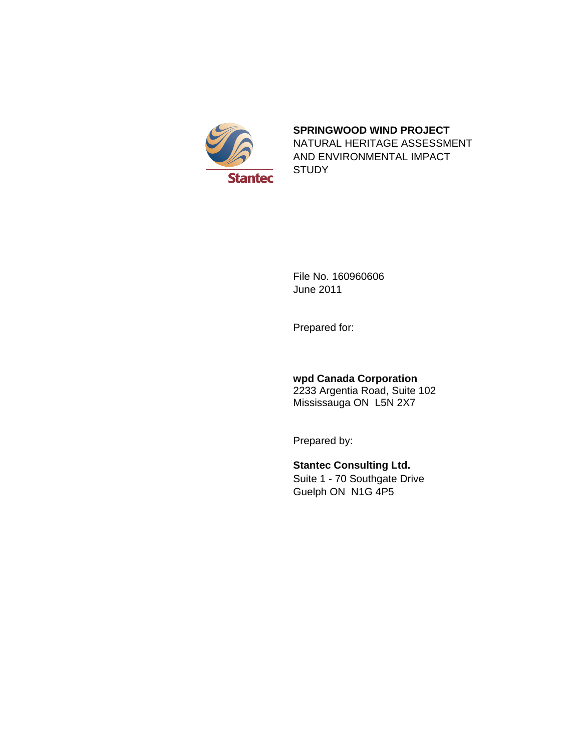

#### **SPRINGWOOD WIND PROJECT**

NATURAL HERITAGE ASSESSMENT AND ENVIRONMENTAL IMPACT **STUDY** 

File No. 160960606 June 2011

Prepared for:

# **wpd Canada Corporation**

2233 Argentia Road, Suite 102 Mississauga ON L5N 2X7

Prepared by:

# **Stantec Consulting Ltd.**

Suite 1 - 70 Southgate Drive Guelph ON N1G 4P5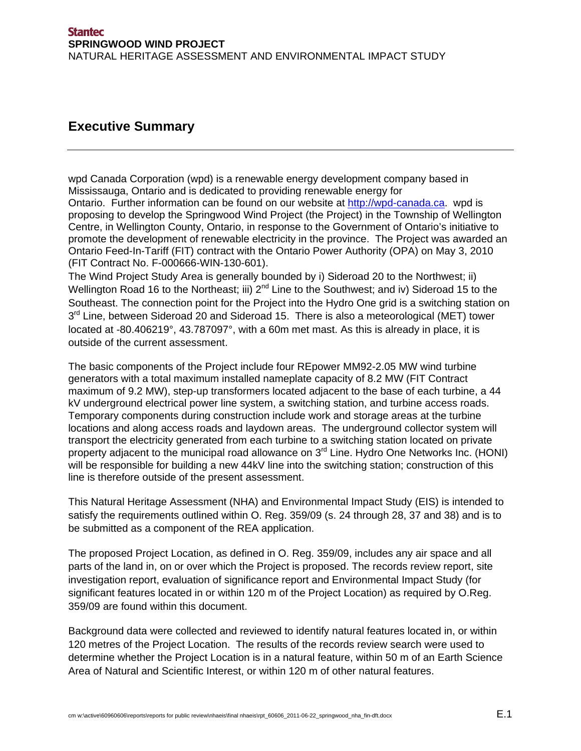# **Executive Summary**

wpd Canada Corporation (wpd) is a renewable energy development company based in Mississauga, Ontario and is dedicated to providing renewable energy for Ontario. Further information can be found on our website at http://wpd-canada.ca. wpd is proposing to develop the Springwood Wind Project (the Project) in the Township of Wellington Centre, in Wellington County, Ontario, in response to the Government of Ontario's initiative to promote the development of renewable electricity in the province. The Project was awarded an Ontario Feed-In-Tariff (FIT) contract with the Ontario Power Authority (OPA) on May 3, 2010 (FIT Contract No. F-000666-WIN-130-601).

The Wind Project Study Area is generally bounded by i) Sideroad 20 to the Northwest; ii) Wellington Road 16 to the Northeast; iii)  $2^{nd}$  Line to the Southwest; and iv) Sideroad 15 to the Southeast. The connection point for the Project into the Hydro One grid is a switching station on  $3<sup>rd</sup>$  Line, between Sideroad 20 and Sideroad 15. There is also a meteorological (MET) tower located at -80.406219°, 43.787097°, with a 60m met mast. As this is already in place, it is outside of the current assessment.

The basic components of the Project include four REpower MM92-2.05 MW wind turbine generators with a total maximum installed nameplate capacity of 8.2 MW (FIT Contract maximum of 9.2 MW), step-up transformers located adjacent to the base of each turbine, a 44 kV underground electrical power line system, a switching station, and turbine access roads. Temporary components during construction include work and storage areas at the turbine locations and along access roads and laydown areas. The underground collector system will transport the electricity generated from each turbine to a switching station located on private property adjacent to the municipal road allowance on 3<sup>rd</sup> Line. Hydro One Networks Inc. (HONI) will be responsible for building a new 44kV line into the switching station; construction of this line is therefore outside of the present assessment.

This Natural Heritage Assessment (NHA) and Environmental Impact Study (EIS) is intended to satisfy the requirements outlined within O. Reg. 359/09 (s. 24 through 28, 37 and 38) and is to be submitted as a component of the REA application.

The proposed Project Location, as defined in O. Reg. 359/09, includes any air space and all parts of the land in, on or over which the Project is proposed. The records review report, site investigation report, evaluation of significance report and Environmental Impact Study (for significant features located in or within 120 m of the Project Location) as required by O.Reg. 359/09 are found within this document.

Background data were collected and reviewed to identify natural features located in, or within 120 metres of the Project Location. The results of the records review search were used to determine whether the Project Location is in a natural feature, within 50 m of an Earth Science Area of Natural and Scientific Interest, or within 120 m of other natural features.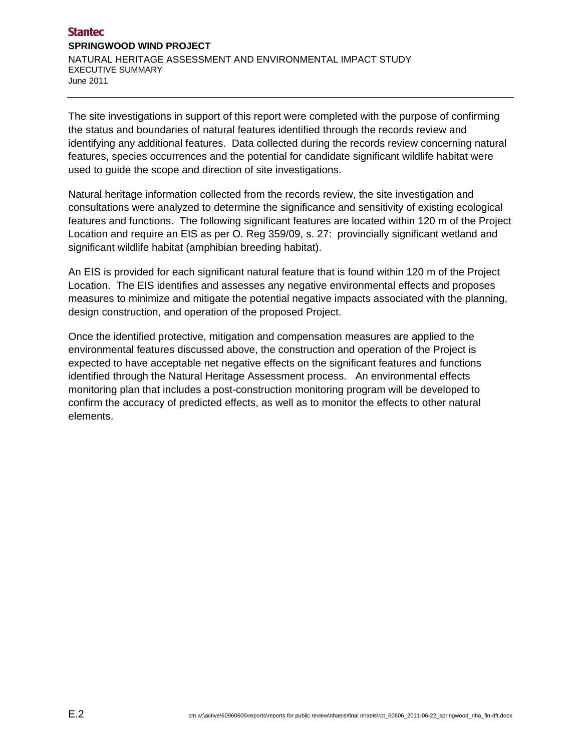The site investigations in support of this report were completed with the purpose of confirming the status and boundaries of natural features identified through the records review and identifying any additional features. Data collected during the records review concerning natural features, species occurrences and the potential for candidate significant wildlife habitat were used to guide the scope and direction of site investigations.

Natural heritage information collected from the records review, the site investigation and consultations were analyzed to determine the significance and sensitivity of existing ecological features and functions. The following significant features are located within 120 m of the Project Location and require an EIS as per O. Reg 359/09, s. 27: provincially significant wetland and significant wildlife habitat (amphibian breeding habitat).

An EIS is provided for each significant natural feature that is found within 120 m of the Project Location. The EIS identifies and assesses any negative environmental effects and proposes measures to minimize and mitigate the potential negative impacts associated with the planning, design construction, and operation of the proposed Project.

Once the identified protective, mitigation and compensation measures are applied to the environmental features discussed above, the construction and operation of the Project is expected to have acceptable net negative effects on the significant features and functions identified through the Natural Heritage Assessment process. An environmental effects monitoring plan that includes a post-construction monitoring program will be developed to confirm the accuracy of predicted effects, as well as to monitor the effects to other natural elements.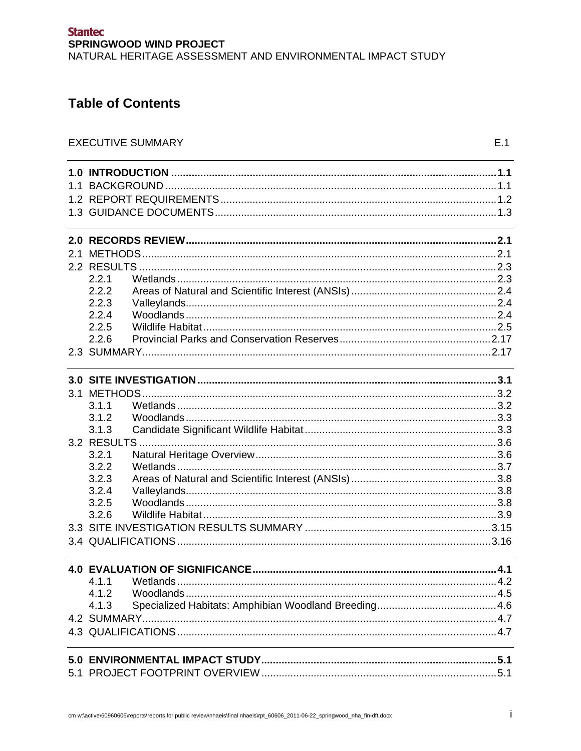# **Table of Contents**

| 1.1 |       |  |  |  |
|-----|-------|--|--|--|
|     |       |  |  |  |
|     |       |  |  |  |
|     |       |  |  |  |
|     |       |  |  |  |
|     |       |  |  |  |
|     | 2.2.1 |  |  |  |
|     | 2.2.2 |  |  |  |
|     | 2.2.3 |  |  |  |
|     | 2.2.4 |  |  |  |
|     | 2.2.5 |  |  |  |
|     | 2.2.6 |  |  |  |
|     |       |  |  |  |
|     |       |  |  |  |
|     |       |  |  |  |
|     | 3.1.1 |  |  |  |
|     | 3.1.2 |  |  |  |
|     | 3.1.3 |  |  |  |
|     |       |  |  |  |
|     | 3.2.1 |  |  |  |
|     | 3.2.2 |  |  |  |
|     | 3.2.3 |  |  |  |
|     | 3.2.4 |  |  |  |
|     | 3.2.5 |  |  |  |
|     | 3.2.6 |  |  |  |
|     |       |  |  |  |
|     |       |  |  |  |
|     |       |  |  |  |
|     |       |  |  |  |
|     | 4.1.2 |  |  |  |
|     | 4.1.3 |  |  |  |
|     |       |  |  |  |
|     |       |  |  |  |
|     |       |  |  |  |
|     |       |  |  |  |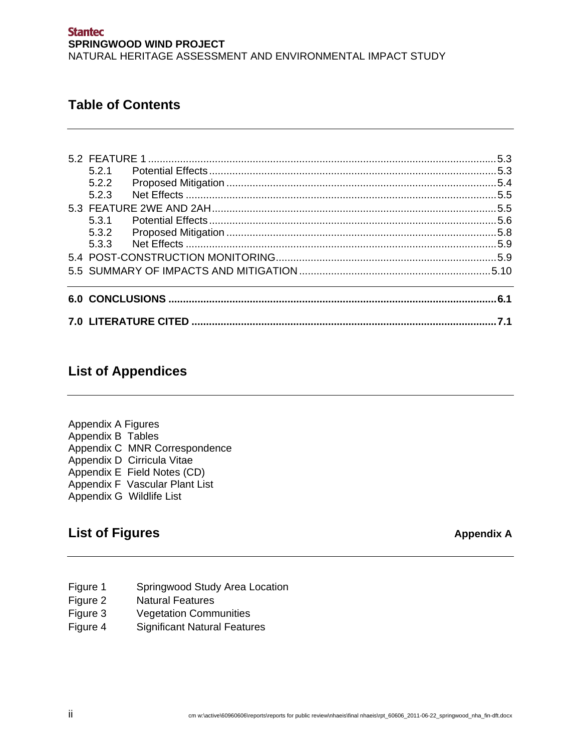# **Table of Contents**

|       |  | 7.1 |
|-------|--|-----|
|       |  |     |
|       |  |     |
|       |  |     |
|       |  |     |
| 5.3.2 |  |     |
| 5.3.1 |  |     |
|       |  |     |
| 5.2.3 |  |     |
| 5.2.2 |  |     |
| 5.2.1 |  |     |
|       |  |     |

# **List of Appendices**

Appendix A Figures Appendix B Tables Appendix C MNR Correspondence Appendix D Cirricula Vitae Appendix E Field Notes (CD) Appendix F Vascular Plant List Appendix G Wildlife List

# List of Figures **Appendix A** Appendix A

- Figure 1 Springwood Study Area Location
- Figure 2 Natural Features
- Figure 3 Vegetation Communities
- Figure 4 Significant Natural Features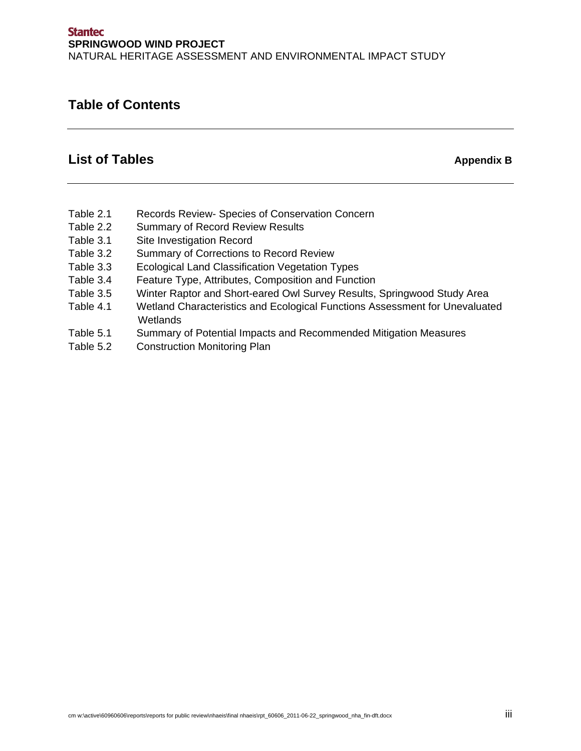# **Table of Contents**

# List of Tables **Appendix B** Appendix B

- Table 2.1 Records Review- Species of Conservation Concern
- Table 2.2 Summary of Record Review Results
- Table 3.1 Site Investigation Record
- Table 3.2 Summary of Corrections to Record Review
- Table 3.3 Ecological Land Classification Vegetation Types
- Table 3.4 Feature Type, Attributes, Composition and Function
- Table 3.5 Winter Raptor and Short-eared Owl Survey Results, Springwood Study Area
- Table 4.1 Wetland Characteristics and Ecological Functions Assessment for Unevaluated Wetlands
- Table 5.1 Summary of Potential Impacts and Recommended Mitigation Measures
- Table 5.2 Construction Monitoring Plan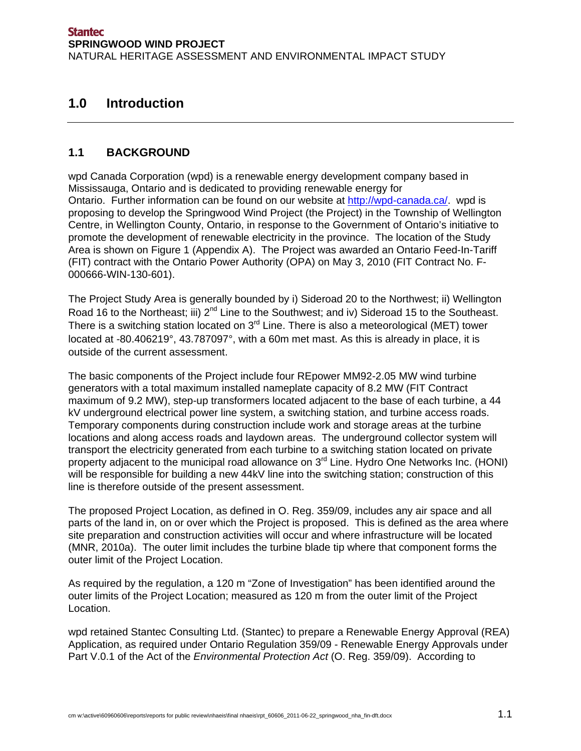# **1.0 Introduction**

# **1.1 BACKGROUND**

wpd Canada Corporation (wpd) is a renewable energy development company based in Mississauga, Ontario and is dedicated to providing renewable energy for Ontario. Further information can be found on our website at http://wpd-canada.ca/. wpd is proposing to develop the Springwood Wind Project (the Project) in the Township of Wellington Centre, in Wellington County, Ontario, in response to the Government of Ontario's initiative to promote the development of renewable electricity in the province. The location of the Study Area is shown on Figure 1 (Appendix A). The Project was awarded an Ontario Feed-In-Tariff (FIT) contract with the Ontario Power Authority (OPA) on May 3, 2010 (FIT Contract No. F-000666-WIN-130-601).

The Project Study Area is generally bounded by i) Sideroad 20 to the Northwest; ii) Wellington Road 16 to the Northeast; iii) 2<sup>nd</sup> Line to the Southwest; and iv) Sideroad 15 to the Southeast. There is a switching station located on  $3<sup>rd</sup>$  Line. There is also a meteorological (MET) tower located at -80.406219°, 43.787097°, with a 60m met mast. As this is already in place, it is outside of the current assessment.

The basic components of the Project include four REpower MM92-2.05 MW wind turbine generators with a total maximum installed nameplate capacity of 8.2 MW (FIT Contract maximum of 9.2 MW), step-up transformers located adjacent to the base of each turbine, a 44 kV underground electrical power line system, a switching station, and turbine access roads. Temporary components during construction include work and storage areas at the turbine locations and along access roads and laydown areas. The underground collector system will transport the electricity generated from each turbine to a switching station located on private property adjacent to the municipal road allowance on 3<sup>rd</sup> Line. Hydro One Networks Inc. (HONI) will be responsible for building a new 44kV line into the switching station; construction of this line is therefore outside of the present assessment.

The proposed Project Location, as defined in O. Reg. 359/09, includes any air space and all parts of the land in, on or over which the Project is proposed. This is defined as the area where site preparation and construction activities will occur and where infrastructure will be located (MNR, 2010a). The outer limit includes the turbine blade tip where that component forms the outer limit of the Project Location.

As required by the regulation, a 120 m "Zone of Investigation" has been identified around the outer limits of the Project Location; measured as 120 m from the outer limit of the Project Location.

wpd retained Stantec Consulting Ltd. (Stantec) to prepare a Renewable Energy Approval (REA) Application, as required under Ontario Regulation 359/09 - Renewable Energy Approvals under Part V.0.1 of the Act of the *Environmental Protection Act* (O. Reg. 359/09). According to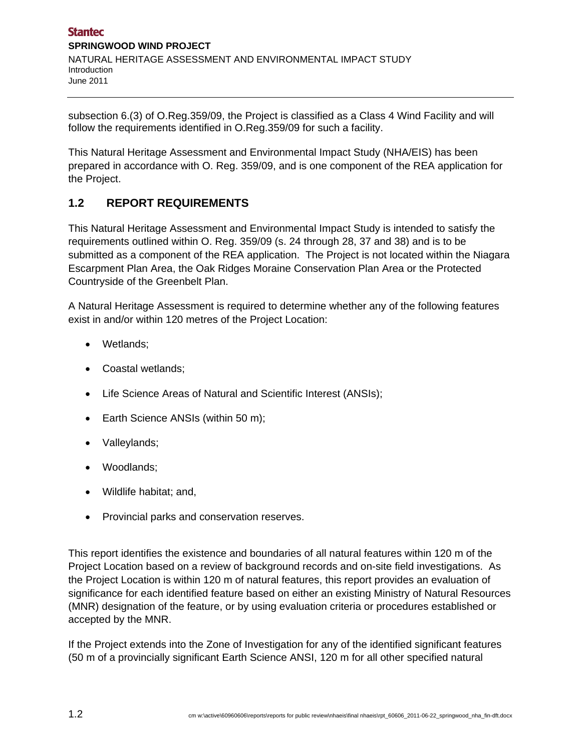subsection 6.(3) of O.Reg.359/09, the Project is classified as a Class 4 Wind Facility and will follow the requirements identified in O.Reg.359/09 for such a facility.

This Natural Heritage Assessment and Environmental Impact Study (NHA/EIS) has been prepared in accordance with O. Reg. 359/09, and is one component of the REA application for the Project.

# **1.2 REPORT REQUIREMENTS**

This Natural Heritage Assessment and Environmental Impact Study is intended to satisfy the requirements outlined within O. Reg. 359/09 (s. 24 through 28, 37 and 38) and is to be submitted as a component of the REA application. The Project is not located within the Niagara Escarpment Plan Area, the Oak Ridges Moraine Conservation Plan Area or the Protected Countryside of the Greenbelt Plan.

A Natural Heritage Assessment is required to determine whether any of the following features exist in and/or within 120 metres of the Project Location:

- Wetlands;
- Coastal wetlands;
- Life Science Areas of Natural and Scientific Interest (ANSIs);
- Earth Science ANSIs (within 50 m);
- Valleylands;
- Woodlands;
- Wildlife habitat; and,
- Provincial parks and conservation reserves.

This report identifies the existence and boundaries of all natural features within 120 m of the Project Location based on a review of background records and on-site field investigations. As the Project Location is within 120 m of natural features, this report provides an evaluation of significance for each identified feature based on either an existing Ministry of Natural Resources (MNR) designation of the feature, or by using evaluation criteria or procedures established or accepted by the MNR.

If the Project extends into the Zone of Investigation for any of the identified significant features (50 m of a provincially significant Earth Science ANSI, 120 m for all other specified natural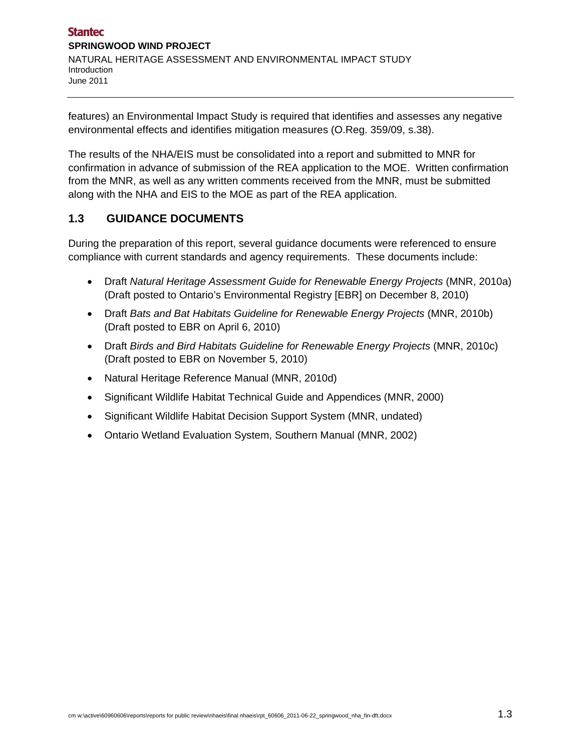features) an Environmental Impact Study is required that identifies and assesses any negative environmental effects and identifies mitigation measures (O.Reg. 359/09, s.38).

The results of the NHA/EIS must be consolidated into a report and submitted to MNR for confirmation in advance of submission of the REA application to the MOE. Written confirmation from the MNR, as well as any written comments received from the MNR, must be submitted along with the NHA and EIS to the MOE as part of the REA application.

# **1.3 GUIDANCE DOCUMENTS**

During the preparation of this report, several guidance documents were referenced to ensure compliance with current standards and agency requirements. These documents include:

- Draft *Natural Heritage Assessment Guide for Renewable Energy Projects* (MNR, 2010a) (Draft posted to Ontario's Environmental Registry [EBR] on December 8, 2010)
- Draft *Bats and Bat Habitats Guideline for Renewable Energy Projects* (MNR, 2010b) (Draft posted to EBR on April 6, 2010)
- Draft *Birds and Bird Habitats Guideline for Renewable Energy Projects* (MNR, 2010c) (Draft posted to EBR on November 5, 2010)
- Natural Heritage Reference Manual (MNR, 2010d)
- Significant Wildlife Habitat Technical Guide and Appendices (MNR, 2000)
- Significant Wildlife Habitat Decision Support System (MNR, undated)
- Ontario Wetland Evaluation System, Southern Manual (MNR, 2002)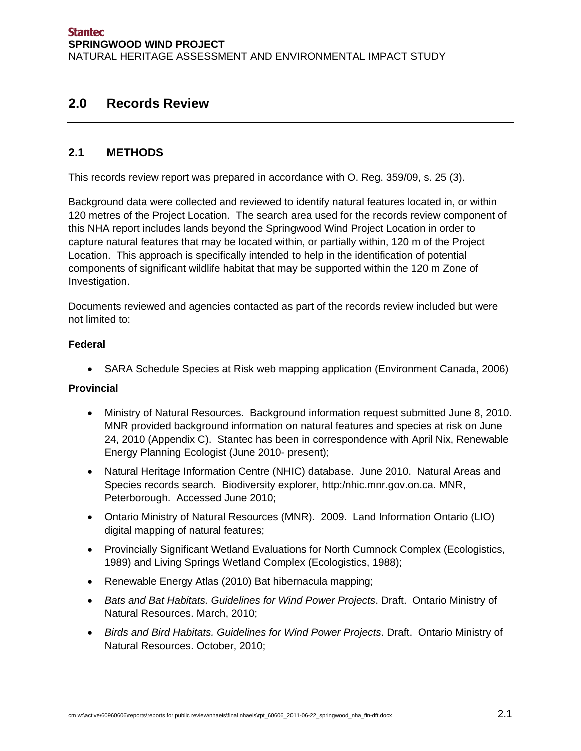# **2.0 Records Review**

# **2.1 METHODS**

This records review report was prepared in accordance with O. Reg. 359/09, s. 25 (3).

Background data were collected and reviewed to identify natural features located in, or within 120 metres of the Project Location. The search area used for the records review component of this NHA report includes lands beyond the Springwood Wind Project Location in order to capture natural features that may be located within, or partially within, 120 m of the Project Location. This approach is specifically intended to help in the identification of potential components of significant wildlife habitat that may be supported within the 120 m Zone of Investigation.

Documents reviewed and agencies contacted as part of the records review included but were not limited to:

#### **Federal**

• SARA Schedule Species at Risk web mapping application (Environment Canada, 2006)

#### **Provincial**

- Ministry of Natural Resources. Background information request submitted June 8, 2010. MNR provided background information on natural features and species at risk on June 24, 2010 (Appendix C). Stantec has been in correspondence with April Nix, Renewable Energy Planning Ecologist (June 2010- present);
- Natural Heritage Information Centre (NHIC) database. June 2010. Natural Areas and Species records search. Biodiversity explorer, http:/nhic.mnr.gov.on.ca. MNR, Peterborough. Accessed June 2010;
- Ontario Ministry of Natural Resources (MNR). 2009. Land Information Ontario (LIO) digital mapping of natural features;
- Provincially Significant Wetland Evaluations for North Cumnock Complex (Ecologistics, 1989) and Living Springs Wetland Complex (Ecologistics, 1988);
- Renewable Energy Atlas (2010) Bat hibernacula mapping;
- *Bats and Bat Habitats. Guidelines for Wind Power Projects*. Draft. Ontario Ministry of Natural Resources. March, 2010;
- *Birds and Bird Habitats. Guidelines for Wind Power Projects*. Draft. Ontario Ministry of Natural Resources. October, 2010;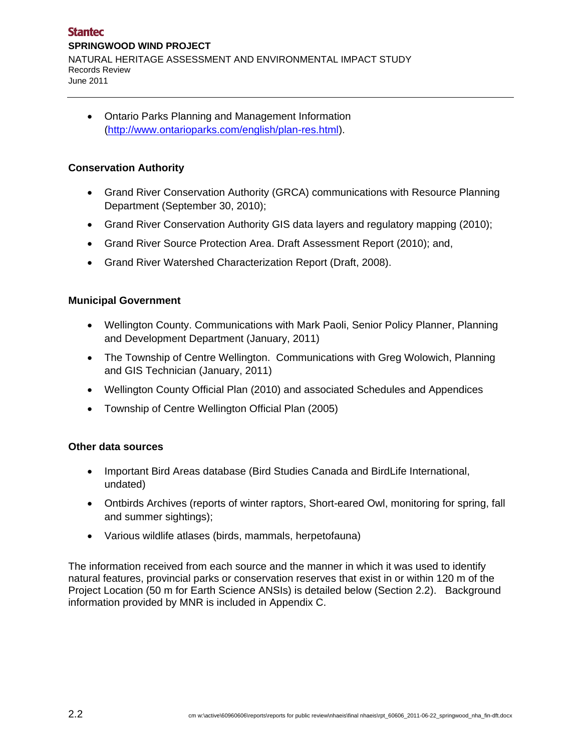Ontario Parks Planning and Management Information (http://www.ontarioparks.com/english/plan-res.html).

## **Conservation Authority**

- Grand River Conservation Authority (GRCA) communications with Resource Planning Department (September 30, 2010);
- Grand River Conservation Authority GIS data layers and regulatory mapping (2010);
- Grand River Source Protection Area. Draft Assessment Report (2010); and,
- Grand River Watershed Characterization Report (Draft, 2008).

#### **Municipal Government**

- Wellington County. Communications with Mark Paoli, Senior Policy Planner, Planning and Development Department (January, 2011)
- The Township of Centre Wellington. Communications with Greg Wolowich, Planning and GIS Technician (January, 2011)
- Wellington County Official Plan (2010) and associated Schedules and Appendices
- Township of Centre Wellington Official Plan (2005)

#### **Other data sources**

- Important Bird Areas database (Bird Studies Canada and BirdLife International, undated)
- Ontbirds Archives (reports of winter raptors, Short-eared Owl, monitoring for spring, fall and summer sightings);
- Various wildlife atlases (birds, mammals, herpetofauna)

The information received from each source and the manner in which it was used to identify natural features, provincial parks or conservation reserves that exist in or within 120 m of the Project Location (50 m for Earth Science ANSIs) is detailed below (Section 2.2). Background information provided by MNR is included in Appendix C.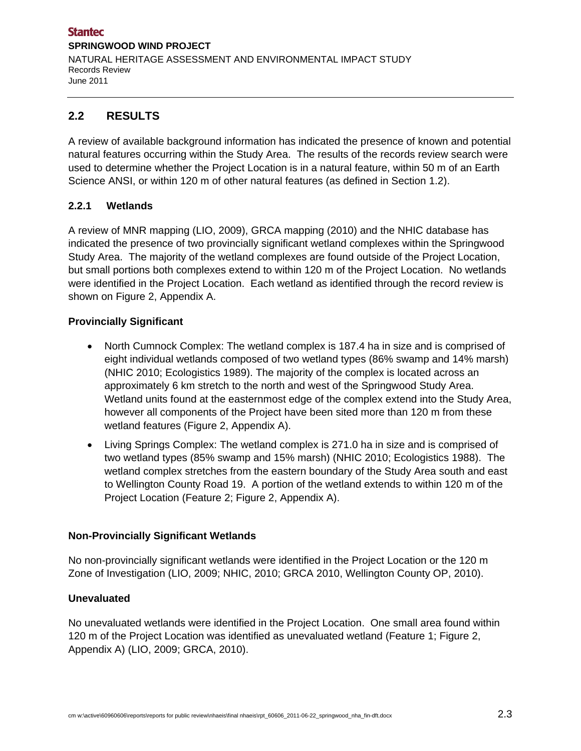# **2.2 RESULTS**

A review of available background information has indicated the presence of known and potential natural features occurring within the Study Area. The results of the records review search were used to determine whether the Project Location is in a natural feature, within 50 m of an Earth Science ANSI, or within 120 m of other natural features (as defined in Section 1.2).

#### **2.2.1 Wetlands**

A review of MNR mapping (LIO, 2009), GRCA mapping (2010) and the NHIC database has indicated the presence of two provincially significant wetland complexes within the Springwood Study Area. The majority of the wetland complexes are found outside of the Project Location, but small portions both complexes extend to within 120 m of the Project Location. No wetlands were identified in the Project Location. Each wetland as identified through the record review is shown on Figure 2, Appendix A.

#### **Provincially Significant**

- North Cumnock Complex: The wetland complex is 187.4 ha in size and is comprised of eight individual wetlands composed of two wetland types (86% swamp and 14% marsh) (NHIC 2010; Ecologistics 1989). The majority of the complex is located across an approximately 6 km stretch to the north and west of the Springwood Study Area. Wetland units found at the easternmost edge of the complex extend into the Study Area, however all components of the Project have been sited more than 120 m from these wetland features (Figure 2, Appendix A).
- Living Springs Complex: The wetland complex is 271.0 ha in size and is comprised of two wetland types (85% swamp and 15% marsh) (NHIC 2010; Ecologistics 1988). The wetland complex stretches from the eastern boundary of the Study Area south and east to Wellington County Road 19. A portion of the wetland extends to within 120 m of the Project Location (Feature 2; Figure 2, Appendix A).

#### **Non-Provincially Significant Wetlands**

No non-provincially significant wetlands were identified in the Project Location or the 120 m Zone of Investigation (LIO, 2009; NHIC, 2010; GRCA 2010, Wellington County OP, 2010).

#### **Unevaluated**

No unevaluated wetlands were identified in the Project Location. One small area found within 120 m of the Project Location was identified as unevaluated wetland (Feature 1; Figure 2, Appendix A) (LIO, 2009; GRCA, 2010).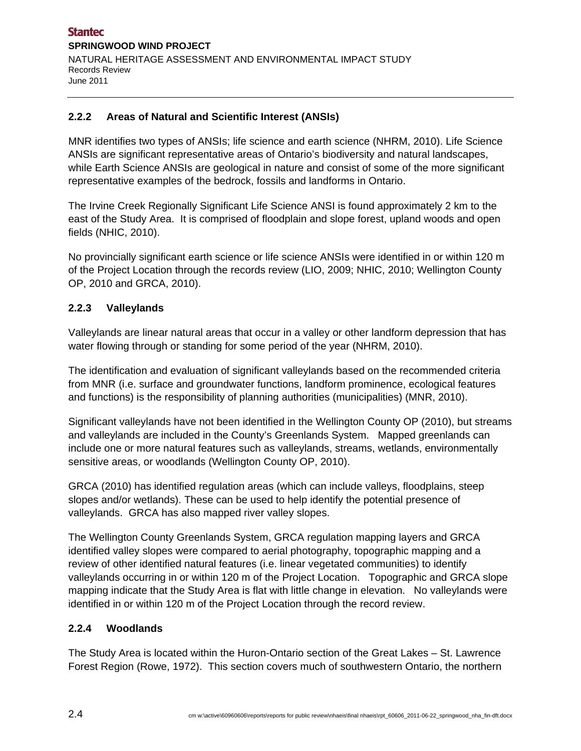### **2.2.2 Areas of Natural and Scientific Interest (ANSIs)**

MNR identifies two types of ANSIs; life science and earth science (NHRM, 2010). Life Science ANSIs are significant representative areas of Ontario's biodiversity and natural landscapes, while Earth Science ANSIs are geological in nature and consist of some of the more significant representative examples of the bedrock, fossils and landforms in Ontario.

The Irvine Creek Regionally Significant Life Science ANSI is found approximately 2 km to the east of the Study Area. It is comprised of floodplain and slope forest, upland woods and open fields (NHIC, 2010).

No provincially significant earth science or life science ANSIs were identified in or within 120 m of the Project Location through the records review (LIO, 2009; NHIC, 2010; Wellington County OP, 2010 and GRCA, 2010).

## **2.2.3 Valleylands**

Valleylands are linear natural areas that occur in a valley or other landform depression that has water flowing through or standing for some period of the year (NHRM, 2010).

The identification and evaluation of significant valleylands based on the recommended criteria from MNR (i.e. surface and groundwater functions, landform prominence, ecological features and functions) is the responsibility of planning authorities (municipalities) (MNR, 2010).

Significant valleylands have not been identified in the Wellington County OP (2010), but streams and valleylands are included in the County's Greenlands System. Mapped greenlands can include one or more natural features such as valleylands, streams, wetlands, environmentally sensitive areas, or woodlands (Wellington County OP, 2010).

GRCA (2010) has identified regulation areas (which can include valleys, floodplains, steep slopes and/or wetlands). These can be used to help identify the potential presence of valleylands. GRCA has also mapped river valley slopes.

The Wellington County Greenlands System, GRCA regulation mapping layers and GRCA identified valley slopes were compared to aerial photography, topographic mapping and a review of other identified natural features (i.e. linear vegetated communities) to identify valleylands occurring in or within 120 m of the Project Location. Topographic and GRCA slope mapping indicate that the Study Area is flat with little change in elevation. No valleylands were identified in or within 120 m of the Project Location through the record review.

#### **2.2.4 Woodlands**

The Study Area is located within the Huron-Ontario section of the Great Lakes – St. Lawrence Forest Region (Rowe, 1972). This section covers much of southwestern Ontario, the northern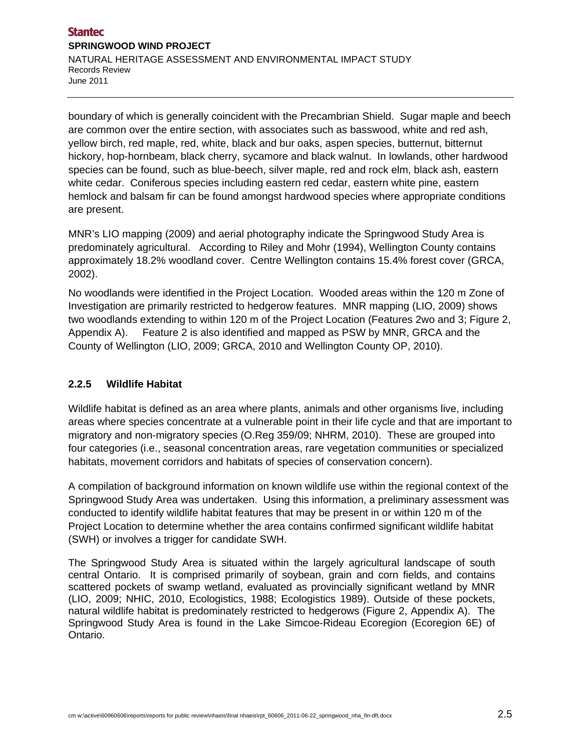boundary of which is generally coincident with the Precambrian Shield. Sugar maple and beech are common over the entire section, with associates such as basswood, white and red ash, yellow birch, red maple, red, white, black and bur oaks, aspen species, butternut, bitternut hickory, hop-hornbeam, black cherry, sycamore and black walnut. In lowlands, other hardwood species can be found, such as blue-beech, silver maple, red and rock elm, black ash, eastern white cedar. Coniferous species including eastern red cedar, eastern white pine, eastern hemlock and balsam fir can be found amongst hardwood species where appropriate conditions are present.

MNR's LIO mapping (2009) and aerial photography indicate the Springwood Study Area is predominately agricultural. According to Riley and Mohr (1994), Wellington County contains approximately 18.2% woodland cover. Centre Wellington contains 15.4% forest cover (GRCA, 2002).

No woodlands were identified in the Project Location. Wooded areas within the 120 m Zone of Investigation are primarily restricted to hedgerow features. MNR mapping (LIO, 2009) shows two woodlands extending to within 120 m of the Project Location (Features 2wo and 3; Figure 2, Appendix A). Feature 2 is also identified and mapped as PSW by MNR, GRCA and the County of Wellington (LIO, 2009; GRCA, 2010 and Wellington County OP, 2010).

# **2.2.5 Wildlife Habitat**

Wildlife habitat is defined as an area where plants, animals and other organisms live, including areas where species concentrate at a vulnerable point in their life cycle and that are important to migratory and non-migratory species (O.Reg 359/09; NHRM, 2010). These are grouped into four categories (i.e., seasonal concentration areas, rare vegetation communities or specialized habitats, movement corridors and habitats of species of conservation concern).

A compilation of background information on known wildlife use within the regional context of the Springwood Study Area was undertaken. Using this information, a preliminary assessment was conducted to identify wildlife habitat features that may be present in or within 120 m of the Project Location to determine whether the area contains confirmed significant wildlife habitat (SWH) or involves a trigger for candidate SWH.

The Springwood Study Area is situated within the largely agricultural landscape of south central Ontario. It is comprised primarily of soybean, grain and corn fields, and contains scattered pockets of swamp wetland, evaluated as provincially significant wetland by MNR (LIO, 2009; NHIC, 2010, Ecologistics, 1988; Ecologistics 1989). Outside of these pockets, natural wildlife habitat is predominately restricted to hedgerows (Figure 2, Appendix A). The Springwood Study Area is found in the Lake Simcoe-Rideau Ecoregion (Ecoregion 6E) of Ontario.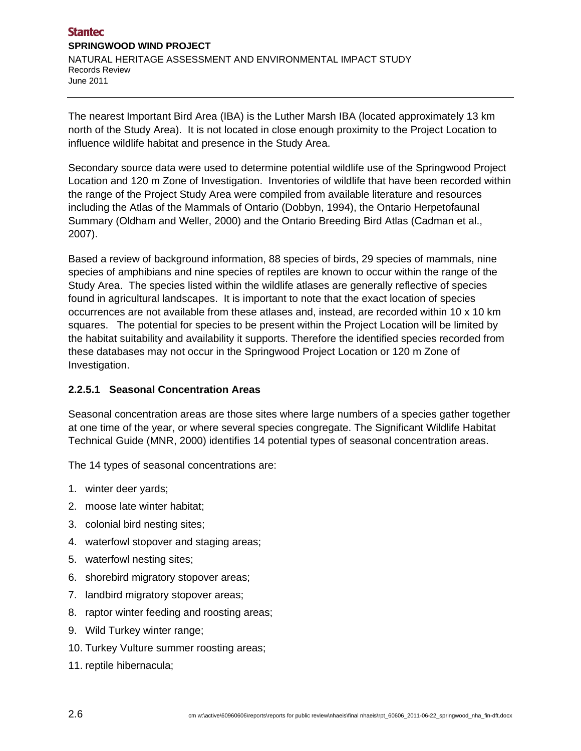The nearest Important Bird Area (IBA) is the Luther Marsh IBA (located approximately 13 km north of the Study Area). It is not located in close enough proximity to the Project Location to influence wildlife habitat and presence in the Study Area.

Secondary source data were used to determine potential wildlife use of the Springwood Project Location and 120 m Zone of Investigation. Inventories of wildlife that have been recorded within the range of the Project Study Area were compiled from available literature and resources including the Atlas of the Mammals of Ontario (Dobbyn, 1994), the Ontario Herpetofaunal Summary (Oldham and Weller, 2000) and the Ontario Breeding Bird Atlas (Cadman et al., 2007).

Based a review of background information, 88 species of birds, 29 species of mammals, nine species of amphibians and nine species of reptiles are known to occur within the range of the Study Area. The species listed within the wildlife atlases are generally reflective of species found in agricultural landscapes. It is important to note that the exact location of species occurrences are not available from these atlases and, instead, are recorded within 10 x 10 km squares. The potential for species to be present within the Project Location will be limited by the habitat suitability and availability it supports. Therefore the identified species recorded from these databases may not occur in the Springwood Project Location or 120 m Zone of Investigation.

# **2.2.5.1 Seasonal Concentration Areas**

Seasonal concentration areas are those sites where large numbers of a species gather together at one time of the year, or where several species congregate. The Significant Wildlife Habitat Technical Guide (MNR, 2000) identifies 14 potential types of seasonal concentration areas.

The 14 types of seasonal concentrations are:

- 1. winter deer yards;
- 2. moose late winter habitat;
- 3. colonial bird nesting sites;
- 4. waterfowl stopover and staging areas;
- 5. waterfowl nesting sites;
- 6. shorebird migratory stopover areas;
- 7. landbird migratory stopover areas;
- 8. raptor winter feeding and roosting areas;
- 9. Wild Turkey winter range;
- 10. Turkey Vulture summer roosting areas;
- 11. reptile hibernacula;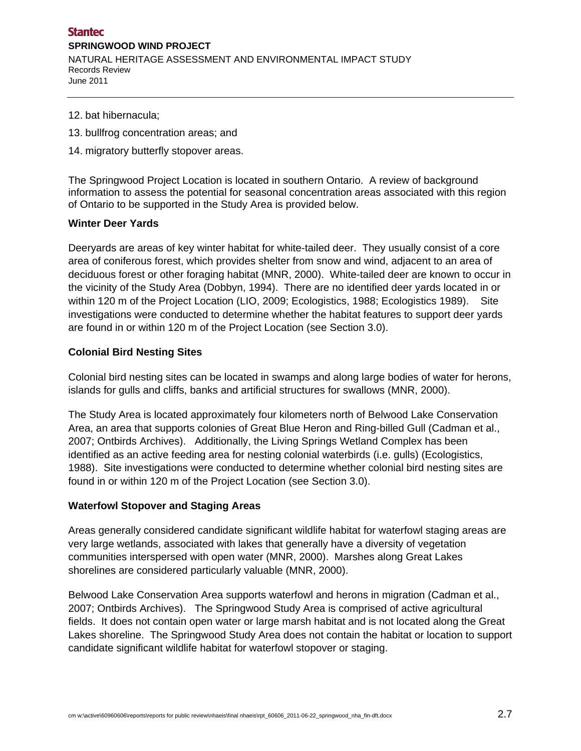- 12. bat hibernacula;
- 13. bullfrog concentration areas; and
- 14. migratory butterfly stopover areas.

The Springwood Project Location is located in southern Ontario. A review of background information to assess the potential for seasonal concentration areas associated with this region of Ontario to be supported in the Study Area is provided below.

#### **Winter Deer Yards**

Deeryards are areas of key winter habitat for white-tailed deer. They usually consist of a core area of coniferous forest, which provides shelter from snow and wind, adjacent to an area of deciduous forest or other foraging habitat (MNR, 2000). White-tailed deer are known to occur in the vicinity of the Study Area (Dobbyn, 1994). There are no identified deer yards located in or within 120 m of the Project Location (LIO, 2009; Ecologistics, 1988; Ecologistics 1989). Site investigations were conducted to determine whether the habitat features to support deer yards are found in or within 120 m of the Project Location (see Section 3.0).

#### **Colonial Bird Nesting Sites**

Colonial bird nesting sites can be located in swamps and along large bodies of water for herons, islands for gulls and cliffs, banks and artificial structures for swallows (MNR, 2000).

The Study Area is located approximately four kilometers north of Belwood Lake Conservation Area, an area that supports colonies of Great Blue Heron and Ring-billed Gull (Cadman et al., 2007; Ontbirds Archives). Additionally, the Living Springs Wetland Complex has been identified as an active feeding area for nesting colonial waterbirds (i.e. gulls) (Ecologistics, 1988). Site investigations were conducted to determine whether colonial bird nesting sites are found in or within 120 m of the Project Location (see Section 3.0).

#### **Waterfowl Stopover and Staging Areas**

Areas generally considered candidate significant wildlife habitat for waterfowl staging areas are very large wetlands, associated with lakes that generally have a diversity of vegetation communities interspersed with open water (MNR, 2000). Marshes along Great Lakes shorelines are considered particularly valuable (MNR, 2000).

Belwood Lake Conservation Area supports waterfowl and herons in migration (Cadman et al., 2007; Ontbirds Archives). The Springwood Study Area is comprised of active agricultural fields. It does not contain open water or large marsh habitat and is not located along the Great Lakes shoreline. The Springwood Study Area does not contain the habitat or location to support candidate significant wildlife habitat for waterfowl stopover or staging.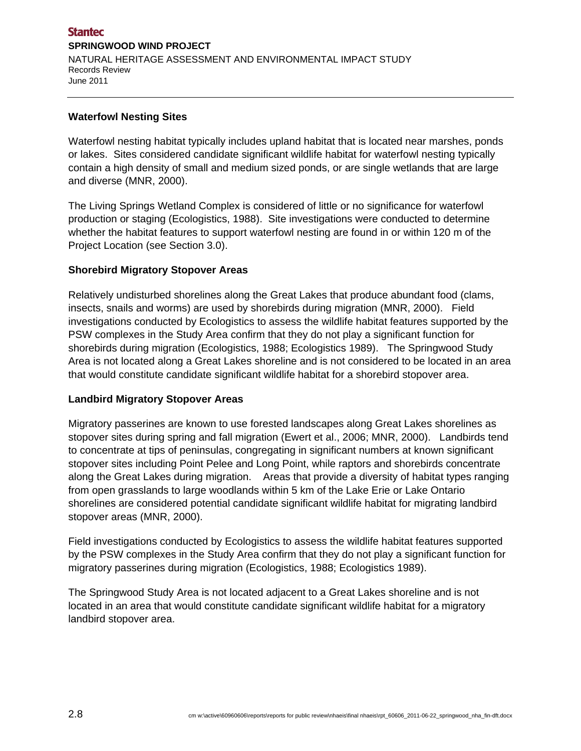#### **Waterfowl Nesting Sites**

Waterfowl nesting habitat typically includes upland habitat that is located near marshes, ponds or lakes. Sites considered candidate significant wildlife habitat for waterfowl nesting typically contain a high density of small and medium sized ponds, or are single wetlands that are large and diverse (MNR, 2000).

The Living Springs Wetland Complex is considered of little or no significance for waterfowl production or staging (Ecologistics, 1988). Site investigations were conducted to determine whether the habitat features to support waterfowl nesting are found in or within 120 m of the Project Location (see Section 3.0).

#### **Shorebird Migratory Stopover Areas**

Relatively undisturbed shorelines along the Great Lakes that produce abundant food (clams, insects, snails and worms) are used by shorebirds during migration (MNR, 2000). Field investigations conducted by Ecologistics to assess the wildlife habitat features supported by the PSW complexes in the Study Area confirm that they do not play a significant function for shorebirds during migration (Ecologistics, 1988; Ecologistics 1989). The Springwood Study Area is not located along a Great Lakes shoreline and is not considered to be located in an area that would constitute candidate significant wildlife habitat for a shorebird stopover area.

#### **Landbird Migratory Stopover Areas**

Migratory passerines are known to use forested landscapes along Great Lakes shorelines as stopover sites during spring and fall migration (Ewert et al., 2006; MNR, 2000). Landbirds tend to concentrate at tips of peninsulas, congregating in significant numbers at known significant stopover sites including Point Pelee and Long Point, while raptors and shorebirds concentrate along the Great Lakes during migration. Areas that provide a diversity of habitat types ranging from open grasslands to large woodlands within 5 km of the Lake Erie or Lake Ontario shorelines are considered potential candidate significant wildlife habitat for migrating landbird stopover areas (MNR, 2000).

Field investigations conducted by Ecologistics to assess the wildlife habitat features supported by the PSW complexes in the Study Area confirm that they do not play a significant function for migratory passerines during migration (Ecologistics, 1988; Ecologistics 1989).

The Springwood Study Area is not located adjacent to a Great Lakes shoreline and is not located in an area that would constitute candidate significant wildlife habitat for a migratory landbird stopover area.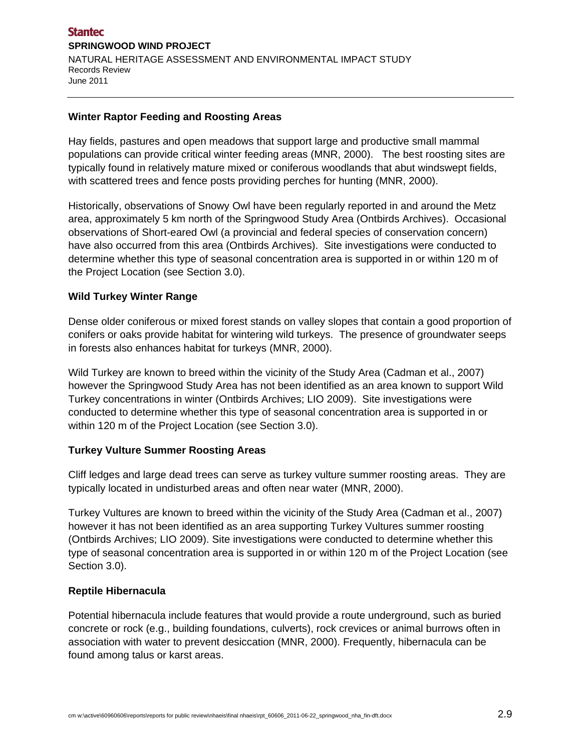#### **Winter Raptor Feeding and Roosting Areas**

Hay fields, pastures and open meadows that support large and productive small mammal populations can provide critical winter feeding areas (MNR, 2000). The best roosting sites are typically found in relatively mature mixed or coniferous woodlands that abut windswept fields, with scattered trees and fence posts providing perches for hunting (MNR, 2000).

Historically, observations of Snowy Owl have been regularly reported in and around the Metz area, approximately 5 km north of the Springwood Study Area (Ontbirds Archives). Occasional observations of Short-eared Owl (a provincial and federal species of conservation concern) have also occurred from this area (Ontbirds Archives). Site investigations were conducted to determine whether this type of seasonal concentration area is supported in or within 120 m of the Project Location (see Section 3.0).

#### **Wild Turkey Winter Range**

Dense older coniferous or mixed forest stands on valley slopes that contain a good proportion of conifers or oaks provide habitat for wintering wild turkeys. The presence of groundwater seeps in forests also enhances habitat for turkeys (MNR, 2000).

Wild Turkey are known to breed within the vicinity of the Study Area (Cadman et al., 2007) however the Springwood Study Area has not been identified as an area known to support Wild Turkey concentrations in winter (Ontbirds Archives; LIO 2009). Site investigations were conducted to determine whether this type of seasonal concentration area is supported in or within 120 m of the Project Location (see Section 3.0).

#### **Turkey Vulture Summer Roosting Areas**

Cliff ledges and large dead trees can serve as turkey vulture summer roosting areas. They are typically located in undisturbed areas and often near water (MNR, 2000).

Turkey Vultures are known to breed within the vicinity of the Study Area (Cadman et al., 2007) however it has not been identified as an area supporting Turkey Vultures summer roosting (Ontbirds Archives; LIO 2009). Site investigations were conducted to determine whether this type of seasonal concentration area is supported in or within 120 m of the Project Location (see Section 3.0).

#### **Reptile Hibernacula**

Potential hibernacula include features that would provide a route underground, such as buried concrete or rock (e.g., building foundations, culverts), rock crevices or animal burrows often in association with water to prevent desiccation (MNR, 2000). Frequently, hibernacula can be found among talus or karst areas.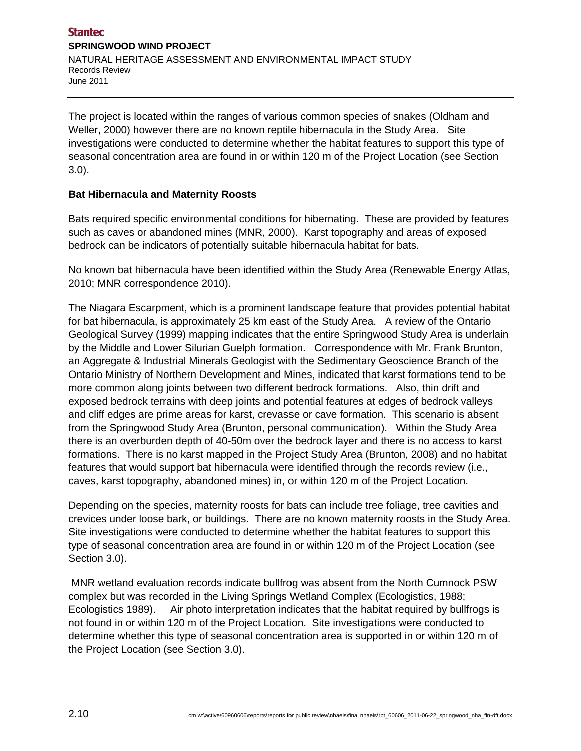The project is located within the ranges of various common species of snakes (Oldham and Weller, 2000) however there are no known reptile hibernacula in the Study Area. Site investigations were conducted to determine whether the habitat features to support this type of seasonal concentration area are found in or within 120 m of the Project Location (see Section 3.0).

## **Bat Hibernacula and Maternity Roosts**

Bats required specific environmental conditions for hibernating. These are provided by features such as caves or abandoned mines (MNR, 2000). Karst topography and areas of exposed bedrock can be indicators of potentially suitable hibernacula habitat for bats.

No known bat hibernacula have been identified within the Study Area (Renewable Energy Atlas, 2010; MNR correspondence 2010).

The Niagara Escarpment, which is a prominent landscape feature that provides potential habitat for bat hibernacula, is approximately 25 km east of the Study Area. A review of the Ontario Geological Survey (1999) mapping indicates that the entire Springwood Study Area is underlain by the Middle and Lower Silurian Guelph formation. Correspondence with Mr. Frank Brunton, an Aggregate & Industrial Minerals Geologist with the Sedimentary Geoscience Branch of the Ontario Ministry of Northern Development and Mines, indicated that karst formations tend to be more common along joints between two different bedrock formations. Also, thin drift and exposed bedrock terrains with deep joints and potential features at edges of bedrock valleys and cliff edges are prime areas for karst, crevasse or cave formation. This scenario is absent from the Springwood Study Area (Brunton, personal communication). Within the Study Area there is an overburden depth of 40-50m over the bedrock layer and there is no access to karst formations. There is no karst mapped in the Project Study Area (Brunton, 2008) and no habitat features that would support bat hibernacula were identified through the records review (i.e., caves, karst topography, abandoned mines) in, or within 120 m of the Project Location.

Depending on the species, maternity roosts for bats can include tree foliage, tree cavities and crevices under loose bark, or buildings. There are no known maternity roosts in the Study Area. Site investigations were conducted to determine whether the habitat features to support this type of seasonal concentration area are found in or within 120 m of the Project Location (see Section 3.0).

 MNR wetland evaluation records indicate bullfrog was absent from the North Cumnock PSW complex but was recorded in the Living Springs Wetland Complex (Ecologistics, 1988; Ecologistics 1989). Air photo interpretation indicates that the habitat required by bullfrogs is not found in or within 120 m of the Project Location. Site investigations were conducted to determine whether this type of seasonal concentration area is supported in or within 120 m of the Project Location (see Section 3.0).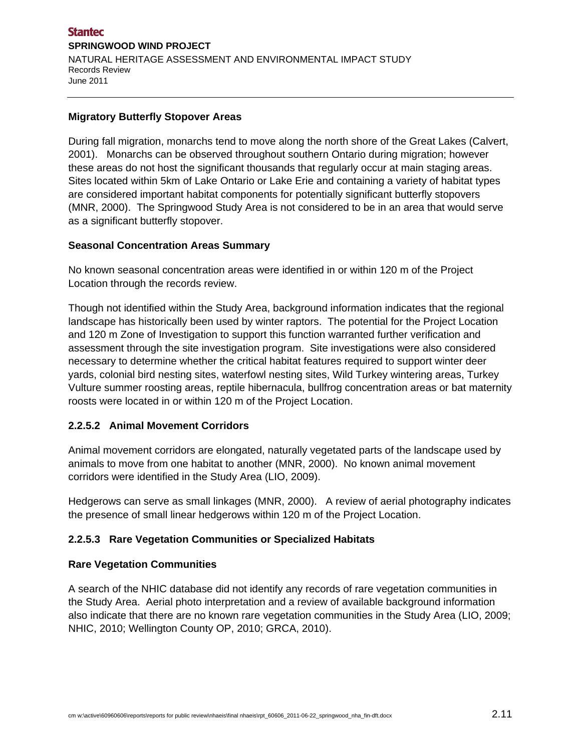#### **Migratory Butterfly Stopover Areas**

During fall migration, monarchs tend to move along the north shore of the Great Lakes (Calvert, 2001). Monarchs can be observed throughout southern Ontario during migration; however these areas do not host the significant thousands that regularly occur at main staging areas. Sites located within 5km of Lake Ontario or Lake Erie and containing a variety of habitat types are considered important habitat components for potentially significant butterfly stopovers (MNR, 2000). The Springwood Study Area is not considered to be in an area that would serve as a significant butterfly stopover.

#### **Seasonal Concentration Areas Summary**

No known seasonal concentration areas were identified in or within 120 m of the Project Location through the records review.

Though not identified within the Study Area, background information indicates that the regional landscape has historically been used by winter raptors. The potential for the Project Location and 120 m Zone of Investigation to support this function warranted further verification and assessment through the site investigation program. Site investigations were also considered necessary to determine whether the critical habitat features required to support winter deer yards, colonial bird nesting sites, waterfowl nesting sites, Wild Turkey wintering areas, Turkey Vulture summer roosting areas, reptile hibernacula, bullfrog concentration areas or bat maternity roosts were located in or within 120 m of the Project Location.

#### **2.2.5.2 Animal Movement Corridors**

Animal movement corridors are elongated, naturally vegetated parts of the landscape used by animals to move from one habitat to another (MNR, 2000). No known animal movement corridors were identified in the Study Area (LIO, 2009).

Hedgerows can serve as small linkages (MNR, 2000). A review of aerial photography indicates the presence of small linear hedgerows within 120 m of the Project Location.

#### **2.2.5.3 Rare Vegetation Communities or Specialized Habitats**

#### **Rare Vegetation Communities**

A search of the NHIC database did not identify any records of rare vegetation communities in the Study Area. Aerial photo interpretation and a review of available background information also indicate that there are no known rare vegetation communities in the Study Area (LIO, 2009; NHIC, 2010; Wellington County OP, 2010; GRCA, 2010).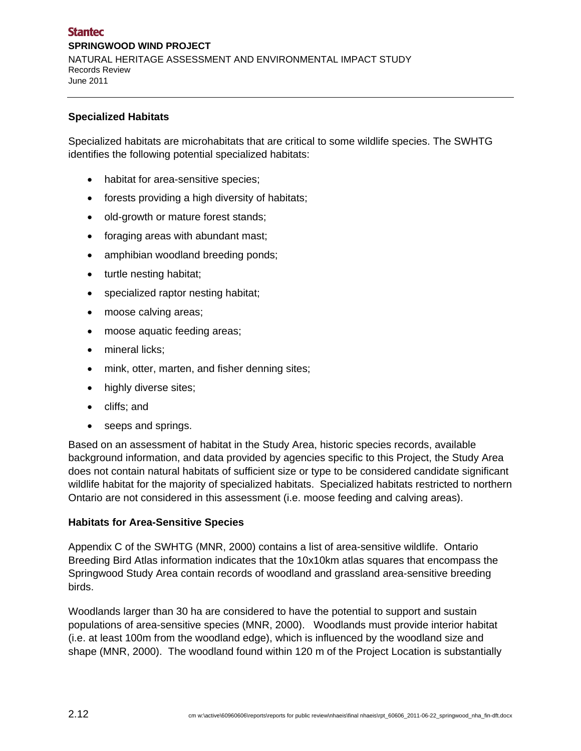#### **Specialized Habitats**

Specialized habitats are microhabitats that are critical to some wildlife species. The SWHTG identifies the following potential specialized habitats:

- habitat for area-sensitive species;
- forests providing a high diversity of habitats;
- old-growth or mature forest stands;
- foraging areas with abundant mast;
- amphibian woodland breeding ponds;
- turtle nesting habitat;
- specialized raptor nesting habitat;
- moose calving areas;
- moose aquatic feeding areas;
- mineral licks;
- mink, otter, marten, and fisher denning sites;
- highly diverse sites;
- cliffs; and
- seeps and springs.

Based on an assessment of habitat in the Study Area, historic species records, available background information, and data provided by agencies specific to this Project, the Study Area does not contain natural habitats of sufficient size or type to be considered candidate significant wildlife habitat for the majority of specialized habitats. Specialized habitats restricted to northern Ontario are not considered in this assessment (i.e. moose feeding and calving areas).

#### **Habitats for Area-Sensitive Species**

Appendix C of the SWHTG (MNR, 2000) contains a list of area-sensitive wildlife. Ontario Breeding Bird Atlas information indicates that the 10x10km atlas squares that encompass the Springwood Study Area contain records of woodland and grassland area-sensitive breeding birds.

Woodlands larger than 30 ha are considered to have the potential to support and sustain populations of area-sensitive species (MNR, 2000). Woodlands must provide interior habitat (i.e. at least 100m from the woodland edge), which is influenced by the woodland size and shape (MNR, 2000). The woodland found within 120 m of the Project Location is substantially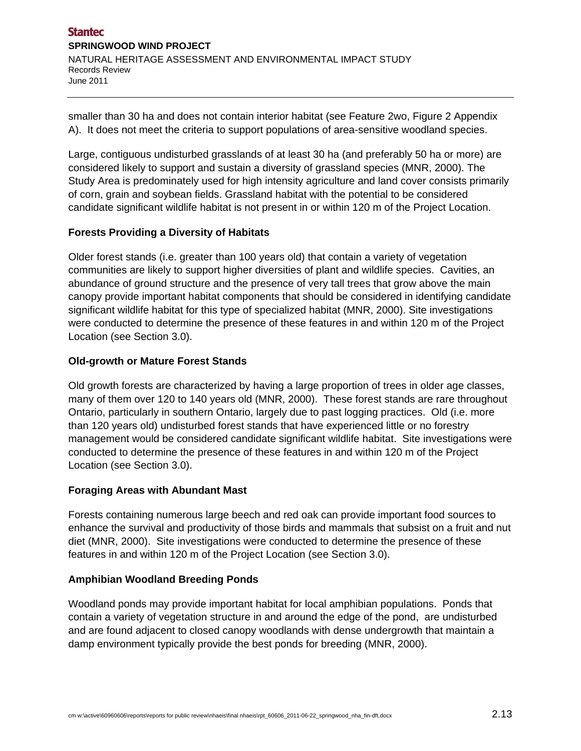smaller than 30 ha and does not contain interior habitat (see Feature 2wo, Figure 2 Appendix A). It does not meet the criteria to support populations of area-sensitive woodland species.

Large, contiguous undisturbed grasslands of at least 30 ha (and preferably 50 ha or more) are considered likely to support and sustain a diversity of grassland species (MNR, 2000). The Study Area is predominately used for high intensity agriculture and land cover consists primarily of corn, grain and soybean fields. Grassland habitat with the potential to be considered candidate significant wildlife habitat is not present in or within 120 m of the Project Location.

## **Forests Providing a Diversity of Habitats**

Older forest stands (i.e. greater than 100 years old) that contain a variety of vegetation communities are likely to support higher diversities of plant and wildlife species. Cavities, an abundance of ground structure and the presence of very tall trees that grow above the main canopy provide important habitat components that should be considered in identifying candidate significant wildlife habitat for this type of specialized habitat (MNR, 2000). Site investigations were conducted to determine the presence of these features in and within 120 m of the Project Location (see Section 3.0).

#### **Old-growth or Mature Forest Stands**

Old growth forests are characterized by having a large proportion of trees in older age classes, many of them over 120 to 140 years old (MNR, 2000). These forest stands are rare throughout Ontario, particularly in southern Ontario, largely due to past logging practices. Old (i.e. more than 120 years old) undisturbed forest stands that have experienced little or no forestry management would be considered candidate significant wildlife habitat. Site investigations were conducted to determine the presence of these features in and within 120 m of the Project Location (see Section 3.0).

#### **Foraging Areas with Abundant Mast**

Forests containing numerous large beech and red oak can provide important food sources to enhance the survival and productivity of those birds and mammals that subsist on a fruit and nut diet (MNR, 2000). Site investigations were conducted to determine the presence of these features in and within 120 m of the Project Location (see Section 3.0).

#### **Amphibian Woodland Breeding Ponds**

Woodland ponds may provide important habitat for local amphibian populations. Ponds that contain a variety of vegetation structure in and around the edge of the pond, are undisturbed and are found adjacent to closed canopy woodlands with dense undergrowth that maintain a damp environment typically provide the best ponds for breeding (MNR, 2000).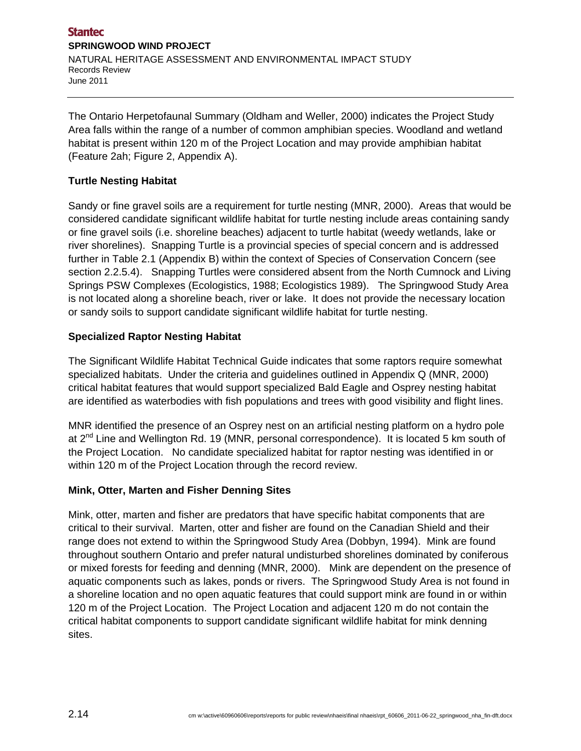The Ontario Herpetofaunal Summary (Oldham and Weller, 2000) indicates the Project Study Area falls within the range of a number of common amphibian species. Woodland and wetland habitat is present within 120 m of the Project Location and may provide amphibian habitat (Feature 2ah; Figure 2, Appendix A).

### **Turtle Nesting Habitat**

Sandy or fine gravel soils are a requirement for turtle nesting (MNR, 2000). Areas that would be considered candidate significant wildlife habitat for turtle nesting include areas containing sandy or fine gravel soils (i.e. shoreline beaches) adjacent to turtle habitat (weedy wetlands, lake or river shorelines). Snapping Turtle is a provincial species of special concern and is addressed further in Table 2.1 (Appendix B) within the context of Species of Conservation Concern (see section 2.2.5.4). Snapping Turtles were considered absent from the North Cumnock and Living Springs PSW Complexes (Ecologistics, 1988; Ecologistics 1989). The Springwood Study Area is not located along a shoreline beach, river or lake. It does not provide the necessary location or sandy soils to support candidate significant wildlife habitat for turtle nesting.

#### **Specialized Raptor Nesting Habitat**

The Significant Wildlife Habitat Technical Guide indicates that some raptors require somewhat specialized habitats. Under the criteria and guidelines outlined in Appendix Q (MNR, 2000) critical habitat features that would support specialized Bald Eagle and Osprey nesting habitat are identified as waterbodies with fish populations and trees with good visibility and flight lines.

MNR identified the presence of an Osprey nest on an artificial nesting platform on a hydro pole at 2<sup>nd</sup> Line and Wellington Rd. 19 (MNR, personal correspondence). It is located 5 km south of the Project Location. No candidate specialized habitat for raptor nesting was identified in or within 120 m of the Project Location through the record review.

#### **Mink, Otter, Marten and Fisher Denning Sites**

Mink, otter, marten and fisher are predators that have specific habitat components that are critical to their survival. Marten, otter and fisher are found on the Canadian Shield and their range does not extend to within the Springwood Study Area (Dobbyn, 1994). Mink are found throughout southern Ontario and prefer natural undisturbed shorelines dominated by coniferous or mixed forests for feeding and denning (MNR, 2000). Mink are dependent on the presence of aquatic components such as lakes, ponds or rivers. The Springwood Study Area is not found in a shoreline location and no open aquatic features that could support mink are found in or within 120 m of the Project Location. The Project Location and adjacent 120 m do not contain the critical habitat components to support candidate significant wildlife habitat for mink denning sites.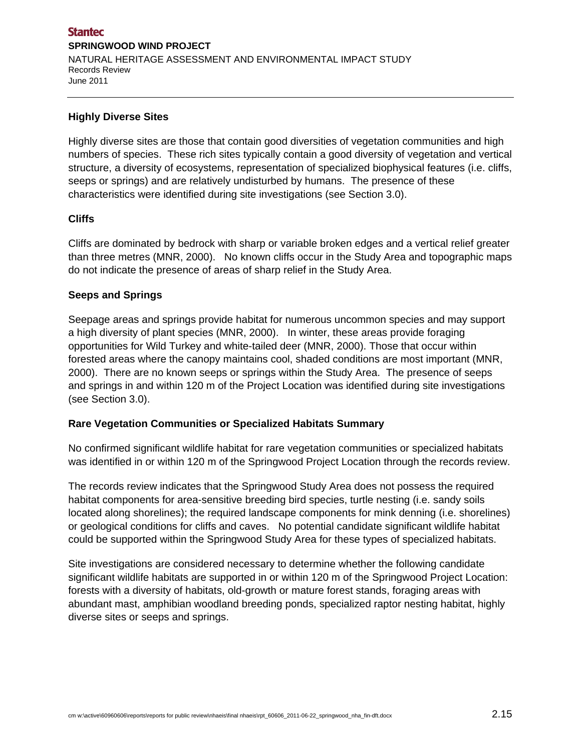#### **Highly Diverse Sites**

Highly diverse sites are those that contain good diversities of vegetation communities and high numbers of species. These rich sites typically contain a good diversity of vegetation and vertical structure, a diversity of ecosystems, representation of specialized biophysical features (i.e. cliffs, seeps or springs) and are relatively undisturbed by humans. The presence of these characteristics were identified during site investigations (see Section 3.0).

#### **Cliffs**

Cliffs are dominated by bedrock with sharp or variable broken edges and a vertical relief greater than three metres (MNR, 2000). No known cliffs occur in the Study Area and topographic maps do not indicate the presence of areas of sharp relief in the Study Area.

#### **Seeps and Springs**

Seepage areas and springs provide habitat for numerous uncommon species and may support a high diversity of plant species (MNR, 2000). In winter, these areas provide foraging opportunities for Wild Turkey and white-tailed deer (MNR, 2000). Those that occur within forested areas where the canopy maintains cool, shaded conditions are most important (MNR, 2000). There are no known seeps or springs within the Study Area. The presence of seeps and springs in and within 120 m of the Project Location was identified during site investigations (see Section 3.0).

#### **Rare Vegetation Communities or Specialized Habitats Summary**

No confirmed significant wildlife habitat for rare vegetation communities or specialized habitats was identified in or within 120 m of the Springwood Project Location through the records review.

The records review indicates that the Springwood Study Area does not possess the required habitat components for area-sensitive breeding bird species, turtle nesting (i.e. sandy soils located along shorelines); the required landscape components for mink denning (i.e. shorelines) or geological conditions for cliffs and caves. No potential candidate significant wildlife habitat could be supported within the Springwood Study Area for these types of specialized habitats.

Site investigations are considered necessary to determine whether the following candidate significant wildlife habitats are supported in or within 120 m of the Springwood Project Location: forests with a diversity of habitats, old-growth or mature forest stands, foraging areas with abundant mast, amphibian woodland breeding ponds, specialized raptor nesting habitat, highly diverse sites or seeps and springs.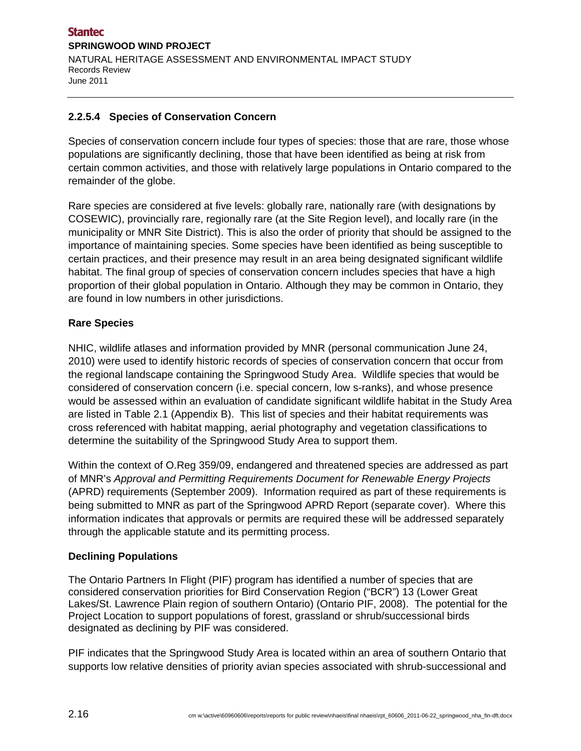## **2.2.5.4 Species of Conservation Concern**

Species of conservation concern include four types of species: those that are rare, those whose populations are significantly declining, those that have been identified as being at risk from certain common activities, and those with relatively large populations in Ontario compared to the remainder of the globe.

Rare species are considered at five levels: globally rare, nationally rare (with designations by COSEWIC), provincially rare, regionally rare (at the Site Region level), and locally rare (in the municipality or MNR Site District). This is also the order of priority that should be assigned to the importance of maintaining species. Some species have been identified as being susceptible to certain practices, and their presence may result in an area being designated significant wildlife habitat. The final group of species of conservation concern includes species that have a high proportion of their global population in Ontario. Although they may be common in Ontario, they are found in low numbers in other jurisdictions.

#### **Rare Species**

NHIC, wildlife atlases and information provided by MNR (personal communication June 24, 2010) were used to identify historic records of species of conservation concern that occur from the regional landscape containing the Springwood Study Area. Wildlife species that would be considered of conservation concern (i.e. special concern, low s-ranks), and whose presence would be assessed within an evaluation of candidate significant wildlife habitat in the Study Area are listed in Table 2.1 (Appendix B). This list of species and their habitat requirements was cross referenced with habitat mapping, aerial photography and vegetation classifications to determine the suitability of the Springwood Study Area to support them.

Within the context of O.Reg 359/09, endangered and threatened species are addressed as part of MNR's *Approval and Permitting Requirements Document for Renewable Energy Projects* (APRD) requirements (September 2009). Information required as part of these requirements is being submitted to MNR as part of the Springwood APRD Report (separate cover). Where this information indicates that approvals or permits are required these will be addressed separately through the applicable statute and its permitting process.

#### **Declining Populations**

The Ontario Partners In Flight (PIF) program has identified a number of species that are considered conservation priorities for Bird Conservation Region ("BCR") 13 (Lower Great Lakes/St. Lawrence Plain region of southern Ontario) (Ontario PIF, 2008). The potential for the Project Location to support populations of forest, grassland or shrub/successional birds designated as declining by PIF was considered.

PIF indicates that the Springwood Study Area is located within an area of southern Ontario that supports low relative densities of priority avian species associated with shrub-successional and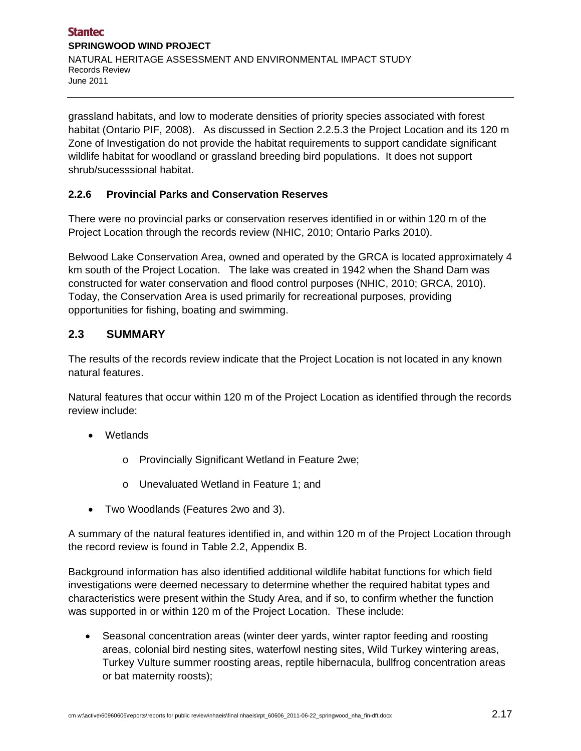grassland habitats, and low to moderate densities of priority species associated with forest habitat (Ontario PIF, 2008). As discussed in Section 2.2.5.3 the Project Location and its 120 m Zone of Investigation do not provide the habitat requirements to support candidate significant wildlife habitat for woodland or grassland breeding bird populations. It does not support shrub/sucesssional habitat.

## **2.2.6 Provincial Parks and Conservation Reserves**

There were no provincial parks or conservation reserves identified in or within 120 m of the Project Location through the records review (NHIC, 2010; Ontario Parks 2010).

Belwood Lake Conservation Area, owned and operated by the GRCA is located approximately 4 km south of the Project Location. The lake was created in 1942 when the Shand Dam was constructed for water conservation and flood control purposes (NHIC, 2010; GRCA, 2010). Today, the Conservation Area is used primarily for recreational purposes, providing opportunities for fishing, boating and swimming.

# **2.3 SUMMARY**

The results of the records review indicate that the Project Location is not located in any known natural features.

Natural features that occur within 120 m of the Project Location as identified through the records review include:

- Wetlands
	- o Provincially Significant Wetland in Feature 2we;
	- o Unevaluated Wetland in Feature 1; and
- Two Woodlands (Features 2wo and 3).

A summary of the natural features identified in, and within 120 m of the Project Location through the record review is found in Table 2.2, Appendix B.

Background information has also identified additional wildlife habitat functions for which field investigations were deemed necessary to determine whether the required habitat types and characteristics were present within the Study Area, and if so, to confirm whether the function was supported in or within 120 m of the Project Location. These include:

 Seasonal concentration areas (winter deer yards, winter raptor feeding and roosting areas, colonial bird nesting sites, waterfowl nesting sites, Wild Turkey wintering areas, Turkey Vulture summer roosting areas, reptile hibernacula, bullfrog concentration areas or bat maternity roosts);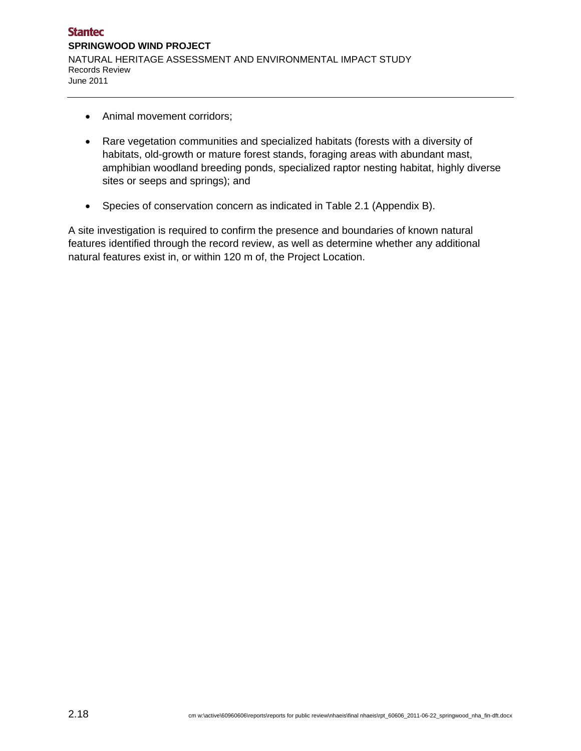- Animal movement corridors;
- Rare vegetation communities and specialized habitats (forests with a diversity of habitats, old-growth or mature forest stands, foraging areas with abundant mast, amphibian woodland breeding ponds, specialized raptor nesting habitat, highly diverse sites or seeps and springs); and
- Species of conservation concern as indicated in Table 2.1 (Appendix B).

A site investigation is required to confirm the presence and boundaries of known natural features identified through the record review, as well as determine whether any additional natural features exist in, or within 120 m of, the Project Location.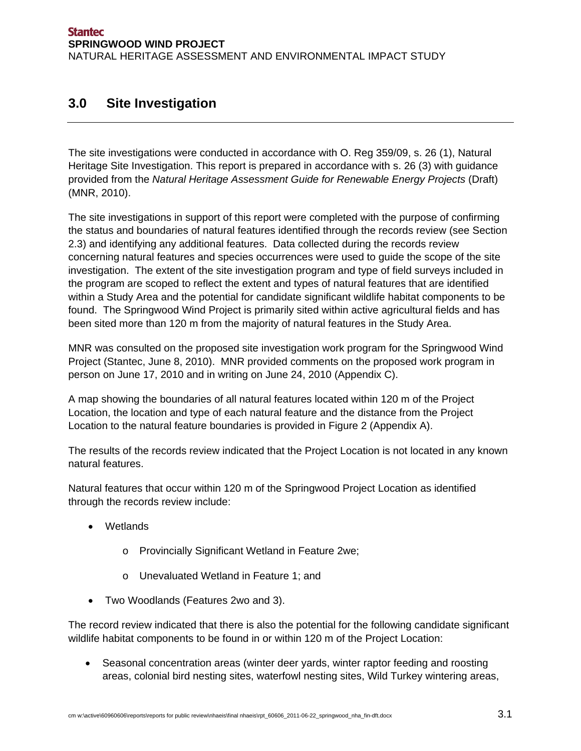# **3.0 Site Investigation**

The site investigations were conducted in accordance with O. Reg 359/09, s. 26 (1), Natural Heritage Site Investigation. This report is prepared in accordance with s. 26 (3) with guidance provided from the *Natural Heritage Assessment Guide for Renewable Energy Projects* (Draft) (MNR, 2010).

The site investigations in support of this report were completed with the purpose of confirming the status and boundaries of natural features identified through the records review (see Section 2.3) and identifying any additional features. Data collected during the records review concerning natural features and species occurrences were used to guide the scope of the site investigation. The extent of the site investigation program and type of field surveys included in the program are scoped to reflect the extent and types of natural features that are identified within a Study Area and the potential for candidate significant wildlife habitat components to be found. The Springwood Wind Project is primarily sited within active agricultural fields and has been sited more than 120 m from the majority of natural features in the Study Area.

MNR was consulted on the proposed site investigation work program for the Springwood Wind Project (Stantec, June 8, 2010). MNR provided comments on the proposed work program in person on June 17, 2010 and in writing on June 24, 2010 (Appendix C).

A map showing the boundaries of all natural features located within 120 m of the Project Location, the location and type of each natural feature and the distance from the Project Location to the natural feature boundaries is provided in Figure 2 (Appendix A).

The results of the records review indicated that the Project Location is not located in any known natural features.

Natural features that occur within 120 m of the Springwood Project Location as identified through the records review include:

- Wetlands
	- o Provincially Significant Wetland in Feature 2we;
	- o Unevaluated Wetland in Feature 1; and
- Two Woodlands (Features 2wo and 3).

The record review indicated that there is also the potential for the following candidate significant wildlife habitat components to be found in or within 120 m of the Project Location:

 Seasonal concentration areas (winter deer yards, winter raptor feeding and roosting areas, colonial bird nesting sites, waterfowl nesting sites, Wild Turkey wintering areas,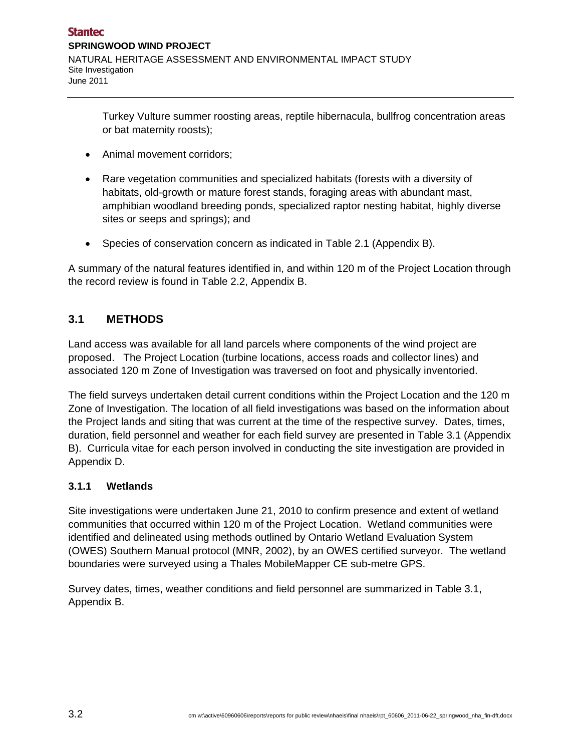Turkey Vulture summer roosting areas, reptile hibernacula, bullfrog concentration areas or bat maternity roosts);

- Animal movement corridors;
- Rare vegetation communities and specialized habitats (forests with a diversity of habitats, old-growth or mature forest stands, foraging areas with abundant mast, amphibian woodland breeding ponds, specialized raptor nesting habitat, highly diverse sites or seeps and springs); and
- Species of conservation concern as indicated in Table 2.1 (Appendix B).

A summary of the natural features identified in, and within 120 m of the Project Location through the record review is found in Table 2.2, Appendix B.

# **3.1 METHODS**

Land access was available for all land parcels where components of the wind project are proposed. The Project Location (turbine locations, access roads and collector lines) and associated 120 m Zone of Investigation was traversed on foot and physically inventoried.

The field surveys undertaken detail current conditions within the Project Location and the 120 m Zone of Investigation. The location of all field investigations was based on the information about the Project lands and siting that was current at the time of the respective survey. Dates, times, duration, field personnel and weather for each field survey are presented in Table 3.1 (Appendix B). Curricula vitae for each person involved in conducting the site investigation are provided in Appendix D.

#### **3.1.1 Wetlands**

Site investigations were undertaken June 21, 2010 to confirm presence and extent of wetland communities that occurred within 120 m of the Project Location. Wetland communities were identified and delineated using methods outlined by Ontario Wetland Evaluation System (OWES) Southern Manual protocol (MNR, 2002), by an OWES certified surveyor. The wetland boundaries were surveyed using a Thales MobileMapper CE sub-metre GPS.

Survey dates, times, weather conditions and field personnel are summarized in Table 3.1, Appendix B.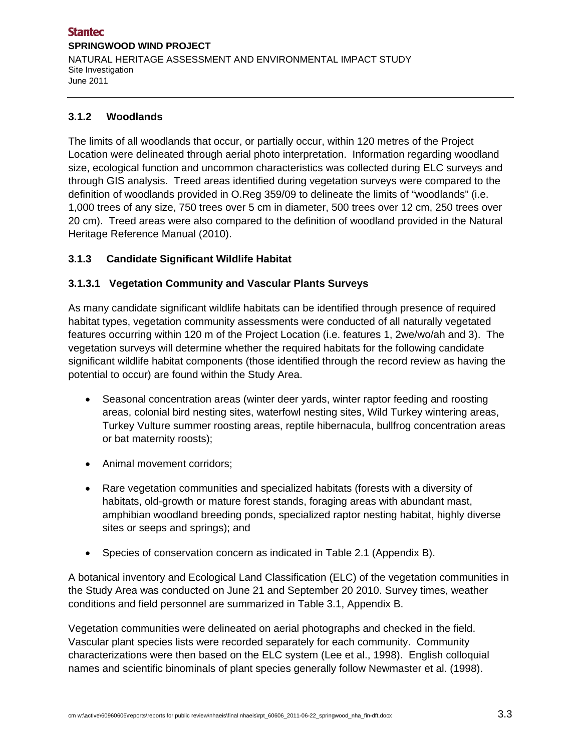#### **Stantec SPRINGWOOD WIND PROJECT**  NATURAL HERITAGE ASSESSMENT AND ENVIRONMENTAL IMPACT STUDY Site Investigation June 2011

#### **3.1.2 Woodlands**

The limits of all woodlands that occur, or partially occur, within 120 metres of the Project Location were delineated through aerial photo interpretation. Information regarding woodland size, ecological function and uncommon characteristics was collected during ELC surveys and through GIS analysis. Treed areas identified during vegetation surveys were compared to the definition of woodlands provided in O.Reg 359/09 to delineate the limits of "woodlands" (i.e. 1,000 trees of any size, 750 trees over 5 cm in diameter, 500 trees over 12 cm, 250 trees over 20 cm). Treed areas were also compared to the definition of woodland provided in the Natural Heritage Reference Manual (2010).

#### **3.1.3 Candidate Significant Wildlife Habitat**

#### **3.1.3.1 Vegetation Community and Vascular Plants Surveys**

As many candidate significant wildlife habitats can be identified through presence of required habitat types, vegetation community assessments were conducted of all naturally vegetated features occurring within 120 m of the Project Location (i.e. features 1, 2we/wo/ah and 3). The vegetation surveys will determine whether the required habitats for the following candidate significant wildlife habitat components (those identified through the record review as having the potential to occur) are found within the Study Area.

- Seasonal concentration areas (winter deer yards, winter raptor feeding and roosting areas, colonial bird nesting sites, waterfowl nesting sites, Wild Turkey wintering areas, Turkey Vulture summer roosting areas, reptile hibernacula, bullfrog concentration areas or bat maternity roosts);
- Animal movement corridors;
- Rare vegetation communities and specialized habitats (forests with a diversity of habitats, old-growth or mature forest stands, foraging areas with abundant mast, amphibian woodland breeding ponds, specialized raptor nesting habitat, highly diverse sites or seeps and springs); and
- Species of conservation concern as indicated in Table 2.1 (Appendix B).

A botanical inventory and Ecological Land Classification (ELC) of the vegetation communities in the Study Area was conducted on June 21 and September 20 2010. Survey times, weather conditions and field personnel are summarized in Table 3.1, Appendix B.

Vegetation communities were delineated on aerial photographs and checked in the field. Vascular plant species lists were recorded separately for each community. Community characterizations were then based on the ELC system (Lee et al., 1998). English colloquial names and scientific binominals of plant species generally follow Newmaster et al. (1998).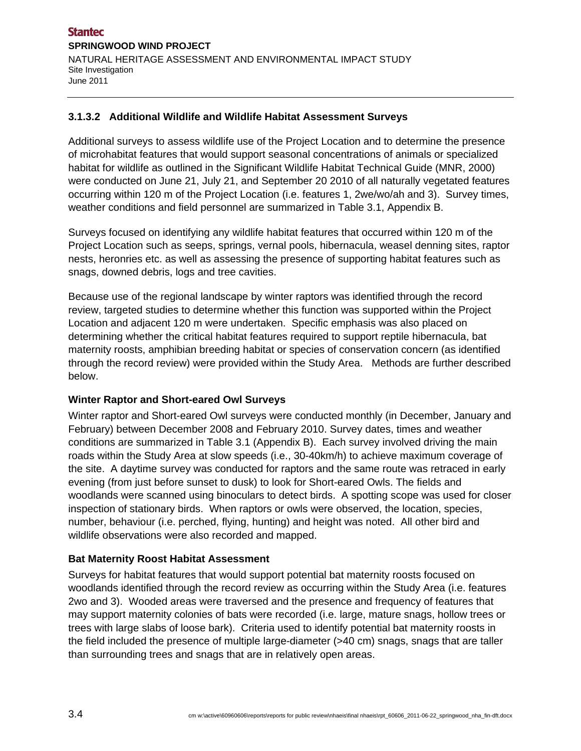#### **3.1.3.2 Additional Wildlife and Wildlife Habitat Assessment Surveys**

Additional surveys to assess wildlife use of the Project Location and to determine the presence of microhabitat features that would support seasonal concentrations of animals or specialized habitat for wildlife as outlined in the Significant Wildlife Habitat Technical Guide (MNR, 2000) were conducted on June 21, July 21, and September 20 2010 of all naturally vegetated features occurring within 120 m of the Project Location (i.e. features 1, 2we/wo/ah and 3). Survey times, weather conditions and field personnel are summarized in Table 3.1, Appendix B.

Surveys focused on identifying any wildlife habitat features that occurred within 120 m of the Project Location such as seeps, springs, vernal pools, hibernacula, weasel denning sites, raptor nests, heronries etc. as well as assessing the presence of supporting habitat features such as snags, downed debris, logs and tree cavities.

Because use of the regional landscape by winter raptors was identified through the record review, targeted studies to determine whether this function was supported within the Project Location and adjacent 120 m were undertaken. Specific emphasis was also placed on determining whether the critical habitat features required to support reptile hibernacula, bat maternity roosts, amphibian breeding habitat or species of conservation concern (as identified through the record review) were provided within the Study Area. Methods are further described below.

#### **Winter Raptor and Short-eared Owl Surveys**

Winter raptor and Short-eared Owl surveys were conducted monthly (in December, January and February) between December 2008 and February 2010. Survey dates, times and weather conditions are summarized in Table 3.1 (Appendix B). Each survey involved driving the main roads within the Study Area at slow speeds (i.e., 30-40km/h) to achieve maximum coverage of the site. A daytime survey was conducted for raptors and the same route was retraced in early evening (from just before sunset to dusk) to look for Short-eared Owls. The fields and woodlands were scanned using binoculars to detect birds. A spotting scope was used for closer inspection of stationary birds. When raptors or owls were observed, the location, species, number, behaviour (i.e. perched, flying, hunting) and height was noted. All other bird and wildlife observations were also recorded and mapped.

#### **Bat Maternity Roost Habitat Assessment**

Surveys for habitat features that would support potential bat maternity roosts focused on woodlands identified through the record review as occurring within the Study Area (i.e. features 2wo and 3). Wooded areas were traversed and the presence and frequency of features that may support maternity colonies of bats were recorded (i.e. large, mature snags, hollow trees or trees with large slabs of loose bark). Criteria used to identify potential bat maternity roosts in the field included the presence of multiple large-diameter (>40 cm) snags, snags that are taller than surrounding trees and snags that are in relatively open areas.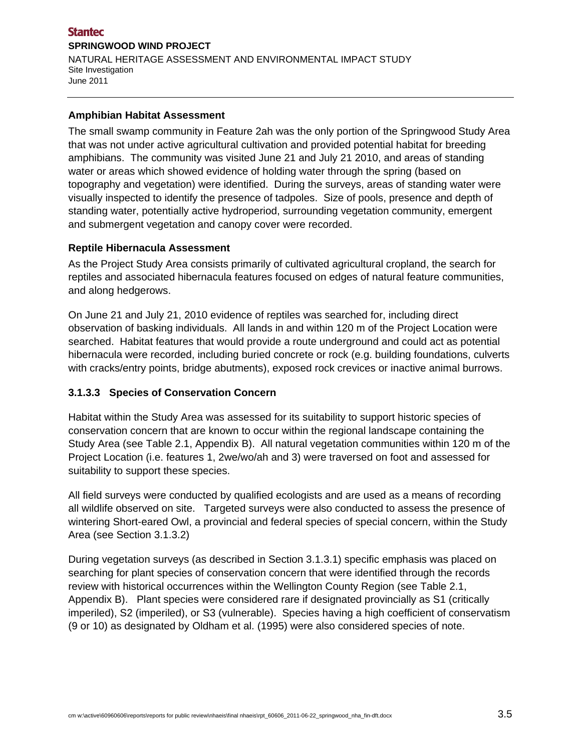#### **Stantec SPRINGWOOD WIND PROJECT**  NATURAL HERITAGE ASSESSMENT AND ENVIRONMENTAL IMPACT STUDY Site Investigation June 2011

#### **Amphibian Habitat Assessment**

The small swamp community in Feature 2ah was the only portion of the Springwood Study Area that was not under active agricultural cultivation and provided potential habitat for breeding amphibians. The community was visited June 21 and July 21 2010, and areas of standing water or areas which showed evidence of holding water through the spring (based on topography and vegetation) were identified. During the surveys, areas of standing water were visually inspected to identify the presence of tadpoles. Size of pools, presence and depth of standing water, potentially active hydroperiod, surrounding vegetation community, emergent and submergent vegetation and canopy cover were recorded.

#### **Reptile Hibernacula Assessment**

As the Project Study Area consists primarily of cultivated agricultural cropland, the search for reptiles and associated hibernacula features focused on edges of natural feature communities, and along hedgerows.

On June 21 and July 21, 2010 evidence of reptiles was searched for, including direct observation of basking individuals. All lands in and within 120 m of the Project Location were searched. Habitat features that would provide a route underground and could act as potential hibernacula were recorded, including buried concrete or rock (e.g. building foundations, culverts with cracks/entry points, bridge abutments), exposed rock crevices or inactive animal burrows.

#### **3.1.3.3 Species of Conservation Concern**

Habitat within the Study Area was assessed for its suitability to support historic species of conservation concern that are known to occur within the regional landscape containing the Study Area (see Table 2.1, Appendix B). All natural vegetation communities within 120 m of the Project Location (i.e. features 1, 2we/wo/ah and 3) were traversed on foot and assessed for suitability to support these species.

All field surveys were conducted by qualified ecologists and are used as a means of recording all wildlife observed on site. Targeted surveys were also conducted to assess the presence of wintering Short-eared Owl, a provincial and federal species of special concern, within the Study Area (see Section 3.1.3.2)

During vegetation surveys (as described in Section 3.1.3.1) specific emphasis was placed on searching for plant species of conservation concern that were identified through the records review with historical occurrences within the Wellington County Region (see Table 2.1, Appendix B). Plant species were considered rare if designated provincially as S1 (critically imperiled), S2 (imperiled), or S3 (vulnerable). Species having a high coefficient of conservatism (9 or 10) as designated by Oldham et al. (1995) were also considered species of note.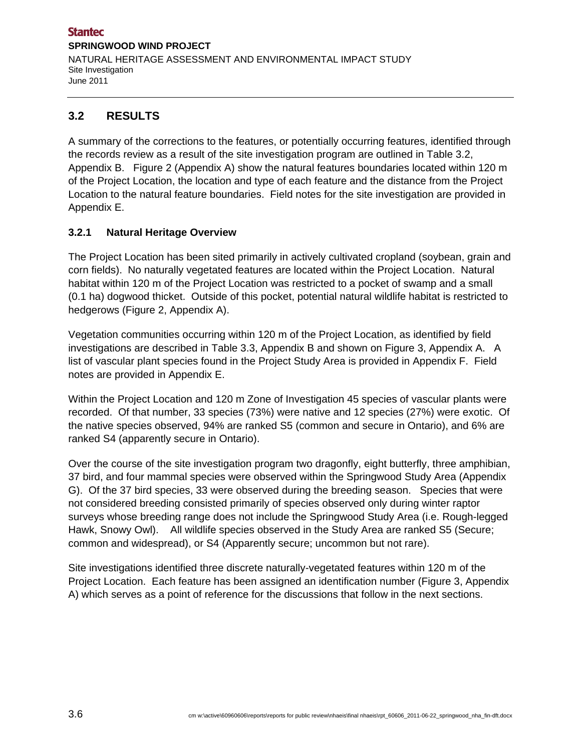# **3.2 RESULTS**

A summary of the corrections to the features, or potentially occurring features, identified through the records review as a result of the site investigation program are outlined in Table 3.2, Appendix B. Figure 2 (Appendix A) show the natural features boundaries located within 120 m of the Project Location, the location and type of each feature and the distance from the Project Location to the natural feature boundaries. Field notes for the site investigation are provided in Appendix E.

## **3.2.1 Natural Heritage Overview**

The Project Location has been sited primarily in actively cultivated cropland (soybean, grain and corn fields). No naturally vegetated features are located within the Project Location. Natural habitat within 120 m of the Project Location was restricted to a pocket of swamp and a small (0.1 ha) dogwood thicket. Outside of this pocket, potential natural wildlife habitat is restricted to hedgerows (Figure 2, Appendix A).

Vegetation communities occurring within 120 m of the Project Location, as identified by field investigations are described in Table 3.3, Appendix B and shown on Figure 3, Appendix A. A list of vascular plant species found in the Project Study Area is provided in Appendix F. Field notes are provided in Appendix E.

Within the Project Location and 120 m Zone of Investigation 45 species of vascular plants were recorded. Of that number, 33 species (73%) were native and 12 species (27%) were exotic. Of the native species observed, 94% are ranked S5 (common and secure in Ontario), and 6% are ranked S4 (apparently secure in Ontario).

Over the course of the site investigation program two dragonfly, eight butterfly, three amphibian, 37 bird, and four mammal species were observed within the Springwood Study Area (Appendix G). Of the 37 bird species, 33 were observed during the breeding season. Species that were not considered breeding consisted primarily of species observed only during winter raptor surveys whose breeding range does not include the Springwood Study Area (i.e. Rough-legged Hawk, Snowy Owl). All wildlife species observed in the Study Area are ranked S5 (Secure; common and widespread), or S4 (Apparently secure; uncommon but not rare).

Site investigations identified three discrete naturally-vegetated features within 120 m of the Project Location. Each feature has been assigned an identification number (Figure 3, Appendix A) which serves as a point of reference for the discussions that follow in the next sections.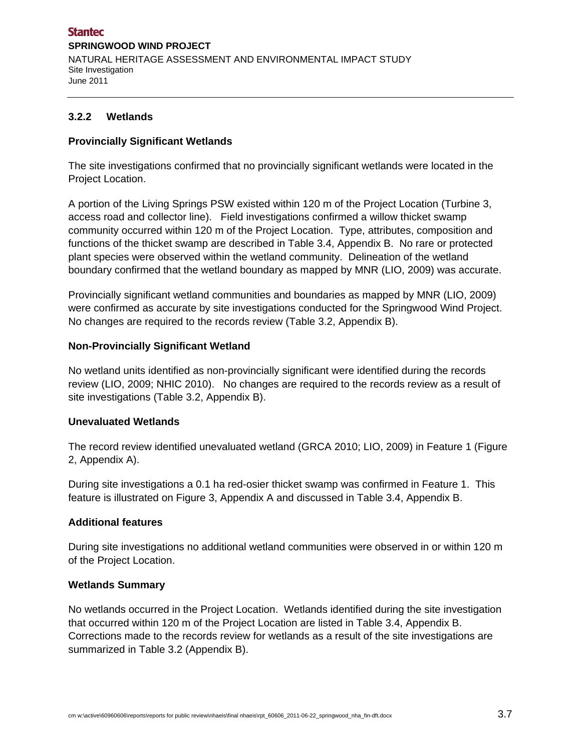#### **3.2.2 Wetlands**

#### **Provincially Significant Wetlands**

The site investigations confirmed that no provincially significant wetlands were located in the Project Location.

A portion of the Living Springs PSW existed within 120 m of the Project Location (Turbine 3, access road and collector line). Field investigations confirmed a willow thicket swamp community occurred within 120 m of the Project Location. Type, attributes, composition and functions of the thicket swamp are described in Table 3.4, Appendix B. No rare or protected plant species were observed within the wetland community. Delineation of the wetland boundary confirmed that the wetland boundary as mapped by MNR (LIO, 2009) was accurate.

Provincially significant wetland communities and boundaries as mapped by MNR (LIO, 2009) were confirmed as accurate by site investigations conducted for the Springwood Wind Project. No changes are required to the records review (Table 3.2, Appendix B).

#### **Non-Provincially Significant Wetland**

No wetland units identified as non-provincially significant were identified during the records review (LIO, 2009; NHIC 2010). No changes are required to the records review as a result of site investigations (Table 3.2, Appendix B).

#### **Unevaluated Wetlands**

The record review identified unevaluated wetland (GRCA 2010; LIO, 2009) in Feature 1 (Figure 2, Appendix A).

During site investigations a 0.1 ha red-osier thicket swamp was confirmed in Feature 1. This feature is illustrated on Figure 3, Appendix A and discussed in Table 3.4, Appendix B.

#### **Additional features**

During site investigations no additional wetland communities were observed in or within 120 m of the Project Location.

#### **Wetlands Summary**

No wetlands occurred in the Project Location. Wetlands identified during the site investigation that occurred within 120 m of the Project Location are listed in Table 3.4, Appendix B. Corrections made to the records review for wetlands as a result of the site investigations are summarized in Table 3.2 (Appendix B).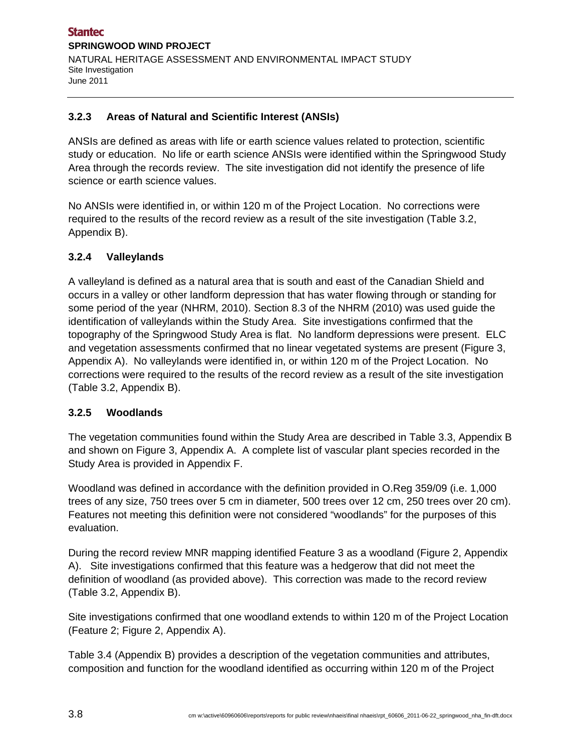#### **3.2.3 Areas of Natural and Scientific Interest (ANSIs)**

ANSIs are defined as areas with life or earth science values related to protection, scientific study or education. No life or earth science ANSIs were identified within the Springwood Study Area through the records review. The site investigation did not identify the presence of life science or earth science values.

No ANSIs were identified in, or within 120 m of the Project Location. No corrections were required to the results of the record review as a result of the site investigation (Table 3.2, Appendix B).

## **3.2.4 Valleylands**

A valleyland is defined as a natural area that is south and east of the Canadian Shield and occurs in a valley or other landform depression that has water flowing through or standing for some period of the year (NHRM, 2010). Section 8.3 of the NHRM (2010) was used guide the identification of valleylands within the Study Area. Site investigations confirmed that the topography of the Springwood Study Area is flat. No landform depressions were present. ELC and vegetation assessments confirmed that no linear vegetated systems are present (Figure 3, Appendix A). No valleylands were identified in, or within 120 m of the Project Location. No corrections were required to the results of the record review as a result of the site investigation (Table 3.2, Appendix B).

#### **3.2.5 Woodlands**

The vegetation communities found within the Study Area are described in Table 3.3, Appendix B and shown on Figure 3, Appendix A. A complete list of vascular plant species recorded in the Study Area is provided in Appendix F.

Woodland was defined in accordance with the definition provided in O.Reg 359/09 (i.e. 1,000 trees of any size, 750 trees over 5 cm in diameter, 500 trees over 12 cm, 250 trees over 20 cm). Features not meeting this definition were not considered "woodlands" for the purposes of this evaluation.

During the record review MNR mapping identified Feature 3 as a woodland (Figure 2, Appendix A). Site investigations confirmed that this feature was a hedgerow that did not meet the definition of woodland (as provided above). This correction was made to the record review (Table 3.2, Appendix B).

Site investigations confirmed that one woodland extends to within 120 m of the Project Location (Feature 2; Figure 2, Appendix A).

Table 3.4 (Appendix B) provides a description of the vegetation communities and attributes, composition and function for the woodland identified as occurring within 120 m of the Project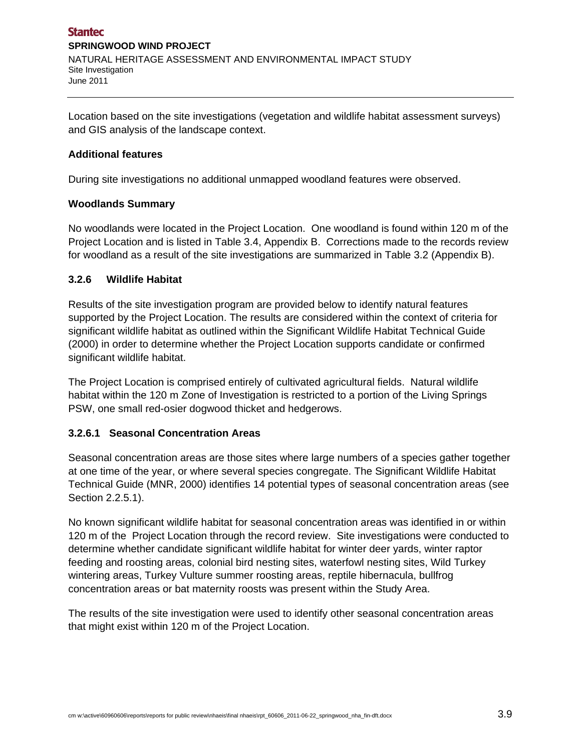Location based on the site investigations (vegetation and wildlife habitat assessment surveys) and GIS analysis of the landscape context.

#### **Additional features**

During site investigations no additional unmapped woodland features were observed.

#### **Woodlands Summary**

No woodlands were located in the Project Location. One woodland is found within 120 m of the Project Location and is listed in Table 3.4, Appendix B. Corrections made to the records review for woodland as a result of the site investigations are summarized in Table 3.2 (Appendix B).

#### **3.2.6 Wildlife Habitat**

Results of the site investigation program are provided below to identify natural features supported by the Project Location. The results are considered within the context of criteria for significant wildlife habitat as outlined within the Significant Wildlife Habitat Technical Guide (2000) in order to determine whether the Project Location supports candidate or confirmed significant wildlife habitat.

The Project Location is comprised entirely of cultivated agricultural fields. Natural wildlife habitat within the 120 m Zone of Investigation is restricted to a portion of the Living Springs PSW, one small red-osier dogwood thicket and hedgerows.

#### **3.2.6.1 Seasonal Concentration Areas**

Seasonal concentration areas are those sites where large numbers of a species gather together at one time of the year, or where several species congregate. The Significant Wildlife Habitat Technical Guide (MNR, 2000) identifies 14 potential types of seasonal concentration areas (see Section 2.2.5.1).

No known significant wildlife habitat for seasonal concentration areas was identified in or within 120 m of the Project Location through the record review. Site investigations were conducted to determine whether candidate significant wildlife habitat for winter deer yards, winter raptor feeding and roosting areas, colonial bird nesting sites, waterfowl nesting sites, Wild Turkey wintering areas, Turkey Vulture summer roosting areas, reptile hibernacula, bullfrog concentration areas or bat maternity roosts was present within the Study Area.

The results of the site investigation were used to identify other seasonal concentration areas that might exist within 120 m of the Project Location.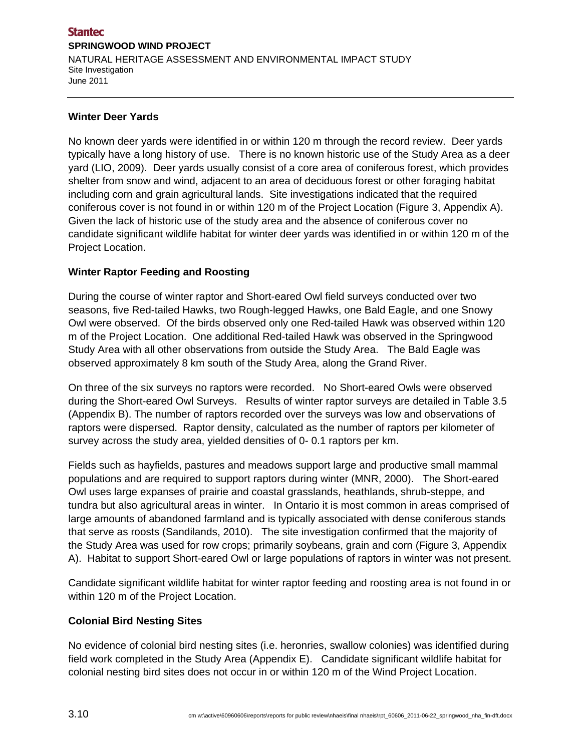#### **Stantec SPRINGWOOD WIND PROJECT**  NATURAL HERITAGE ASSESSMENT AND ENVIRONMENTAL IMPACT STUDY Site Investigation June 2011

#### **Winter Deer Yards**

No known deer yards were identified in or within 120 m through the record review. Deer yards typically have a long history of use. There is no known historic use of the Study Area as a deer yard (LIO, 2009). Deer yards usually consist of a core area of coniferous forest, which provides shelter from snow and wind, adjacent to an area of deciduous forest or other foraging habitat including corn and grain agricultural lands. Site investigations indicated that the required coniferous cover is not found in or within 120 m of the Project Location (Figure 3, Appendix A). Given the lack of historic use of the study area and the absence of coniferous cover no candidate significant wildlife habitat for winter deer yards was identified in or within 120 m of the Project Location.

#### **Winter Raptor Feeding and Roosting**

During the course of winter raptor and Short-eared Owl field surveys conducted over two seasons, five Red-tailed Hawks, two Rough-legged Hawks, one Bald Eagle, and one Snowy Owl were observed. Of the birds observed only one Red-tailed Hawk was observed within 120 m of the Project Location. One additional Red-tailed Hawk was observed in the Springwood Study Area with all other observations from outside the Study Area. The Bald Eagle was observed approximately 8 km south of the Study Area, along the Grand River.

On three of the six surveys no raptors were recorded. No Short-eared Owls were observed during the Short-eared Owl Surveys. Results of winter raptor surveys are detailed in Table 3.5 (Appendix B). The number of raptors recorded over the surveys was low and observations of raptors were dispersed. Raptor density, calculated as the number of raptors per kilometer of survey across the study area, yielded densities of 0- 0.1 raptors per km.

Fields such as hayfields, pastures and meadows support large and productive small mammal populations and are required to support raptors during winter (MNR, 2000). The Short-eared Owl uses large expanses of prairie and coastal grasslands, heathlands, shrub-steppe, and tundra but also agricultural areas in winter. In Ontario it is most common in areas comprised of large amounts of abandoned farmland and is typically associated with dense coniferous stands that serve as roosts (Sandilands, 2010). The site investigation confirmed that the majority of the Study Area was used for row crops; primarily soybeans, grain and corn (Figure 3, Appendix A). Habitat to support Short-eared Owl or large populations of raptors in winter was not present.

Candidate significant wildlife habitat for winter raptor feeding and roosting area is not found in or within 120 m of the Project Location.

#### **Colonial Bird Nesting Sites**

No evidence of colonial bird nesting sites (i.e. heronries, swallow colonies) was identified during field work completed in the Study Area (Appendix E). Candidate significant wildlife habitat for colonial nesting bird sites does not occur in or within 120 m of the Wind Project Location.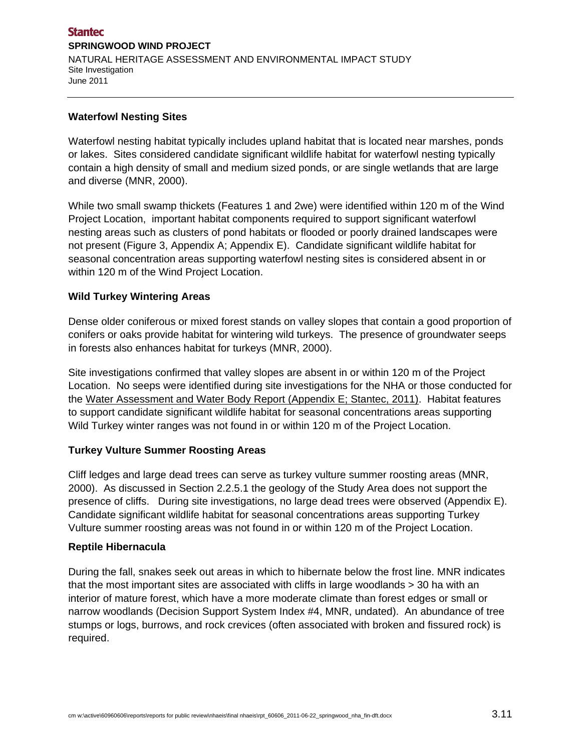#### **Stantec SPRINGWOOD WIND PROJECT**  NATURAL HERITAGE ASSESSMENT AND ENVIRONMENTAL IMPACT STUDY Site Investigation June 2011

#### **Waterfowl Nesting Sites**

Waterfowl nesting habitat typically includes upland habitat that is located near marshes, ponds or lakes. Sites considered candidate significant wildlife habitat for waterfowl nesting typically contain a high density of small and medium sized ponds, or are single wetlands that are large and diverse (MNR, 2000).

While two small swamp thickets (Features 1 and 2we) were identified within 120 m of the Wind Project Location, important habitat components required to support significant waterfowl nesting areas such as clusters of pond habitats or flooded or poorly drained landscapes were not present (Figure 3, Appendix A; Appendix E). Candidate significant wildlife habitat for seasonal concentration areas supporting waterfowl nesting sites is considered absent in or within 120 m of the Wind Project Location.

#### **Wild Turkey Wintering Areas**

Dense older coniferous or mixed forest stands on valley slopes that contain a good proportion of conifers or oaks provide habitat for wintering wild turkeys. The presence of groundwater seeps in forests also enhances habitat for turkeys (MNR, 2000).

Site investigations confirmed that valley slopes are absent in or within 120 m of the Project Location. No seeps were identified during site investigations for the NHA or those conducted for the Water Assessment and Water Body Report (Appendix E; Stantec, 2011). Habitat features to support candidate significant wildlife habitat for seasonal concentrations areas supporting Wild Turkey winter ranges was not found in or within 120 m of the Project Location.

#### **Turkey Vulture Summer Roosting Areas**

Cliff ledges and large dead trees can serve as turkey vulture summer roosting areas (MNR, 2000). As discussed in Section 2.2.5.1 the geology of the Study Area does not support the presence of cliffs. During site investigations, no large dead trees were observed (Appendix E). Candidate significant wildlife habitat for seasonal concentrations areas supporting Turkey Vulture summer roosting areas was not found in or within 120 m of the Project Location.

#### **Reptile Hibernacula**

During the fall, snakes seek out areas in which to hibernate below the frost line. MNR indicates that the most important sites are associated with cliffs in large woodlands > 30 ha with an interior of mature forest, which have a more moderate climate than forest edges or small or narrow woodlands (Decision Support System Index #4, MNR, undated). An abundance of tree stumps or logs, burrows, and rock crevices (often associated with broken and fissured rock) is required.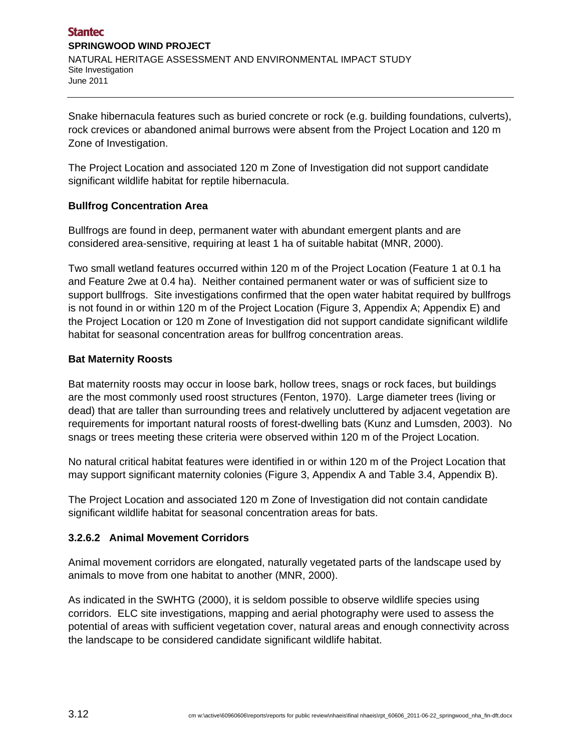Snake hibernacula features such as buried concrete or rock (e.g. building foundations, culverts), rock crevices or abandoned animal burrows were absent from the Project Location and 120 m Zone of Investigation.

The Project Location and associated 120 m Zone of Investigation did not support candidate significant wildlife habitat for reptile hibernacula.

## **Bullfrog Concentration Area**

Bullfrogs are found in deep, permanent water with abundant emergent plants and are considered area-sensitive, requiring at least 1 ha of suitable habitat (MNR, 2000).

Two small wetland features occurred within 120 m of the Project Location (Feature 1 at 0.1 ha and Feature 2we at 0.4 ha). Neither contained permanent water or was of sufficient size to support bullfrogs. Site investigations confirmed that the open water habitat required by bullfrogs is not found in or within 120 m of the Project Location (Figure 3, Appendix A; Appendix E) and the Project Location or 120 m Zone of Investigation did not support candidate significant wildlife habitat for seasonal concentration areas for bullfrog concentration areas.

#### **Bat Maternity Roosts**

Bat maternity roosts may occur in loose bark, hollow trees, snags or rock faces, but buildings are the most commonly used roost structures (Fenton, 1970). Large diameter trees (living or dead) that are taller than surrounding trees and relatively uncluttered by adjacent vegetation are requirements for important natural roosts of forest-dwelling bats (Kunz and Lumsden, 2003). No snags or trees meeting these criteria were observed within 120 m of the Project Location.

No natural critical habitat features were identified in or within 120 m of the Project Location that may support significant maternity colonies (Figure 3, Appendix A and Table 3.4, Appendix B).

The Project Location and associated 120 m Zone of Investigation did not contain candidate significant wildlife habitat for seasonal concentration areas for bats.

#### **3.2.6.2 Animal Movement Corridors**

Animal movement corridors are elongated, naturally vegetated parts of the landscape used by animals to move from one habitat to another (MNR, 2000).

As indicated in the SWHTG (2000), it is seldom possible to observe wildlife species using corridors. ELC site investigations, mapping and aerial photography were used to assess the potential of areas with sufficient vegetation cover, natural areas and enough connectivity across the landscape to be considered candidate significant wildlife habitat.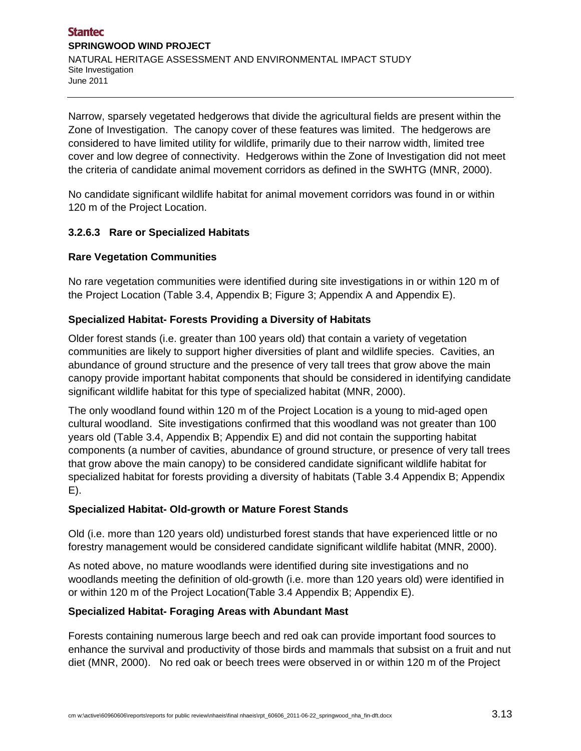Narrow, sparsely vegetated hedgerows that divide the agricultural fields are present within the Zone of Investigation. The canopy cover of these features was limited. The hedgerows are considered to have limited utility for wildlife, primarily due to their narrow width, limited tree cover and low degree of connectivity. Hedgerows within the Zone of Investigation did not meet the criteria of candidate animal movement corridors as defined in the SWHTG (MNR, 2000).

No candidate significant wildlife habitat for animal movement corridors was found in or within 120 m of the Project Location.

## **3.2.6.3 Rare or Specialized Habitats**

#### **Rare Vegetation Communities**

No rare vegetation communities were identified during site investigations in or within 120 m of the Project Location (Table 3.4, Appendix B; Figure 3; Appendix A and Appendix E).

#### **Specialized Habitat- Forests Providing a Diversity of Habitats**

Older forest stands (i.e. greater than 100 years old) that contain a variety of vegetation communities are likely to support higher diversities of plant and wildlife species. Cavities, an abundance of ground structure and the presence of very tall trees that grow above the main canopy provide important habitat components that should be considered in identifying candidate significant wildlife habitat for this type of specialized habitat (MNR, 2000).

The only woodland found within 120 m of the Project Location is a young to mid-aged open cultural woodland. Site investigations confirmed that this woodland was not greater than 100 years old (Table 3.4, Appendix B; Appendix E) and did not contain the supporting habitat components (a number of cavities, abundance of ground structure, or presence of very tall trees that grow above the main canopy) to be considered candidate significant wildlife habitat for specialized habitat for forests providing a diversity of habitats (Table 3.4 Appendix B; Appendix E).

#### **Specialized Habitat- Old-growth or Mature Forest Stands**

Old (i.e. more than 120 years old) undisturbed forest stands that have experienced little or no forestry management would be considered candidate significant wildlife habitat (MNR, 2000).

As noted above, no mature woodlands were identified during site investigations and no woodlands meeting the definition of old-growth (i.e. more than 120 years old) were identified in or within 120 m of the Project Location(Table 3.4 Appendix B; Appendix E).

#### **Specialized Habitat- Foraging Areas with Abundant Mast**

Forests containing numerous large beech and red oak can provide important food sources to enhance the survival and productivity of those birds and mammals that subsist on a fruit and nut diet (MNR, 2000). No red oak or beech trees were observed in or within 120 m of the Project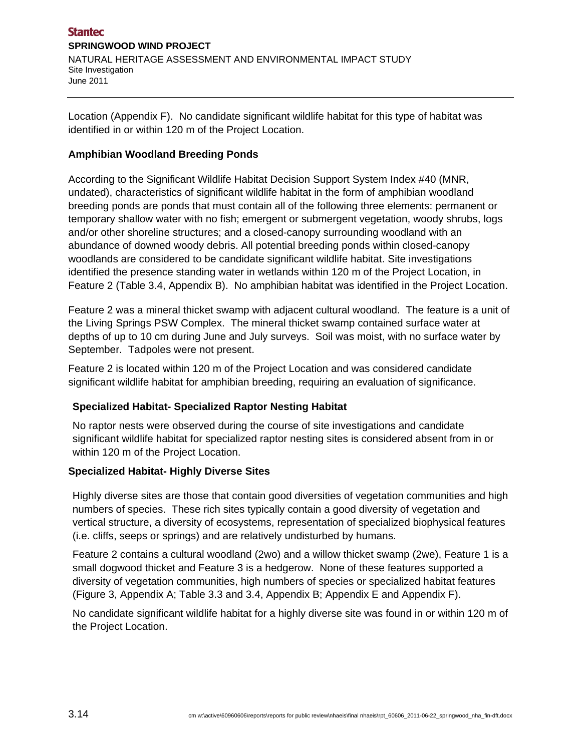Location (Appendix F). No candidate significant wildlife habitat for this type of habitat was identified in or within 120 m of the Project Location.

## **Amphibian Woodland Breeding Ponds**

According to the Significant Wildlife Habitat Decision Support System Index #40 (MNR, undated), characteristics of significant wildlife habitat in the form of amphibian woodland breeding ponds are ponds that must contain all of the following three elements: permanent or temporary shallow water with no fish; emergent or submergent vegetation, woody shrubs, logs and/or other shoreline structures; and a closed-canopy surrounding woodland with an abundance of downed woody debris. All potential breeding ponds within closed-canopy woodlands are considered to be candidate significant wildlife habitat. Site investigations identified the presence standing water in wetlands within 120 m of the Project Location, in Feature 2 (Table 3.4, Appendix B). No amphibian habitat was identified in the Project Location.

Feature 2 was a mineral thicket swamp with adjacent cultural woodland. The feature is a unit of the Living Springs PSW Complex. The mineral thicket swamp contained surface water at depths of up to 10 cm during June and July surveys. Soil was moist, with no surface water by September. Tadpoles were not present.

Feature 2 is located within 120 m of the Project Location and was considered candidate significant wildlife habitat for amphibian breeding, requiring an evaluation of significance.

#### **Specialized Habitat- Specialized Raptor Nesting Habitat**

No raptor nests were observed during the course of site investigations and candidate significant wildlife habitat for specialized raptor nesting sites is considered absent from in or within 120 m of the Project Location.

#### **Specialized Habitat- Highly Diverse Sites**

Highly diverse sites are those that contain good diversities of vegetation communities and high numbers of species. These rich sites typically contain a good diversity of vegetation and vertical structure, a diversity of ecosystems, representation of specialized biophysical features (i.e. cliffs, seeps or springs) and are relatively undisturbed by humans.

Feature 2 contains a cultural woodland (2wo) and a willow thicket swamp (2we), Feature 1 is a small dogwood thicket and Feature 3 is a hedgerow. None of these features supported a diversity of vegetation communities, high numbers of species or specialized habitat features (Figure 3, Appendix A; Table 3.3 and 3.4, Appendix B; Appendix E and Appendix F).

No candidate significant wildlife habitat for a highly diverse site was found in or within 120 m of the Project Location.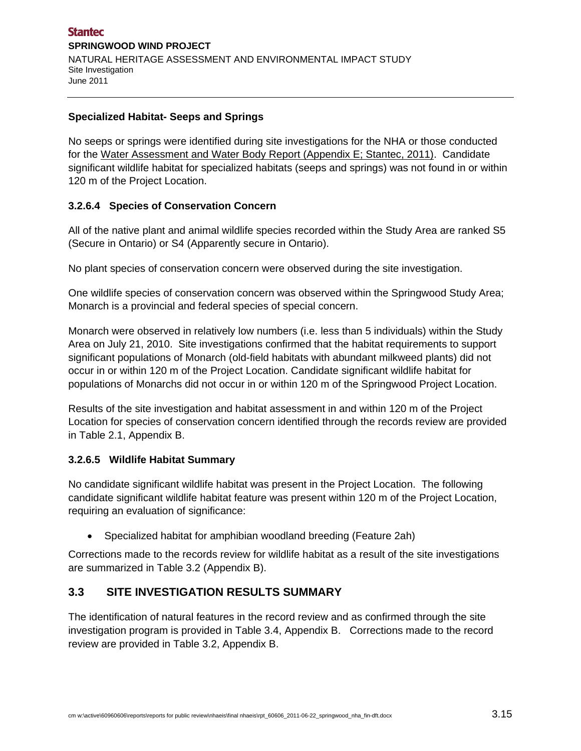#### **Specialized Habitat- Seeps and Springs**

No seeps or springs were identified during site investigations for the NHA or those conducted for the Water Assessment and Water Body Report (Appendix E; Stantec, 2011). Candidate significant wildlife habitat for specialized habitats (seeps and springs) was not found in or within 120 m of the Project Location.

#### **3.2.6.4 Species of Conservation Concern**

All of the native plant and animal wildlife species recorded within the Study Area are ranked S5 (Secure in Ontario) or S4 (Apparently secure in Ontario).

No plant species of conservation concern were observed during the site investigation.

One wildlife species of conservation concern was observed within the Springwood Study Area; Monarch is a provincial and federal species of special concern.

Monarch were observed in relatively low numbers (i.e. less than 5 individuals) within the Study Area on July 21, 2010. Site investigations confirmed that the habitat requirements to support significant populations of Monarch (old-field habitats with abundant milkweed plants) did not occur in or within 120 m of the Project Location. Candidate significant wildlife habitat for populations of Monarchs did not occur in or within 120 m of the Springwood Project Location.

Results of the site investigation and habitat assessment in and within 120 m of the Project Location for species of conservation concern identified through the records review are provided in Table 2.1, Appendix B.

#### **3.2.6.5 Wildlife Habitat Summary**

No candidate significant wildlife habitat was present in the Project Location. The following candidate significant wildlife habitat feature was present within 120 m of the Project Location, requiring an evaluation of significance:

Specialized habitat for amphibian woodland breeding (Feature 2ah)

Corrections made to the records review for wildlife habitat as a result of the site investigations are summarized in Table 3.2 (Appendix B).

# **3.3 SITE INVESTIGATION RESULTS SUMMARY**

The identification of natural features in the record review and as confirmed through the site investigation program is provided in Table 3.4, Appendix B. Corrections made to the record review are provided in Table 3.2, Appendix B.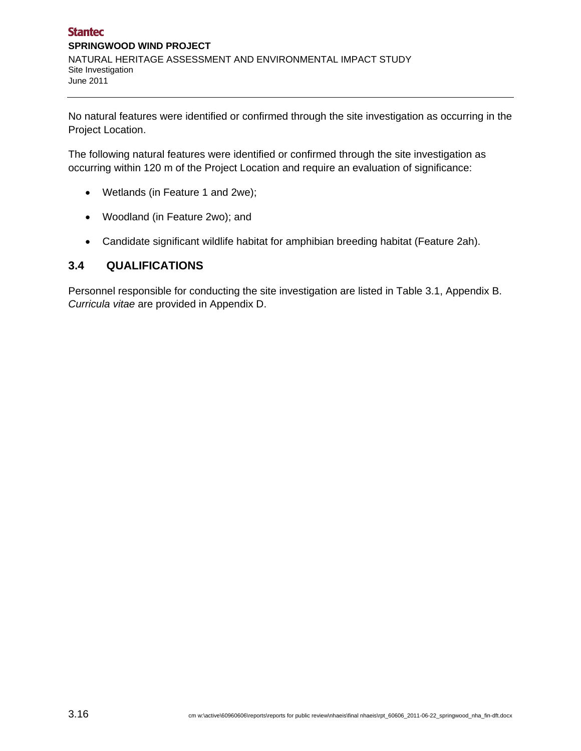No natural features were identified or confirmed through the site investigation as occurring in the Project Location.

The following natural features were identified or confirmed through the site investigation as occurring within 120 m of the Project Location and require an evaluation of significance:

- Wetlands (in Feature 1 and 2we);
- Woodland (in Feature 2wo); and
- Candidate significant wildlife habitat for amphibian breeding habitat (Feature 2ah).

# **3.4 QUALIFICATIONS**

Personnel responsible for conducting the site investigation are listed in Table 3.1, Appendix B. *Curricula vitae* are provided in Appendix D.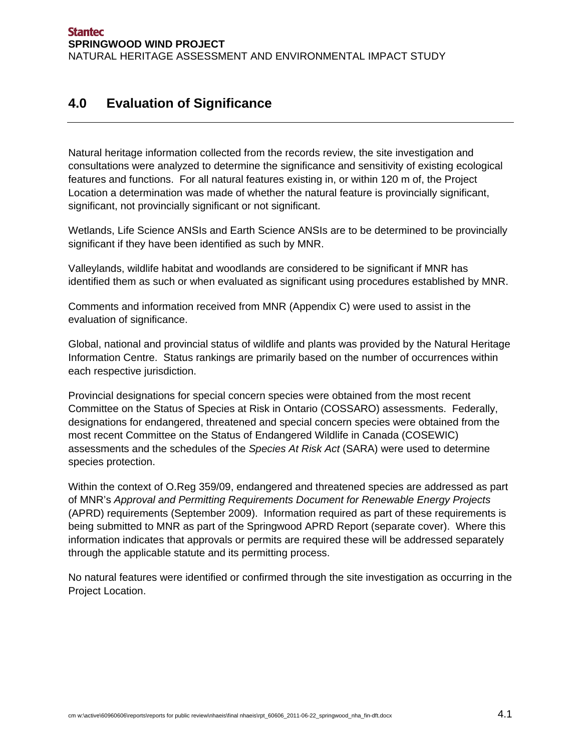# **4.0 Evaluation of Significance**

Natural heritage information collected from the records review, the site investigation and consultations were analyzed to determine the significance and sensitivity of existing ecological features and functions. For all natural features existing in, or within 120 m of, the Project Location a determination was made of whether the natural feature is provincially significant, significant, not provincially significant or not significant.

Wetlands, Life Science ANSIs and Earth Science ANSIs are to be determined to be provincially significant if they have been identified as such by MNR.

Valleylands, wildlife habitat and woodlands are considered to be significant if MNR has identified them as such or when evaluated as significant using procedures established by MNR.

Comments and information received from MNR (Appendix C) were used to assist in the evaluation of significance.

Global, national and provincial status of wildlife and plants was provided by the Natural Heritage Information Centre. Status rankings are primarily based on the number of occurrences within each respective jurisdiction.

Provincial designations for special concern species were obtained from the most recent Committee on the Status of Species at Risk in Ontario (COSSARO) assessments. Federally, designations for endangered, threatened and special concern species were obtained from the most recent Committee on the Status of Endangered Wildlife in Canada (COSEWIC) assessments and the schedules of the *Species At Risk Act* (SARA) were used to determine species protection.

Within the context of O.Reg 359/09, endangered and threatened species are addressed as part of MNR's *Approval and Permitting Requirements Document for Renewable Energy Projects* (APRD) requirements (September 2009). Information required as part of these requirements is being submitted to MNR as part of the Springwood APRD Report (separate cover). Where this information indicates that approvals or permits are required these will be addressed separately through the applicable statute and its permitting process.

No natural features were identified or confirmed through the site investigation as occurring in the Project Location.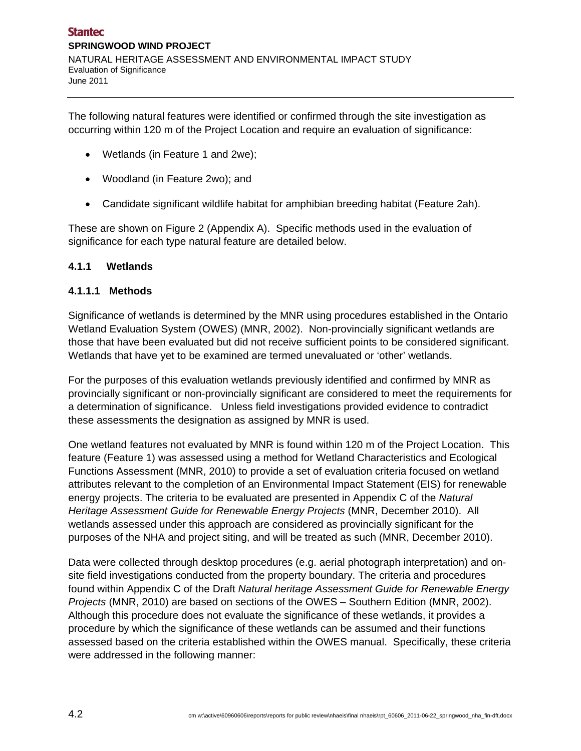The following natural features were identified or confirmed through the site investigation as occurring within 120 m of the Project Location and require an evaluation of significance:

- Wetlands (in Feature 1 and 2we);
- Woodland (in Feature 2wo); and
- Candidate significant wildlife habitat for amphibian breeding habitat (Feature 2ah).

These are shown on Figure 2 (Appendix A). Specific methods used in the evaluation of significance for each type natural feature are detailed below.

#### **4.1.1 Wetlands**

#### **4.1.1.1 Methods**

Significance of wetlands is determined by the MNR using procedures established in the Ontario Wetland Evaluation System (OWES) (MNR, 2002). Non-provincially significant wetlands are those that have been evaluated but did not receive sufficient points to be considered significant. Wetlands that have yet to be examined are termed unevaluated or 'other' wetlands.

For the purposes of this evaluation wetlands previously identified and confirmed by MNR as provincially significant or non-provincially significant are considered to meet the requirements for a determination of significance. Unless field investigations provided evidence to contradict these assessments the designation as assigned by MNR is used.

One wetland features not evaluated by MNR is found within 120 m of the Project Location. This feature (Feature 1) was assessed using a method for Wetland Characteristics and Ecological Functions Assessment (MNR, 2010) to provide a set of evaluation criteria focused on wetland attributes relevant to the completion of an Environmental Impact Statement (EIS) for renewable energy projects. The criteria to be evaluated are presented in Appendix C of the *Natural Heritage Assessment Guide for Renewable Energy Projects* (MNR, December 2010). All wetlands assessed under this approach are considered as provincially significant for the purposes of the NHA and project siting, and will be treated as such (MNR, December 2010).

Data were collected through desktop procedures (e.g. aerial photograph interpretation) and onsite field investigations conducted from the property boundary. The criteria and procedures found within Appendix C of the Draft *Natural heritage Assessment Guide for Renewable Energy Projects* (MNR, 2010) are based on sections of the OWES – Southern Edition (MNR, 2002). Although this procedure does not evaluate the significance of these wetlands, it provides a procedure by which the significance of these wetlands can be assumed and their functions assessed based on the criteria established within the OWES manual. Specifically, these criteria were addressed in the following manner: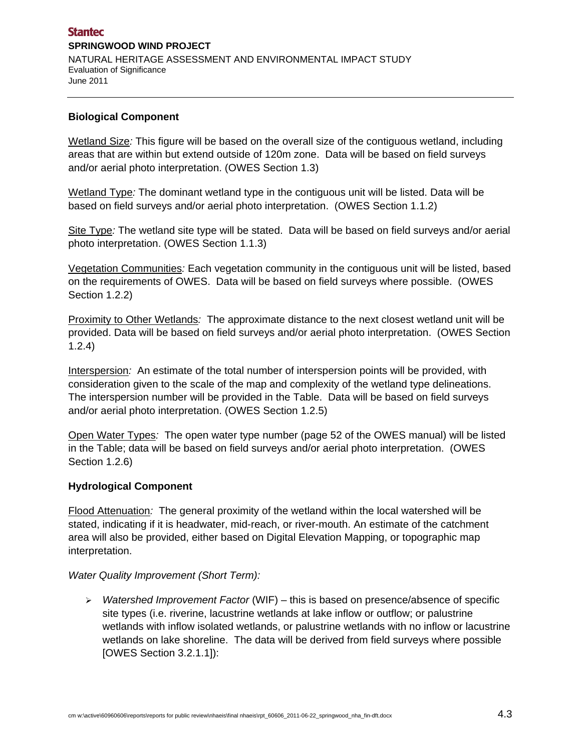#### **Biological Component**

Wetland Size*:* This figure will be based on the overall size of the contiguous wetland, including areas that are within but extend outside of 120m zone. Data will be based on field surveys and/or aerial photo interpretation. (OWES Section 1.3)

Wetland Type*:* The dominant wetland type in the contiguous unit will be listed. Data will be based on field surveys and/or aerial photo interpretation. (OWES Section 1.1.2)

Site Type*:* The wetland site type will be stated. Data will be based on field surveys and/or aerial photo interpretation. (OWES Section 1.1.3)

Vegetation Communities*:* Each vegetation community in the contiguous unit will be listed, based on the requirements of OWES. Data will be based on field surveys where possible. (OWES Section 1.2.2)

Proximity to Other Wetlands*:* The approximate distance to the next closest wetland unit will be provided. Data will be based on field surveys and/or aerial photo interpretation. (OWES Section 1.2.4)

Interspersion*:* An estimate of the total number of interspersion points will be provided, with consideration given to the scale of the map and complexity of the wetland type delineations. The interspersion number will be provided in the Table. Data will be based on field surveys and/or aerial photo interpretation. (OWES Section 1.2.5)

Open Water Types*:* The open water type number (page 52 of the OWES manual) will be listed in the Table; data will be based on field surveys and/or aerial photo interpretation. (OWES Section 1.2.6)

#### **Hydrological Component**

Flood Attenuation*:* The general proximity of the wetland within the local watershed will be stated, indicating if it is headwater, mid-reach, or river-mouth. An estimate of the catchment area will also be provided, either based on Digital Elevation Mapping, or topographic map interpretation.

#### *Water Quality Improvement (Short Term):*

 *Watershed Improvement Factor* (WIF) – this is based on presence/absence of specific site types (i.e. riverine, lacustrine wetlands at lake inflow or outflow; or palustrine wetlands with inflow isolated wetlands, or palustrine wetlands with no inflow or lacustrine wetlands on lake shoreline. The data will be derived from field surveys where possible [OWES Section 3.2.1.1]):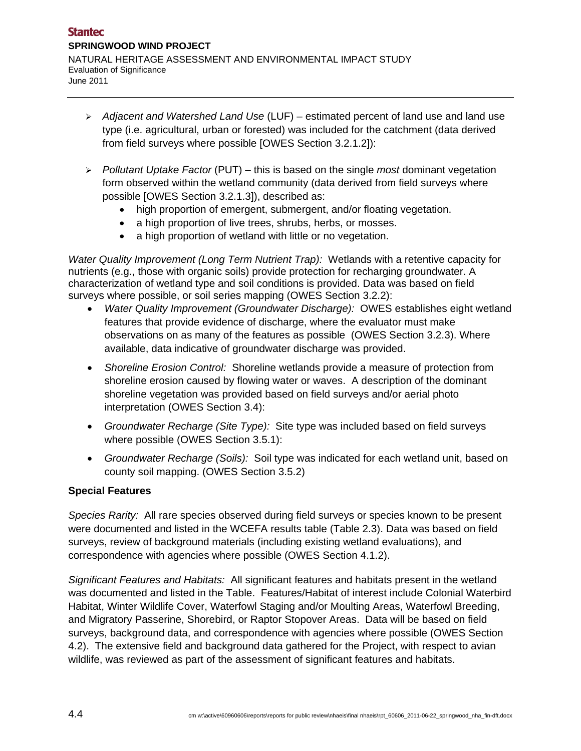- *Adjacent and Watershed Land Use* (LUF) estimated percent of land use and land use type (i.e. agricultural, urban or forested) was included for the catchment (data derived from field surveys where possible [OWES Section 3.2.1.2]):
- *Pollutant Uptake Factor* (PUT) this is based on the single *most* dominant vegetation form observed within the wetland community (data derived from field surveys where possible [OWES Section 3.2.1.3]), described as:
	- high proportion of emergent, submergent, and/or floating vegetation.
	- a high proportion of live trees, shrubs, herbs, or mosses.
	- a high proportion of wetland with little or no vegetation.

*Water Quality Improvement (Long Term Nutrient Trap):* Wetlands with a retentive capacity for nutrients (e.g., those with organic soils) provide protection for recharging groundwater. A characterization of wetland type and soil conditions is provided. Data was based on field surveys where possible, or soil series mapping (OWES Section 3.2.2):

- *Water Quality Improvement (Groundwater Discharge):* OWES establishes eight wetland features that provide evidence of discharge, where the evaluator must make observations on as many of the features as possible (OWES Section 3.2.3). Where available, data indicative of groundwater discharge was provided.
- *Shoreline Erosion Control:* Shoreline wetlands provide a measure of protection from shoreline erosion caused by flowing water or waves. A description of the dominant shoreline vegetation was provided based on field surveys and/or aerial photo interpretation (OWES Section 3.4):
- *Groundwater Recharge (Site Type):* Site type was included based on field surveys where possible (OWES Section 3.5.1):
- *Groundwater Recharge (Soils):* Soil type was indicated for each wetland unit, based on county soil mapping. (OWES Section 3.5.2)

#### **Special Features**

*Species Rarity:* All rare species observed during field surveys or species known to be present were documented and listed in the WCEFA results table (Table 2.3). Data was based on field surveys, review of background materials (including existing wetland evaluations), and correspondence with agencies where possible (OWES Section 4.1.2).

*Significant Features and Habitats:* All significant features and habitats present in the wetland was documented and listed in the Table. Features/Habitat of interest include Colonial Waterbird Habitat, Winter Wildlife Cover, Waterfowl Staging and/or Moulting Areas, Waterfowl Breeding, and Migratory Passerine, Shorebird, or Raptor Stopover Areas. Data will be based on field surveys, background data, and correspondence with agencies where possible (OWES Section 4.2). The extensive field and background data gathered for the Project, with respect to avian wildlife, was reviewed as part of the assessment of significant features and habitats.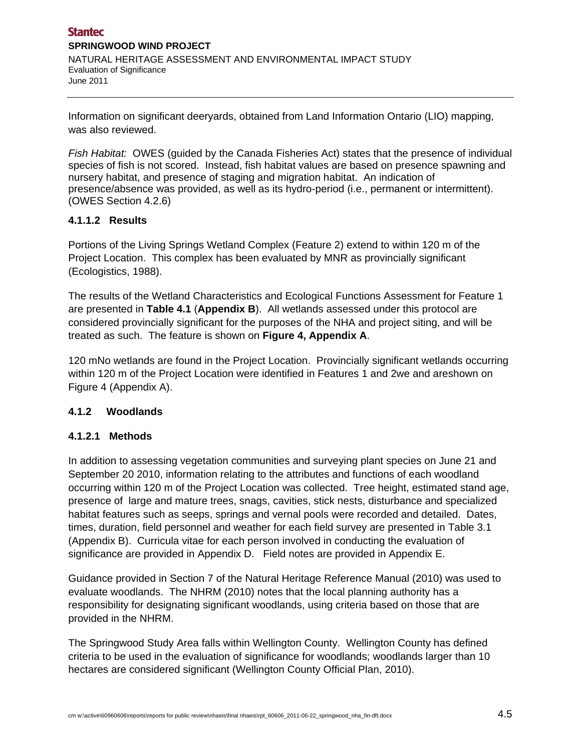Information on significant deeryards, obtained from Land Information Ontario (LIO) mapping, was also reviewed.

*Fish Habitat:* OWES (guided by the Canada Fisheries Act) states that the presence of individual species of fish is not scored. Instead, fish habitat values are based on presence spawning and nursery habitat, and presence of staging and migration habitat. An indication of presence/absence was provided, as well as its hydro-period (i.e., permanent or intermittent). (OWES Section 4.2.6)

#### **4.1.1.2 Results**

Portions of the Living Springs Wetland Complex (Feature 2) extend to within 120 m of the Project Location. This complex has been evaluated by MNR as provincially significant (Ecologistics, 1988).

The results of the Wetland Characteristics and Ecological Functions Assessment for Feature 1 are presented in **Table 4.1** (**Appendix B**). All wetlands assessed under this protocol are considered provincially significant for the purposes of the NHA and project siting, and will be treated as such. The feature is shown on **Figure 4, Appendix A**.

120 mNo wetlands are found in the Project Location. Provincially significant wetlands occurring within 120 m of the Project Location were identified in Features 1 and 2we and areshown on Figure 4 (Appendix A).

# **4.1.2 Woodlands**

# **4.1.2.1 Methods**

In addition to assessing vegetation communities and surveying plant species on June 21 and September 20 2010, information relating to the attributes and functions of each woodland occurring within 120 m of the Project Location was collected. Tree height, estimated stand age, presence of large and mature trees, snags, cavities, stick nests, disturbance and specialized habitat features such as seeps, springs and vernal pools were recorded and detailed. Dates, times, duration, field personnel and weather for each field survey are presented in Table 3.1 (Appendix B). Curricula vitae for each person involved in conducting the evaluation of significance are provided in Appendix D. Field notes are provided in Appendix E.

Guidance provided in Section 7 of the Natural Heritage Reference Manual (2010) was used to evaluate woodlands. The NHRM (2010) notes that the local planning authority has a responsibility for designating significant woodlands, using criteria based on those that are provided in the NHRM.

The Springwood Study Area falls within Wellington County. Wellington County has defined criteria to be used in the evaluation of significance for woodlands; woodlands larger than 10 hectares are considered significant (Wellington County Official Plan, 2010).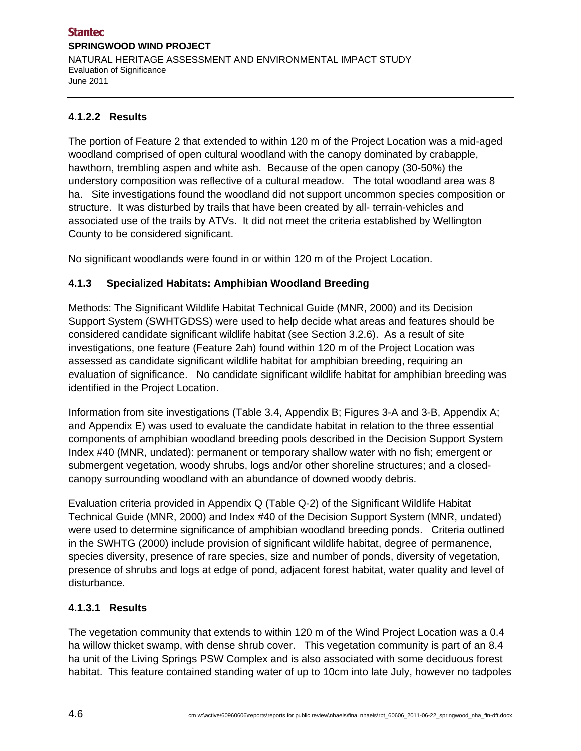## **4.1.2.2 Results**

The portion of Feature 2 that extended to within 120 m of the Project Location was a mid-aged woodland comprised of open cultural woodland with the canopy dominated by crabapple, hawthorn, trembling aspen and white ash. Because of the open canopy (30-50%) the understory composition was reflective of a cultural meadow. The total woodland area was 8 ha. Site investigations found the woodland did not support uncommon species composition or structure. It was disturbed by trails that have been created by all- terrain-vehicles and associated use of the trails by ATVs. It did not meet the criteria established by Wellington County to be considered significant.

No significant woodlands were found in or within 120 m of the Project Location.

## **4.1.3 Specialized Habitats: Amphibian Woodland Breeding**

Methods: The Significant Wildlife Habitat Technical Guide (MNR, 2000) and its Decision Support System (SWHTGDSS) were used to help decide what areas and features should be considered candidate significant wildlife habitat (see Section 3.2.6). As a result of site investigations, one feature (Feature 2ah) found within 120 m of the Project Location was assessed as candidate significant wildlife habitat for amphibian breeding, requiring an evaluation of significance. No candidate significant wildlife habitat for amphibian breeding was identified in the Project Location.

Information from site investigations (Table 3.4, Appendix B; Figures 3-A and 3-B, Appendix A; and Appendix E) was used to evaluate the candidate habitat in relation to the three essential components of amphibian woodland breeding pools described in the Decision Support System Index #40 (MNR, undated): permanent or temporary shallow water with no fish; emergent or submergent vegetation, woody shrubs, logs and/or other shoreline structures; and a closedcanopy surrounding woodland with an abundance of downed woody debris.

Evaluation criteria provided in Appendix Q (Table Q-2) of the Significant Wildlife Habitat Technical Guide (MNR, 2000) and Index #40 of the Decision Support System (MNR, undated) were used to determine significance of amphibian woodland breeding ponds. Criteria outlined in the SWHTG (2000) include provision of significant wildlife habitat, degree of permanence, species diversity, presence of rare species, size and number of ponds, diversity of vegetation, presence of shrubs and logs at edge of pond, adjacent forest habitat, water quality and level of disturbance.

# **4.1.3.1 Results**

The vegetation community that extends to within 120 m of the Wind Project Location was a 0.4 ha willow thicket swamp, with dense shrub cover. This vegetation community is part of an 8.4 ha unit of the Living Springs PSW Complex and is also associated with some deciduous forest habitat. This feature contained standing water of up to 10cm into late July, however no tadpoles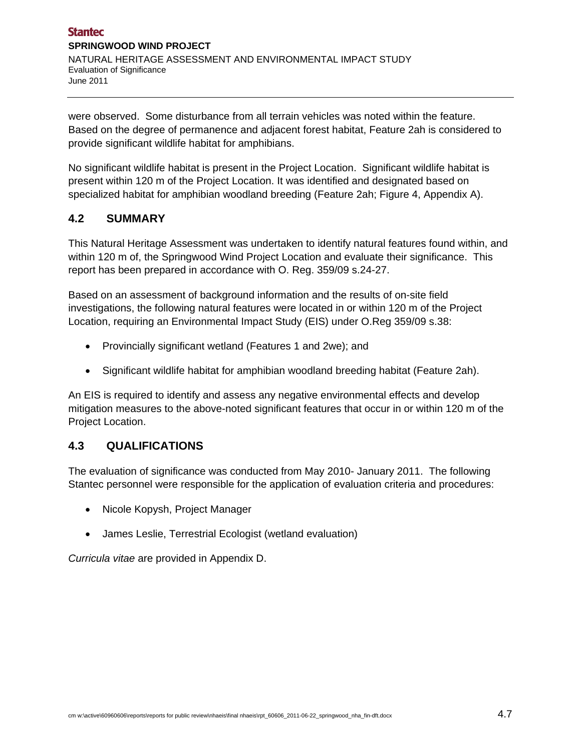were observed. Some disturbance from all terrain vehicles was noted within the feature. Based on the degree of permanence and adjacent forest habitat, Feature 2ah is considered to provide significant wildlife habitat for amphibians.

No significant wildlife habitat is present in the Project Location. Significant wildlife habitat is present within 120 m of the Project Location. It was identified and designated based on specialized habitat for amphibian woodland breeding (Feature 2ah; Figure 4, Appendix A).

# **4.2 SUMMARY**

This Natural Heritage Assessment was undertaken to identify natural features found within, and within 120 m of, the Springwood Wind Project Location and evaluate their significance. This report has been prepared in accordance with O. Reg. 359/09 s.24-27.

Based on an assessment of background information and the results of on-site field investigations, the following natural features were located in or within 120 m of the Project Location, requiring an Environmental Impact Study (EIS) under O.Reg 359/09 s.38:

- Provincially significant wetland (Features 1 and 2we); and
- Significant wildlife habitat for amphibian woodland breeding habitat (Feature 2ah).

An EIS is required to identify and assess any negative environmental effects and develop mitigation measures to the above-noted significant features that occur in or within 120 m of the Project Location.

# **4.3 QUALIFICATIONS**

The evaluation of significance was conducted from May 2010- January 2011. The following Stantec personnel were responsible for the application of evaluation criteria and procedures:

- Nicole Kopysh, Project Manager
- James Leslie, Terrestrial Ecologist (wetland evaluation)

*Curricula vitae* are provided in Appendix D.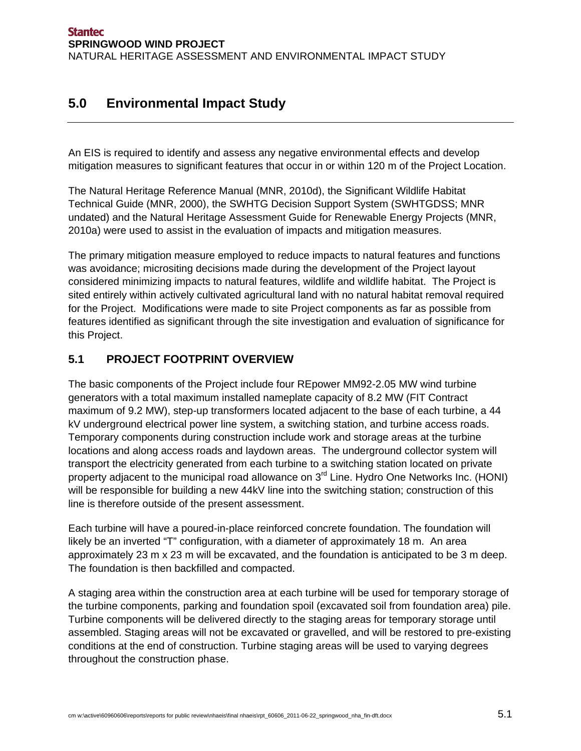# **5.0 Environmental Impact Study**

An EIS is required to identify and assess any negative environmental effects and develop mitigation measures to significant features that occur in or within 120 m of the Project Location.

The Natural Heritage Reference Manual (MNR, 2010d), the Significant Wildlife Habitat Technical Guide (MNR, 2000), the SWHTG Decision Support System (SWHTGDSS; MNR undated) and the Natural Heritage Assessment Guide for Renewable Energy Projects (MNR, 2010a) were used to assist in the evaluation of impacts and mitigation measures.

The primary mitigation measure employed to reduce impacts to natural features and functions was avoidance; micrositing decisions made during the development of the Project layout considered minimizing impacts to natural features, wildlife and wildlife habitat. The Project is sited entirely within actively cultivated agricultural land with no natural habitat removal required for the Project. Modifications were made to site Project components as far as possible from features identified as significant through the site investigation and evaluation of significance for this Project.

# **5.1 PROJECT FOOTPRINT OVERVIEW**

The basic components of the Project include four REpower MM92-2.05 MW wind turbine generators with a total maximum installed nameplate capacity of 8.2 MW (FIT Contract maximum of 9.2 MW), step-up transformers located adjacent to the base of each turbine, a 44 kV underground electrical power line system, a switching station, and turbine access roads. Temporary components during construction include work and storage areas at the turbine locations and along access roads and laydown areas. The underground collector system will transport the electricity generated from each turbine to a switching station located on private property adjacent to the municipal road allowance on 3<sup>rd</sup> Line. Hydro One Networks Inc. (HONI) will be responsible for building a new 44kV line into the switching station; construction of this line is therefore outside of the present assessment.

Each turbine will have a poured-in-place reinforced concrete foundation. The foundation will likely be an inverted "T" configuration, with a diameter of approximately 18 m. An area approximately 23 m x 23 m will be excavated, and the foundation is anticipated to be 3 m deep. The foundation is then backfilled and compacted.

A staging area within the construction area at each turbine will be used for temporary storage of the turbine components, parking and foundation spoil (excavated soil from foundation area) pile. Turbine components will be delivered directly to the staging areas for temporary storage until assembled. Staging areas will not be excavated or gravelled, and will be restored to pre-existing conditions at the end of construction. Turbine staging areas will be used to varying degrees throughout the construction phase.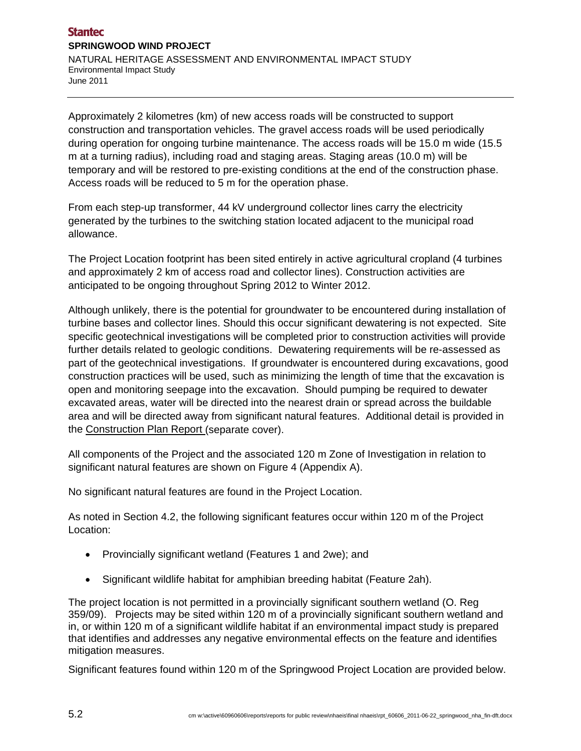Approximately 2 kilometres (km) of new access roads will be constructed to support construction and transportation vehicles. The gravel access roads will be used periodically during operation for ongoing turbine maintenance. The access roads will be 15.0 m wide (15.5 m at a turning radius), including road and staging areas. Staging areas (10.0 m) will be temporary and will be restored to pre-existing conditions at the end of the construction phase. Access roads will be reduced to 5 m for the operation phase.

From each step-up transformer, 44 kV underground collector lines carry the electricity generated by the turbines to the switching station located adjacent to the municipal road allowance.

The Project Location footprint has been sited entirely in active agricultural cropland (4 turbines and approximately 2 km of access road and collector lines). Construction activities are anticipated to be ongoing throughout Spring 2012 to Winter 2012.

Although unlikely, there is the potential for groundwater to be encountered during installation of turbine bases and collector lines. Should this occur significant dewatering is not expected. Site specific geotechnical investigations will be completed prior to construction activities will provide further details related to geologic conditions. Dewatering requirements will be re-assessed as part of the geotechnical investigations. If groundwater is encountered during excavations, good construction practices will be used, such as minimizing the length of time that the excavation is open and monitoring seepage into the excavation. Should pumping be required to dewater excavated areas, water will be directed into the nearest drain or spread across the buildable area and will be directed away from significant natural features. Additional detail is provided in the Construction Plan Report (separate cover).

All components of the Project and the associated 120 m Zone of Investigation in relation to significant natural features are shown on Figure 4 (Appendix A).

No significant natural features are found in the Project Location.

As noted in Section 4.2, the following significant features occur within 120 m of the Project Location:

- Provincially significant wetland (Features 1 and 2we); and
- Significant wildlife habitat for amphibian breeding habitat (Feature 2ah).

The project location is not permitted in a provincially significant southern wetland (O. Reg 359/09). Projects may be sited within 120 m of a provincially significant southern wetland and in, or within 120 m of a significant wildlife habitat if an environmental impact study is prepared that identifies and addresses any negative environmental effects on the feature and identifies mitigation measures.

Significant features found within 120 m of the Springwood Project Location are provided below.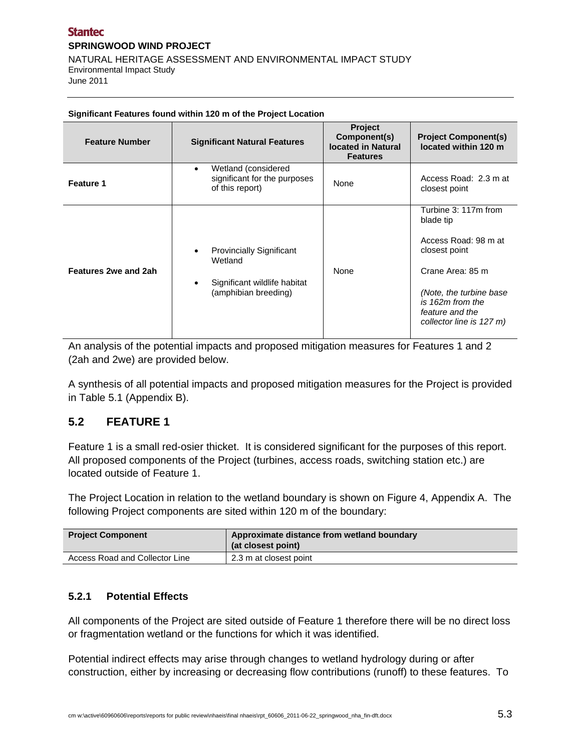#### **Stantec SPRINGWOOD WIND PROJECT**  NATURAL HERITAGE ASSESSMENT AND ENVIRONMENTAL IMPACT STUDY Environmental Impact Study June 2011

| <b>Feature Number</b>       | <b>Significant Natural Features</b>                                                                | Project<br>Component(s)<br><b>located in Natural</b><br><b>Features</b> | <b>Project Component(s)</b><br>located within 120 m                                                                                                                                           |
|-----------------------------|----------------------------------------------------------------------------------------------------|-------------------------------------------------------------------------|-----------------------------------------------------------------------------------------------------------------------------------------------------------------------------------------------|
| Feature 1                   | Wetland (considered<br>$\bullet$<br>significant for the purposes<br>of this report)                | None                                                                    | Access Road: 2.3 m at<br>closest point                                                                                                                                                        |
| <b>Features 2we and 2ah</b> | <b>Provincially Significant</b><br>Wetland<br>Significant wildlife habitat<br>(amphibian breeding) | None                                                                    | Turbine 3: 117m from<br>blade tip<br>Access Road: 98 m at<br>closest point<br>Crane Area: 85 m<br>(Note, the turbine base)<br>is 162m from the<br>feature and the<br>collector line is 127 m) |

#### **Significant Features found within 120 m of the Project Location**

An analysis of the potential impacts and proposed mitigation measures for Features 1 and 2 (2ah and 2we) are provided below.

A synthesis of all potential impacts and proposed mitigation measures for the Project is provided in Table 5.1 (Appendix B).

#### **5.2 FEATURE 1**

Feature 1 is a small red-osier thicket. It is considered significant for the purposes of this report. All proposed components of the Project (turbines, access roads, switching station etc.) are located outside of Feature 1.

The Project Location in relation to the wetland boundary is shown on Figure 4, Appendix A. The following Project components are sited within 120 m of the boundary:

| <b>Project Component</b>       | Approximate distance from wetland boundary<br>(at closest point) |
|--------------------------------|------------------------------------------------------------------|
| Access Road and Collector Line | 2.3 m at closest point                                           |

#### **5.2.1 Potential Effects**

All components of the Project are sited outside of Feature 1 therefore there will be no direct loss or fragmentation wetland or the functions for which it was identified.

Potential indirect effects may arise through changes to wetland hydrology during or after construction, either by increasing or decreasing flow contributions (runoff) to these features. To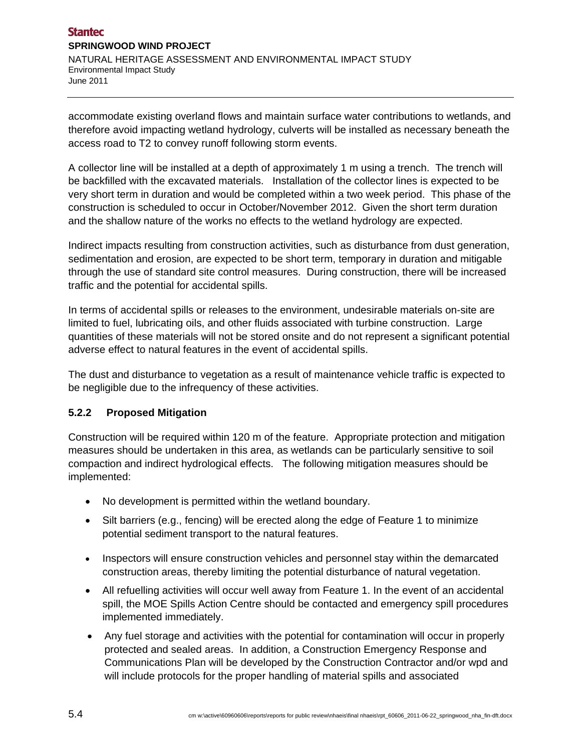#### **Stantec SPRINGWOOD WIND PROJECT**  NATURAL HERITAGE ASSESSMENT AND ENVIRONMENTAL IMPACT STUDY Environmental Impact Study June 2011

accommodate existing overland flows and maintain surface water contributions to wetlands, and therefore avoid impacting wetland hydrology, culverts will be installed as necessary beneath the access road to T2 to convey runoff following storm events.

A collector line will be installed at a depth of approximately 1 m using a trench. The trench will be backfilled with the excavated materials. Installation of the collector lines is expected to be very short term in duration and would be completed within a two week period. This phase of the construction is scheduled to occur in October/November 2012. Given the short term duration and the shallow nature of the works no effects to the wetland hydrology are expected.

Indirect impacts resulting from construction activities, such as disturbance from dust generation, sedimentation and erosion, are expected to be short term, temporary in duration and mitigable through the use of standard site control measures. During construction, there will be increased traffic and the potential for accidental spills.

In terms of accidental spills or releases to the environment, undesirable materials on-site are limited to fuel, lubricating oils, and other fluids associated with turbine construction. Large quantities of these materials will not be stored onsite and do not represent a significant potential adverse effect to natural features in the event of accidental spills.

The dust and disturbance to vegetation as a result of maintenance vehicle traffic is expected to be negligible due to the infrequency of these activities.

#### **5.2.2 Proposed Mitigation**

Construction will be required within 120 m of the feature. Appropriate protection and mitigation measures should be undertaken in this area, as wetlands can be particularly sensitive to soil compaction and indirect hydrological effects. The following mitigation measures should be implemented:

- No development is permitted within the wetland boundary.
- Silt barriers (e.g., fencing) will be erected along the edge of Feature 1 to minimize potential sediment transport to the natural features.
- Inspectors will ensure construction vehicles and personnel stay within the demarcated construction areas, thereby limiting the potential disturbance of natural vegetation.
- All refuelling activities will occur well away from Feature 1. In the event of an accidental spill, the MOE Spills Action Centre should be contacted and emergency spill procedures implemented immediately.
- Any fuel storage and activities with the potential for contamination will occur in properly protected and sealed areas. In addition, a Construction Emergency Response and Communications Plan will be developed by the Construction Contractor and/or wpd and will include protocols for the proper handling of material spills and associated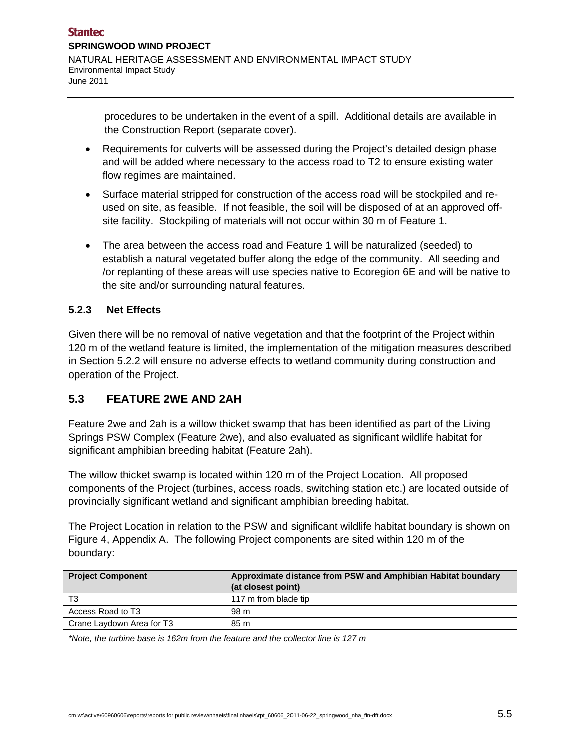procedures to be undertaken in the event of a spill. Additional details are available in the Construction Report (separate cover).

- Requirements for culverts will be assessed during the Project's detailed design phase and will be added where necessary to the access road to T2 to ensure existing water flow regimes are maintained.
- Surface material stripped for construction of the access road will be stockpiled and reused on site, as feasible. If not feasible, the soil will be disposed of at an approved offsite facility. Stockpiling of materials will not occur within 30 m of Feature 1.
- The area between the access road and Feature 1 will be naturalized (seeded) to establish a natural vegetated buffer along the edge of the community. All seeding and /or replanting of these areas will use species native to Ecoregion 6E and will be native to the site and/or surrounding natural features.

## **5.2.3 Net Effects**

Given there will be no removal of native vegetation and that the footprint of the Project within 120 m of the wetland feature is limited, the implementation of the mitigation measures described in Section 5.2.2 will ensure no adverse effects to wetland community during construction and operation of the Project.

# **5.3 FEATURE 2WE AND 2AH**

Feature 2we and 2ah is a willow thicket swamp that has been identified as part of the Living Springs PSW Complex (Feature 2we), and also evaluated as significant wildlife habitat for significant amphibian breeding habitat (Feature 2ah).

The willow thicket swamp is located within 120 m of the Project Location. All proposed components of the Project (turbines, access roads, switching station etc.) are located outside of provincially significant wetland and significant amphibian breeding habitat.

The Project Location in relation to the PSW and significant wildlife habitat boundary is shown on Figure 4, Appendix A. The following Project components are sited within 120 m of the boundary:

| <b>Project Component</b>  | Approximate distance from PSW and Amphibian Habitat boundary<br>(at closest point) |
|---------------------------|------------------------------------------------------------------------------------|
| T3                        | 117 m from blade tip                                                               |
| Access Road to T3         | 98 m                                                                               |
| Crane Laydown Area for T3 | 85 m                                                                               |

*\*Note, the turbine base is 162m from the feature and the collector line is 127 m*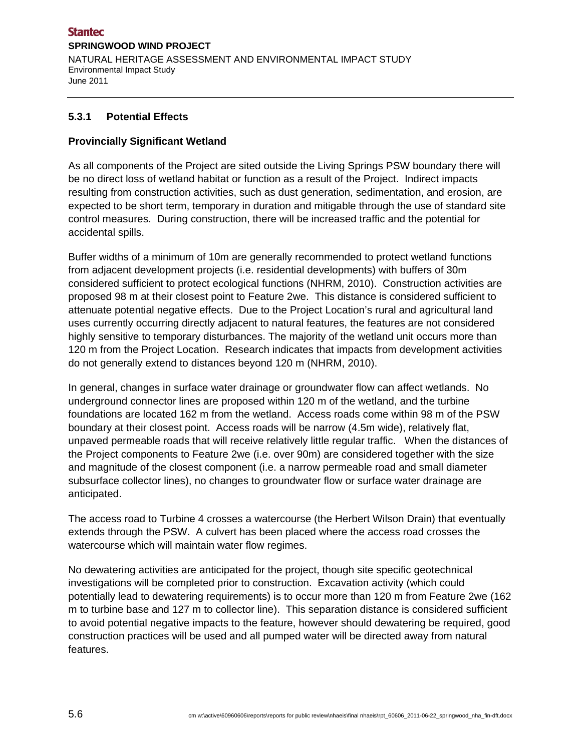#### **Stantec SPRINGWOOD WIND PROJECT**  NATURAL HERITAGE ASSESSMENT AND ENVIRONMENTAL IMPACT STUDY Environmental Impact Study June 2011

## **5.3.1 Potential Effects**

#### **Provincially Significant Wetland**

As all components of the Project are sited outside the Living Springs PSW boundary there will be no direct loss of wetland habitat or function as a result of the Project. Indirect impacts resulting from construction activities, such as dust generation, sedimentation, and erosion, are expected to be short term, temporary in duration and mitigable through the use of standard site control measures. During construction, there will be increased traffic and the potential for accidental spills.

Buffer widths of a minimum of 10m are generally recommended to protect wetland functions from adjacent development projects (i.e. residential developments) with buffers of 30m considered sufficient to protect ecological functions (NHRM, 2010). Construction activities are proposed 98 m at their closest point to Feature 2we. This distance is considered sufficient to attenuate potential negative effects. Due to the Project Location's rural and agricultural land uses currently occurring directly adjacent to natural features, the features are not considered highly sensitive to temporary disturbances. The majority of the wetland unit occurs more than 120 m from the Project Location. Research indicates that impacts from development activities do not generally extend to distances beyond 120 m (NHRM, 2010).

In general, changes in surface water drainage or groundwater flow can affect wetlands. No underground connector lines are proposed within 120 m of the wetland, and the turbine foundations are located 162 m from the wetland. Access roads come within 98 m of the PSW boundary at their closest point. Access roads will be narrow (4.5m wide), relatively flat, unpaved permeable roads that will receive relatively little regular traffic. When the distances of the Project components to Feature 2we (i.e. over 90m) are considered together with the size and magnitude of the closest component (i.e. a narrow permeable road and small diameter subsurface collector lines), no changes to groundwater flow or surface water drainage are anticipated.

The access road to Turbine 4 crosses a watercourse (the Herbert Wilson Drain) that eventually extends through the PSW. A culvert has been placed where the access road crosses the watercourse which will maintain water flow regimes.

No dewatering activities are anticipated for the project, though site specific geotechnical investigations will be completed prior to construction. Excavation activity (which could potentially lead to dewatering requirements) is to occur more than 120 m from Feature 2we (162 m to turbine base and 127 m to collector line). This separation distance is considered sufficient to avoid potential negative impacts to the feature, however should dewatering be required, good construction practices will be used and all pumped water will be directed away from natural features.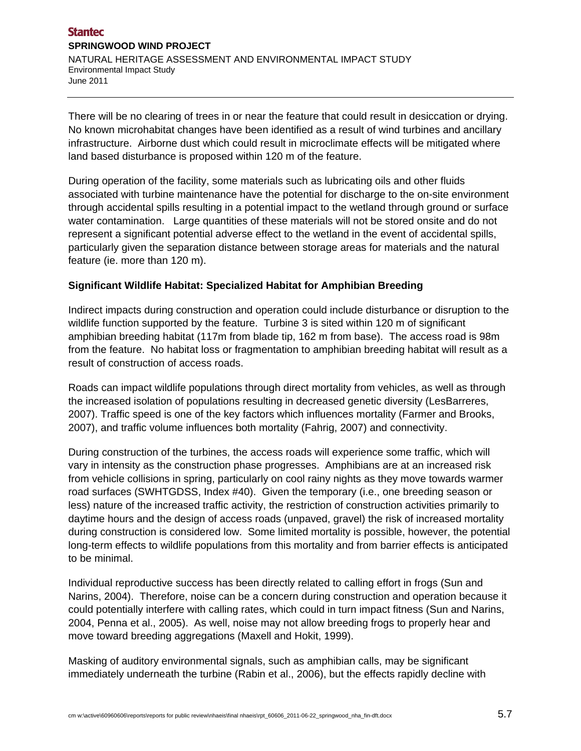### **Stantec SPRINGWOOD WIND PROJECT**  NATURAL HERITAGE ASSESSMENT AND ENVIRONMENTAL IMPACT STUDY Environmental Impact Study June 2011

There will be no clearing of trees in or near the feature that could result in desiccation or drying. No known microhabitat changes have been identified as a result of wind turbines and ancillary infrastructure. Airborne dust which could result in microclimate effects will be mitigated where land based disturbance is proposed within 120 m of the feature.

During operation of the facility, some materials such as lubricating oils and other fluids associated with turbine maintenance have the potential for discharge to the on-site environment through accidental spills resulting in a potential impact to the wetland through ground or surface water contamination. Large quantities of these materials will not be stored onsite and do not represent a significant potential adverse effect to the wetland in the event of accidental spills, particularly given the separation distance between storage areas for materials and the natural feature (ie. more than 120 m).

#### **Significant Wildlife Habitat: Specialized Habitat for Amphibian Breeding**

Indirect impacts during construction and operation could include disturbance or disruption to the wildlife function supported by the feature. Turbine 3 is sited within 120 m of significant amphibian breeding habitat (117m from blade tip, 162 m from base). The access road is 98m from the feature. No habitat loss or fragmentation to amphibian breeding habitat will result as a result of construction of access roads.

Roads can impact wildlife populations through direct mortality from vehicles, as well as through the increased isolation of populations resulting in decreased genetic diversity (LesBarreres, 2007). Traffic speed is one of the key factors which influences mortality (Farmer and Brooks, 2007), and traffic volume influences both mortality (Fahrig, 2007) and connectivity.

During construction of the turbines, the access roads will experience some traffic, which will vary in intensity as the construction phase progresses. Amphibians are at an increased risk from vehicle collisions in spring, particularly on cool rainy nights as they move towards warmer road surfaces (SWHTGDSS, Index #40). Given the temporary (i.e., one breeding season or less) nature of the increased traffic activity, the restriction of construction activities primarily to daytime hours and the design of access roads (unpaved, gravel) the risk of increased mortality during construction is considered low. Some limited mortality is possible, however, the potential long-term effects to wildlife populations from this mortality and from barrier effects is anticipated to be minimal.

Individual reproductive success has been directly related to calling effort in frogs (Sun and Narins, 2004). Therefore, noise can be a concern during construction and operation because it could potentially interfere with calling rates, which could in turn impact fitness (Sun and Narins, 2004, Penna et al., 2005). As well, noise may not allow breeding frogs to properly hear and move toward breeding aggregations (Maxell and Hokit, 1999).

Masking of auditory environmental signals, such as amphibian calls, may be significant immediately underneath the turbine (Rabin et al., 2006), but the effects rapidly decline with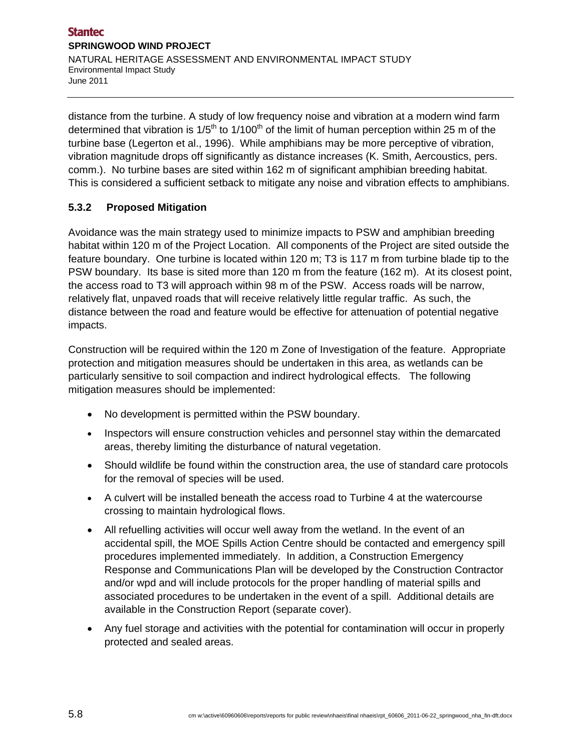distance from the turbine. A study of low frequency noise and vibration at a modern wind farm determined that vibration is  $1/5<sup>th</sup>$  to  $1/100<sup>th</sup>$  of the limit of human perception within 25 m of the turbine base (Legerton et al., 1996). While amphibians may be more perceptive of vibration, vibration magnitude drops off significantly as distance increases (K. Smith, Aercoustics, pers. comm.). No turbine bases are sited within 162 m of significant amphibian breeding habitat. This is considered a sufficient setback to mitigate any noise and vibration effects to amphibians.

## **5.3.2 Proposed Mitigation**

Avoidance was the main strategy used to minimize impacts to PSW and amphibian breeding habitat within 120 m of the Project Location. All components of the Project are sited outside the feature boundary. One turbine is located within 120 m; T3 is 117 m from turbine blade tip to the PSW boundary. Its base is sited more than 120 m from the feature (162 m). At its closest point, the access road to T3 will approach within 98 m of the PSW. Access roads will be narrow, relatively flat, unpaved roads that will receive relatively little regular traffic. As such, the distance between the road and feature would be effective for attenuation of potential negative impacts.

Construction will be required within the 120 m Zone of Investigation of the feature. Appropriate protection and mitigation measures should be undertaken in this area, as wetlands can be particularly sensitive to soil compaction and indirect hydrological effects. The following mitigation measures should be implemented:

- No development is permitted within the PSW boundary.
- Inspectors will ensure construction vehicles and personnel stay within the demarcated areas, thereby limiting the disturbance of natural vegetation.
- Should wildlife be found within the construction area, the use of standard care protocols for the removal of species will be used.
- A culvert will be installed beneath the access road to Turbine 4 at the watercourse crossing to maintain hydrological flows.
- All refuelling activities will occur well away from the wetland. In the event of an accidental spill, the MOE Spills Action Centre should be contacted and emergency spill procedures implemented immediately. In addition, a Construction Emergency Response and Communications Plan will be developed by the Construction Contractor and/or wpd and will include protocols for the proper handling of material spills and associated procedures to be undertaken in the event of a spill. Additional details are available in the Construction Report (separate cover).
- Any fuel storage and activities with the potential for contamination will occur in properly protected and sealed areas.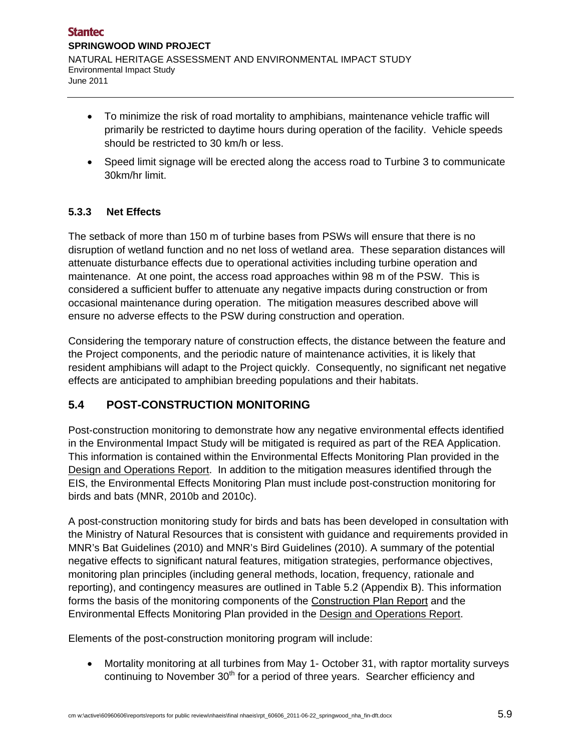- To minimize the risk of road mortality to amphibians, maintenance vehicle traffic will primarily be restricted to daytime hours during operation of the facility. Vehicle speeds should be restricted to 30 km/h or less.
- Speed limit signage will be erected along the access road to Turbine 3 to communicate 30km/hr limit.

## **5.3.3 Net Effects**

The setback of more than 150 m of turbine bases from PSWs will ensure that there is no disruption of wetland function and no net loss of wetland area. These separation distances will attenuate disturbance effects due to operational activities including turbine operation and maintenance. At one point, the access road approaches within 98 m of the PSW. This is considered a sufficient buffer to attenuate any negative impacts during construction or from occasional maintenance during operation. The mitigation measures described above will ensure no adverse effects to the PSW during construction and operation.

Considering the temporary nature of construction effects, the distance between the feature and the Project components, and the periodic nature of maintenance activities, it is likely that resident amphibians will adapt to the Project quickly. Consequently, no significant net negative effects are anticipated to amphibian breeding populations and their habitats.

# **5.4 POST-CONSTRUCTION MONITORING**

Post-construction monitoring to demonstrate how any negative environmental effects identified in the Environmental Impact Study will be mitigated is required as part of the REA Application. This information is contained within the Environmental Effects Monitoring Plan provided in the Design and Operations Report. In addition to the mitigation measures identified through the EIS, the Environmental Effects Monitoring Plan must include post-construction monitoring for birds and bats (MNR, 2010b and 2010c).

A post-construction monitoring study for birds and bats has been developed in consultation with the Ministry of Natural Resources that is consistent with guidance and requirements provided in MNR's Bat Guidelines (2010) and MNR's Bird Guidelines (2010). A summary of the potential negative effects to significant natural features, mitigation strategies, performance objectives, monitoring plan principles (including general methods, location, frequency, rationale and reporting), and contingency measures are outlined in Table 5.2 (Appendix B). This information forms the basis of the monitoring components of the Construction Plan Report and the Environmental Effects Monitoring Plan provided in the Design and Operations Report.

Elements of the post-construction monitoring program will include:

 Mortality monitoring at all turbines from May 1- October 31, with raptor mortality surveys continuing to November  $30<sup>th</sup>$  for a period of three years. Searcher efficiency and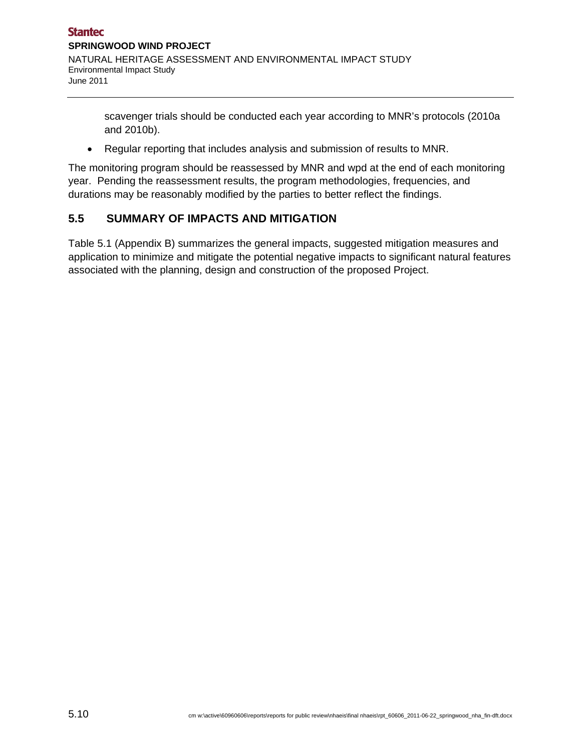scavenger trials should be conducted each year according to MNR's protocols (2010a and 2010b).

Regular reporting that includes analysis and submission of results to MNR.

The monitoring program should be reassessed by MNR and wpd at the end of each monitoring year. Pending the reassessment results, the program methodologies, frequencies, and durations may be reasonably modified by the parties to better reflect the findings.

# **5.5 SUMMARY OF IMPACTS AND MITIGATION**

Table 5.1 (Appendix B) summarizes the general impacts, suggested mitigation measures and application to minimize and mitigate the potential negative impacts to significant natural features associated with the planning, design and construction of the proposed Project.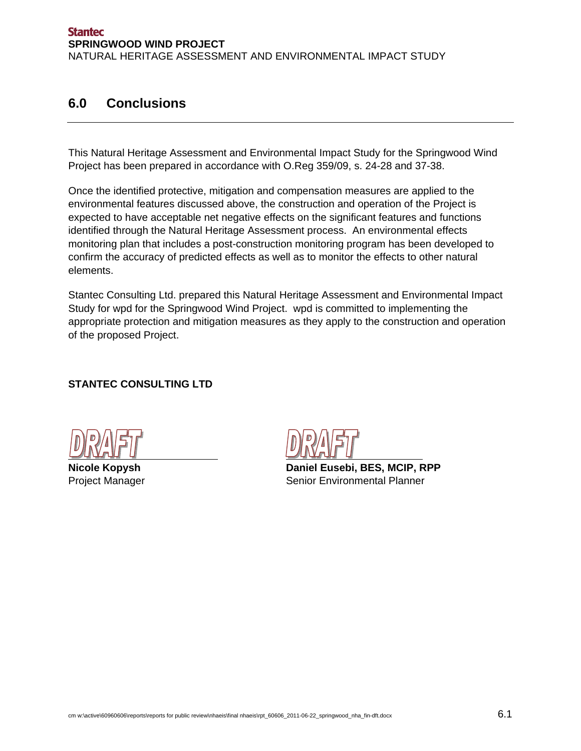# **6.0 Conclusions**

This Natural Heritage Assessment and Environmental Impact Study for the Springwood Wind Project has been prepared in accordance with O.Reg 359/09, s. 24-28 and 37-38.

Once the identified protective, mitigation and compensation measures are applied to the environmental features discussed above, the construction and operation of the Project is expected to have acceptable net negative effects on the significant features and functions identified through the Natural Heritage Assessment process. An environmental effects monitoring plan that includes a post-construction monitoring program has been developed to confirm the accuracy of predicted effects as well as to monitor the effects to other natural elements.

Stantec Consulting Ltd. prepared this Natural Heritage Assessment and Environmental Impact Study for wpd for the Springwood Wind Project. wpd is committed to implementing the appropriate protection and mitigation measures as they apply to the construction and operation of the proposed Project.

# **STANTEC CONSULTING LTD**

**Nicole Kopysh Daniel Eusebi, BES, MCIP, RPP** Project Manager Senior Environmental Planner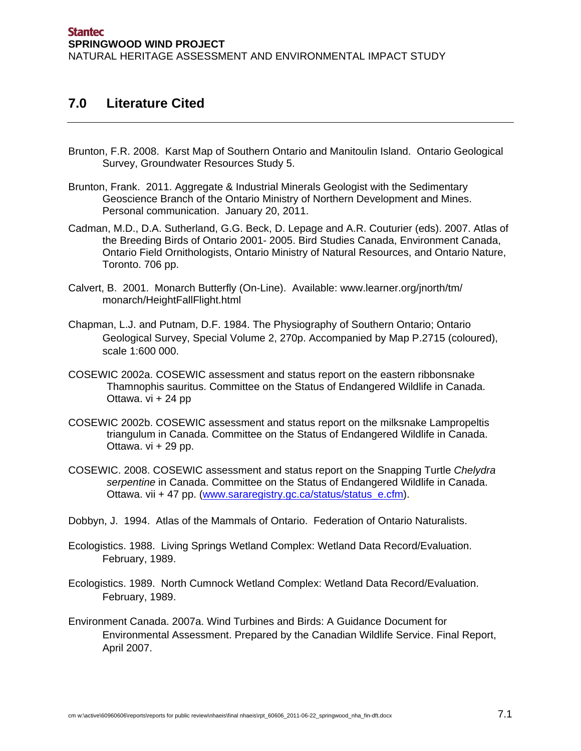# **7.0 Literature Cited**

- Brunton, F.R. 2008. Karst Map of Southern Ontario and Manitoulin Island. Ontario Geological Survey, Groundwater Resources Study 5.
- Brunton, Frank. 2011. Aggregate & Industrial Minerals Geologist with the Sedimentary Geoscience Branch of the Ontario Ministry of Northern Development and Mines. Personal communication. January 20, 2011.
- Cadman, M.D., D.A. Sutherland, G.G. Beck, D. Lepage and A.R. Couturier (eds). 2007. Atlas of the Breeding Birds of Ontario 2001- 2005. Bird Studies Canada, Environment Canada, Ontario Field Ornithologists, Ontario Ministry of Natural Resources, and Ontario Nature, Toronto. 706 pp.
- Calvert, B. 2001. Monarch Butterfly (On-Line). Available: www.learner.org/jnorth/tm/ monarch/HeightFallFlight.html
- Chapman, L.J. and Putnam, D.F. 1984. The Physiography of Southern Ontario; Ontario Geological Survey, Special Volume 2, 270p. Accompanied by Map P.2715 (coloured), scale 1:600 000.
- COSEWIC 2002a. COSEWIC assessment and status report on the eastern ribbonsnake Thamnophis sauritus. Committee on the Status of Endangered Wildlife in Canada. Ottawa. vi + 24 pp
- COSEWIC 2002b. COSEWIC assessment and status report on the milksnake Lampropeltis triangulum in Canada. Committee on the Status of Endangered Wildlife in Canada. Ottawa.  $vi + 29$  pp.
- COSEWIC. 2008. COSEWIC assessment and status report on the Snapping Turtle *Chelydra serpentine* in Canada. Committee on the Status of Endangered Wildlife in Canada. Ottawa. vii + 47 pp. (www.sararegistry.gc.ca/status/status\_e.cfm).
- Dobbyn, J. 1994. Atlas of the Mammals of Ontario. Federation of Ontario Naturalists.
- Ecologistics. 1988. Living Springs Wetland Complex: Wetland Data Record/Evaluation. February, 1989.
- Ecologistics. 1989. North Cumnock Wetland Complex: Wetland Data Record/Evaluation. February, 1989.
- Environment Canada. 2007a. Wind Turbines and Birds: A Guidance Document for Environmental Assessment. Prepared by the Canadian Wildlife Service. Final Report, April 2007.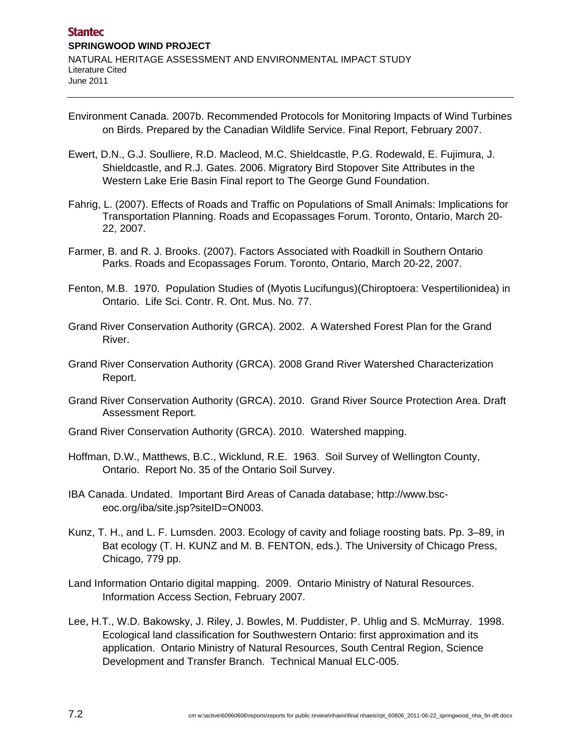- Environment Canada. 2007b. Recommended Protocols for Monitoring Impacts of Wind Turbines on Birds. Prepared by the Canadian Wildlife Service. Final Report, February 2007.
- Ewert, D.N., G.J. Soulliere, R.D. Macleod, M.C. Shieldcastle, P.G. Rodewald, E. Fujimura, J. Shieldcastle, and R.J. Gates. 2006. Migratory Bird Stopover Site Attributes in the Western Lake Erie Basin Final report to The George Gund Foundation.
- Fahrig, L. (2007). Effects of Roads and Traffic on Populations of Small Animals: Implications for Transportation Planning. Roads and Ecopassages Forum. Toronto, Ontario, March 20- 22, 2007.
- Farmer, B. and R. J. Brooks. (2007). Factors Associated with Roadkill in Southern Ontario Parks. Roads and Ecopassages Forum. Toronto, Ontario, March 20-22, 2007.
- Fenton, M.B. 1970. Population Studies of (Myotis Lucifungus)(Chiroptoera: Vespertilionidea) in Ontario. Life Sci. Contr. R. Ont. Mus. No. 77.
- Grand River Conservation Authority (GRCA). 2002. A Watershed Forest Plan for the Grand River.
- Grand River Conservation Authority (GRCA). 2008 Grand River Watershed Characterization Report.
- Grand River Conservation Authority (GRCA). 2010. Grand River Source Protection Area. Draft Assessment Report.
- Grand River Conservation Authority (GRCA). 2010. Watershed mapping.
- Hoffman, D.W., Matthews, B.C., Wicklund, R.E. 1963. Soil Survey of Wellington County, Ontario. Report No. 35 of the Ontario Soil Survey.
- IBA Canada. Undated. Important Bird Areas of Canada database; http://www.bsceoc.org/iba/site.jsp?siteID=ON003.
- Kunz, T. H., and L. F. Lumsden. 2003. Ecology of cavity and foliage roosting bats. Pp. 3–89, in Bat ecology (T. H. KUNZ and M. B. FENTON, eds.). The University of Chicago Press, Chicago, 779 pp.
- Land Information Ontario digital mapping. 2009. Ontario Ministry of Natural Resources. Information Access Section, February 2007.
- Lee, H.T., W.D. Bakowsky, J. Riley, J. Bowles, M. Puddister, P. Uhlig and S. McMurray. 1998. Ecological land classification for Southwestern Ontario: first approximation and its application. Ontario Ministry of Natural Resources, South Central Region, Science Development and Transfer Branch. Technical Manual ELC-005.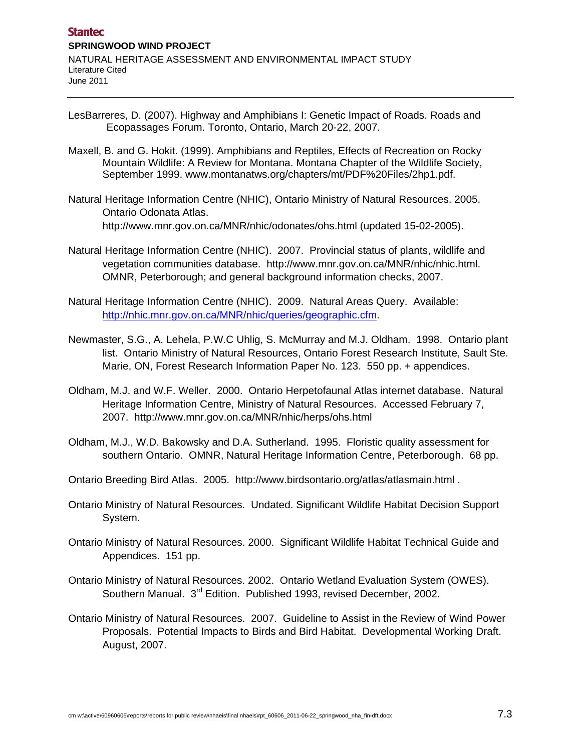- LesBarreres, D. (2007). Highway and Amphibians I: Genetic Impact of Roads. Roads and Ecopassages Forum. Toronto, Ontario, March 20-22, 2007.
- Maxell, B. and G. Hokit. (1999). Amphibians and Reptiles, Effects of Recreation on Rocky Mountain Wildlife: A Review for Montana. Montana Chapter of the Wildlife Society, September 1999. www.montanatws.org/chapters/mt/PDF%20Files/2hp1.pdf.
- Natural Heritage Information Centre (NHIC), Ontario Ministry of Natural Resources. 2005. Ontario Odonata Atlas. http://www.mnr.gov.on.ca/MNR/nhic/odonates/ohs.html (updated 15-02-2005).
- Natural Heritage Information Centre (NHIC). 2007. Provincial status of plants, wildlife and vegetation communities database. http://www.mnr.gov.on.ca/MNR/nhic/nhic.html. OMNR, Peterborough; and general background information checks, 2007.
- Natural Heritage Information Centre (NHIC). 2009. Natural Areas Query. Available: http://nhic.mnr.gov.on.ca/MNR/nhic/queries/geographic.cfm.
- Newmaster, S.G., A. Lehela, P.W.C Uhlig, S. McMurray and M.J. Oldham. 1998. Ontario plant list. Ontario Ministry of Natural Resources, Ontario Forest Research Institute, Sault Ste. Marie, ON, Forest Research Information Paper No. 123. 550 pp. + appendices.
- Oldham, M.J. and W.F. Weller. 2000. Ontario Herpetofaunal Atlas internet database. Natural Heritage Information Centre, Ministry of Natural Resources. Accessed February 7, 2007. http://www.mnr.gov.on.ca/MNR/nhic/herps/ohs.html
- Oldham, M.J., W.D. Bakowsky and D.A. Sutherland. 1995. Floristic quality assessment for southern Ontario. OMNR, Natural Heritage Information Centre, Peterborough. 68 pp.
- Ontario Breeding Bird Atlas. 2005. http://www.birdsontario.org/atlas/atlasmain.html .
- Ontario Ministry of Natural Resources. Undated. Significant Wildlife Habitat Decision Support System.
- Ontario Ministry of Natural Resources. 2000. Significant Wildlife Habitat Technical Guide and Appendices. 151 pp.
- Ontario Ministry of Natural Resources. 2002. Ontario Wetland Evaluation System (OWES). Southern Manual. 3<sup>rd</sup> Edition. Published 1993, revised December, 2002.
- Ontario Ministry of Natural Resources. 2007. Guideline to Assist in the Review of Wind Power Proposals. Potential Impacts to Birds and Bird Habitat. Developmental Working Draft. August, 2007.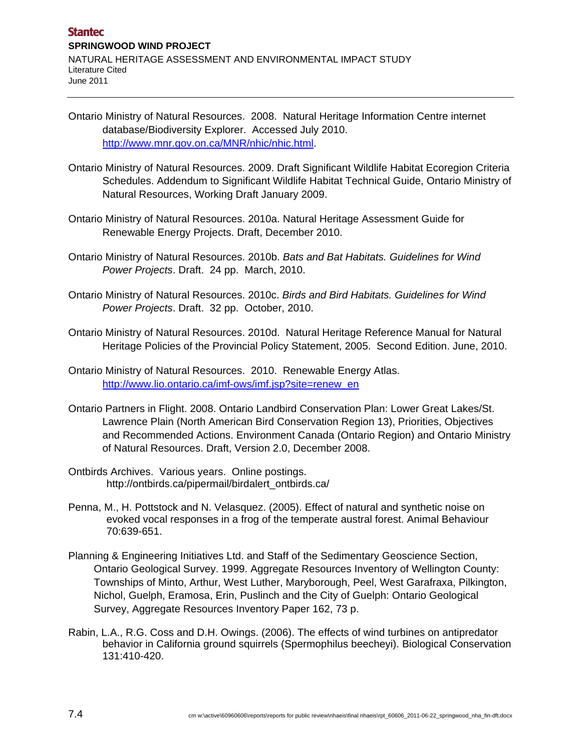- Ontario Ministry of Natural Resources. 2008. Natural Heritage Information Centre internet database/Biodiversity Explorer. Accessed July 2010. http://www.mnr.gov.on.ca/MNR/nhic/nhic.html.
- Ontario Ministry of Natural Resources. 2009. Draft Significant Wildlife Habitat Ecoregion Criteria Schedules. Addendum to Significant Wildlife Habitat Technical Guide, Ontario Ministry of Natural Resources, Working Draft January 2009.
- Ontario Ministry of Natural Resources. 2010a. Natural Heritage Assessment Guide for Renewable Energy Projects. Draft, December 2010.
- Ontario Ministry of Natural Resources. 2010b. *Bats and Bat Habitats. Guidelines for Wind Power Projects*. Draft. 24 pp. March, 2010.
- Ontario Ministry of Natural Resources. 2010c. *Birds and Bird Habitats. Guidelines for Wind Power Projects*. Draft. 32 pp. October, 2010.
- Ontario Ministry of Natural Resources. 2010d. Natural Heritage Reference Manual for Natural Heritage Policies of the Provincial Policy Statement, 2005. Second Edition. June, 2010.
- Ontario Ministry of Natural Resources. 2010. Renewable Energy Atlas. http://www.lio.ontario.ca/imf-ows/imf.jsp?site=renew\_en
- Ontario Partners in Flight. 2008. Ontario Landbird Conservation Plan: Lower Great Lakes/St. Lawrence Plain (North American Bird Conservation Region 13), Priorities, Objectives and Recommended Actions. Environment Canada (Ontario Region) and Ontario Ministry of Natural Resources. Draft, Version 2.0, December 2008.
- Ontbirds Archives. Various years. Online postings. http://ontbirds.ca/pipermail/birdalert\_ontbirds.ca/
- Penna, M., H. Pottstock and N. Velasquez. (2005). Effect of natural and synthetic noise on evoked vocal responses in a frog of the temperate austral forest. Animal Behaviour 70:639-651.
- Planning & Engineering Initiatives Ltd. and Staff of the Sedimentary Geoscience Section, Ontario Geological Survey. 1999. Aggregate Resources Inventory of Wellington County: Townships of Minto, Arthur, West Luther, Maryborough, Peel, West Garafraxa, Pilkington, Nichol, Guelph, Eramosa, Erin, Puslinch and the City of Guelph: Ontario Geological Survey, Aggregate Resources Inventory Paper 162, 73 p.
- Rabin, L.A., R.G. Coss and D.H. Owings. (2006). The effects of wind turbines on antipredator behavior in California ground squirrels (Spermophilus beecheyi). Biological Conservation 131:410-420.